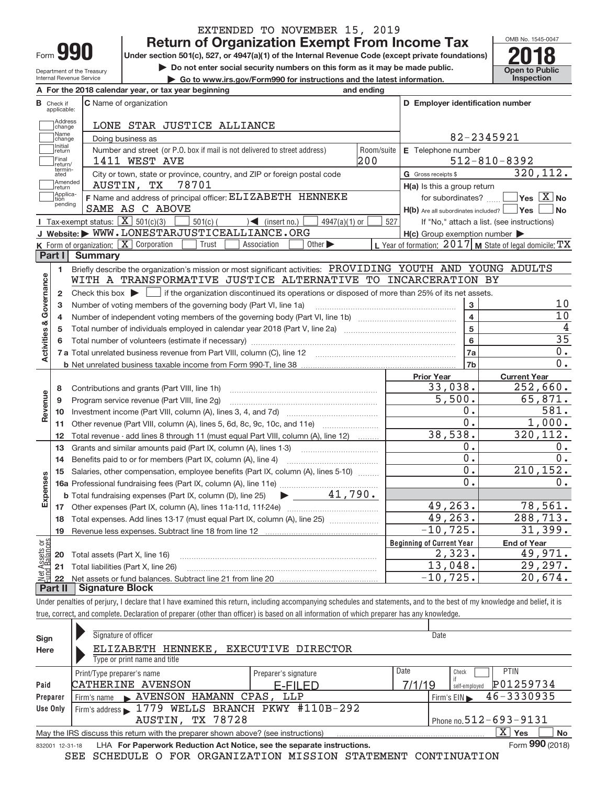| -orm |  |
|------|--|

Department of the Treasury Internal Revenue Service

 $F_{\alpha}$  the 2019 calendar

## EXTENDED TO NOVEMBER 15, 2019

**990 Return of Organization Exempt From Income Tax Phone State of Property Act and Act and Act and Act and Act and Act and Act and Act and Act and Act and Act and Act and Act and Act and Act and Act and Act and Act and** 

**but the Do not enter social security numbers on this form as it may be made public.** The open to Public **Dependent Conduct Lines and the latest information.** This prection

**| Go to www.irs.gov/Form990 for instructions and the latest information. Inspection**



|                         |                         | A Further zu to calendar year, ur tax year beginning                                                                                                | anu chunu          |                                                     |                                                           |
|-------------------------|-------------------------|-----------------------------------------------------------------------------------------------------------------------------------------------------|--------------------|-----------------------------------------------------|-----------------------------------------------------------|
| в                       | Check if<br>applicable: | <b>C</b> Name of organization                                                                                                                       |                    | D Employer identification number                    |                                                           |
|                         | Address<br>change       | LONE STAR JUSTICE ALLIANCE                                                                                                                          |                    |                                                     |                                                           |
|                         | Name<br>change          | Doing business as                                                                                                                                   |                    | 82-2345921                                          |                                                           |
|                         | Initial<br>return       | Number and street (or P.O. box if mail is not delivered to street address)                                                                          | E Telephone number |                                                     |                                                           |
|                         | Final<br>return/        | 1411 WEST AVE                                                                                                                                       | 200                |                                                     | $512 - 810 - 8392$                                        |
|                         | termin-<br>ated         | City or town, state or province, country, and ZIP or foreign postal code                                                                            |                    | G Gross receipts \$                                 | 320, 112.                                                 |
|                         | Amended<br>return       | 78701<br>AUSTIN, TX                                                                                                                                 |                    | $H(a)$ is this a group return                       |                                                           |
|                         | Applica-<br>tion        | F Name and address of principal officer: ELIZABETH HENNEKE                                                                                          |                    | for subordinates?                                   | $\sqrt{}$ Yes $\sqrt{X}$ No                               |
|                         | pending                 | SAME AS C ABOVE                                                                                                                                     |                    | $H(b)$ Are all subordinates included? $\Box$ Yes    | No                                                        |
|                         |                         | <b>I</b> Tax-exempt status: $\overline{\mathbf{X}}$ 501(c)(3)<br>$501(c)$ (<br>$\leq$ (insert no.)<br>$4947(a)(1)$ or                               | 527                |                                                     | If "No," attach a list. (see instructions)                |
|                         |                         | J Website: WWW.LONESTARJUSTICEALLIANCE.ORG                                                                                                          |                    | $H(c)$ Group exemption number $\blacktriangleright$ |                                                           |
|                         |                         | K Form of organization: X Corporation<br>Trust<br>Association<br>Other $\blacktriangleright$                                                        |                    |                                                     | L Year of formation: $2017$ M State of legal domicile: TX |
|                         | Part I                  | <b>Summary</b>                                                                                                                                      |                    |                                                     |                                                           |
|                         | 1                       | Briefly describe the organization's mission or most significant activities: PROVIDING YOUTH AND YOUNG ADULTS                                        |                    |                                                     |                                                           |
| Governance              |                         | WITH A TRANSFORMATIVE JUSTICE ALTERNATIVE TO INCARCERATION BY                                                                                       |                    |                                                     |                                                           |
|                         | $\overline{2}$          | Check this box $\blacktriangleright$ $\blacksquare$ if the organization discontinued its operations or disposed of more than 25% of its net assets. |                    |                                                     |                                                           |
|                         | 3                       | Number of voting members of the governing body (Part VI, line 1a)                                                                                   |                    | 3                                                   | 10                                                        |
|                         | 4                       |                                                                                                                                                     |                    | $\overline{\mathbf{4}}$                             | $\overline{10}$                                           |
|                         | 5                       |                                                                                                                                                     |                    | 5                                                   | 4                                                         |
|                         | 6                       |                                                                                                                                                     |                    | $6\phantom{a}$                                      | $\overline{35}$                                           |
| <b>Activities &amp;</b> |                         |                                                                                                                                                     |                    | 7a                                                  | 0.                                                        |
|                         |                         |                                                                                                                                                     |                    | 7 <sub>b</sub>                                      | 0.                                                        |
|                         |                         |                                                                                                                                                     |                    | <b>Prior Year</b>                                   | <b>Current Year</b>                                       |
|                         | 8                       | Contributions and grants (Part VIII, line 1h)                                                                                                       |                    | 33,038.                                             | 252,660.                                                  |
|                         | 9                       | Program service revenue (Part VIII, line 2g)                                                                                                        |                    | $\overline{5,500}$ .                                | 65,871.                                                   |
| Revenue                 | 10                      |                                                                                                                                                     |                    | 0.                                                  | 581.                                                      |
|                         | 11                      | Other revenue (Part VIII, column (A), lines 5, 6d, 8c, 9c, 10c, and 11e)                                                                            |                    | $\overline{0}$ .                                    | 1,000.                                                    |
|                         | 12                      | Total revenue - add lines 8 through 11 (must equal Part VIII, column (A), line 12)                                                                  |                    | 38,538.                                             | 320, 112.                                                 |
|                         | 13                      | Grants and similar amounts paid (Part IX, column (A), lines 1-3)                                                                                    |                    | 0.                                                  | $0$ .                                                     |
|                         | 14                      |                                                                                                                                                     |                    | $\overline{0}$ .                                    | $\overline{0}$ .                                          |
|                         | 15                      | Salaries, other compensation, employee benefits (Part IX, column (A), lines 5-10)                                                                   |                    | $\overline{0}$ .                                    | 210, 152.                                                 |
|                         |                         |                                                                                                                                                     |                    | 0.                                                  | 0.                                                        |
| Expenses                |                         | $\blacktriangleright$ $\underline{\qquad}$ 41,790.<br><b>b</b> Total fundraising expenses (Part IX, column (D), line 25)                            |                    |                                                     |                                                           |
|                         | 17                      |                                                                                                                                                     |                    | 49, 263.                                            | 78,561.                                                   |
|                         | 18                      | Total expenses. Add lines 13-17 (must equal Part IX, column (A), line 25)                                                                           |                    | 49, 263.                                            | 288,713.                                                  |
|                         | 19                      |                                                                                                                                                     |                    | $-10, 725.$                                         | 31,399.                                                   |
| bg:                     |                         |                                                                                                                                                     |                    | <b>Beginning of Current Year</b>                    | <b>End of Year</b>                                        |
| Assets<br>1 Balanc      | 20                      | Total assets (Part X, line 16)                                                                                                                      |                    | 2,323.                                              | 49,971.                                                   |
|                         | 21                      | Total liabilities (Part X, line 26)                                                                                                                 |                    | 13,048.                                             | 29,297.                                                   |
| Net                     | 22                      |                                                                                                                                                     |                    | $-10, 725.$                                         | 20,674.                                                   |
|                         | Part II                 | <b>Signature Block</b>                                                                                                                              |                    |                                                     |                                                           |

Under penalties of perjury, I declare that I have examined this return, including accompanying schedules and statements, and to the best of my knowledge and belief, it is true, correct, and complete. Declaration of preparer (other than officer) is based on all information of which preparer has any knowledge.

Check if self‐employed 832001 12‐31‐18 **Paid Preparer Use Only Sign Here X** Yes No LHA For Paperwork Reduction Act Notice, see the separate instructions. Form 990 (2018) Signature of officer Date Type or print name and title Print/Type preparer's name Preparer's signature Preparer's signature PTIN  $F$ im's name  $\rightarrow$  AVENSON HAMANN CPAS, LLP  $\left\{\begin{array}{c} \text{Firm's EIN } \end{array}\right\}$   $\left\{\begin{array}{c} \text{Firm's EIN } \end{array}\right\}$   $\left\{\begin{array}{c} \text{Firm's EIN } \end{array}\right\}$   $\left\{\begin{array}{c} \text{Firm's EIN } \end{array}\right\}$   $\left\{\begin{array}{c} \text{Firm's EIN } \end{array}\right\}$ Firm's address 1779 WELLS BRANCH PKWY #110B-292 AUSTIN, TX 78728 Fig. 1.1 Phone no.512–693–9131 May the IRS discuss this return with the preparer shown above? (see instructions) Form 990 (2018)  $\begin{array}{c} \hline \end{array}$  $\blacktriangleright$  $\blacktriangleright$ ELIZABETH HENNEKE, EXECUTIVE DIRECTOR CATHERINE AVENSON P01259734 E-FILED 7/1/19

SEE SCHEDULE O FOR ORGANIZATION MISSION STATEMENT CONTINUATION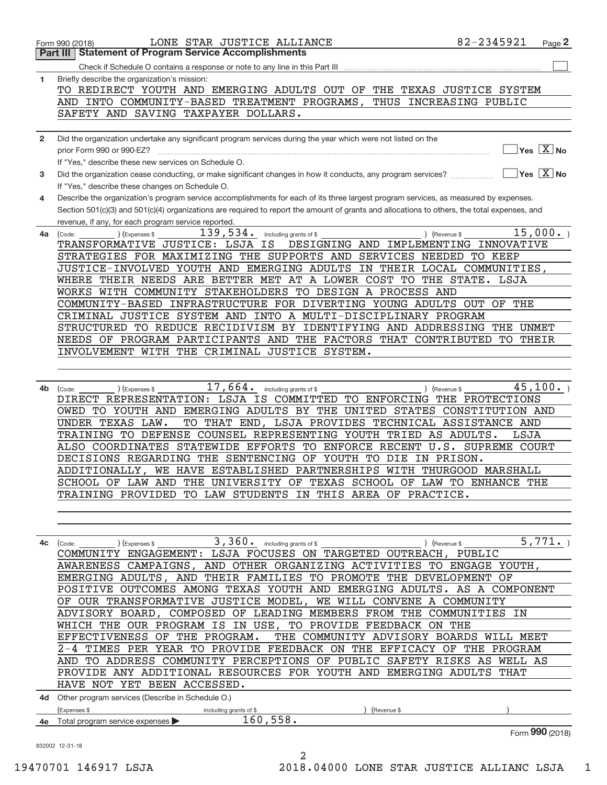|              | 82-2345921<br>LONE STAR JUSTICE ALLIANCE<br>Page 2<br>Form 990 (2018)                                                                        |  |
|--------------|----------------------------------------------------------------------------------------------------------------------------------------------|--|
|              | <b>Statement of Program Service Accomplishments</b><br>Part III                                                                              |  |
|              |                                                                                                                                              |  |
| 1            | Briefly describe the organization's mission:                                                                                                 |  |
|              | TO REDIRECT YOUTH AND EMERGING ADULTS OUT OF THE TEXAS JUSTICE SYSTEM                                                                        |  |
|              | AND INTO COMMUNITY-BASED TREATMENT PROGRAMS,<br>THUS INCREASING PUBLIC                                                                       |  |
|              | SAFETY AND SAVING TAXPAYER DOLLARS.                                                                                                          |  |
|              |                                                                                                                                              |  |
| $\mathbf{2}$ | Did the organization undertake any significant program services during the year which were not listed on the                                 |  |
|              | $\sqrt{}$ Yes $\sqrt{}$ X $\sqrt{}$ No<br>prior Form 990 or 990-EZ?                                                                          |  |
|              | If "Yes," describe these new services on Schedule O.                                                                                         |  |
| 3            | $\sqrt{}$ Yes $\sqrt{X}$ No<br>Did the organization cease conducting, or make significant changes in how it conducts, any program services?  |  |
|              | If "Yes," describe these changes on Schedule O.                                                                                              |  |
| 4            | Describe the organization's program service accomplishments for each of its three largest program services, as measured by expenses.         |  |
|              | Section 501(c)(3) and 501(c)(4) organizations are required to report the amount of grants and allocations to others, the total expenses, and |  |
|              | revenue, if any, for each program service reported.                                                                                          |  |
| 4a           | 15,000.<br>139,534.<br>(Expenses \$<br>including grants of \$<br>) (Revenue \$<br>(Code:                                                     |  |
|              | TRANSFORMATIVE JUSTICE: LSJA IS<br>DESIGNING AND IMPLEMENTING INNOVATIVE                                                                     |  |
|              | STRATEGIES FOR MAXIMIZING THE SUPPORTS AND SERVICES NEEDED TO KEEP                                                                           |  |
|              | JUSTICE-INVOLVED YOUTH AND EMERGING ADULTS IN THEIR LOCAL COMMUNITIES,                                                                       |  |
|              | WHERE THEIR NEEDS ARE BETTER MET AT A LOWER COST TO THE STATE. LSJA                                                                          |  |
|              | WORKS WITH COMMUNITY STAKEHOLDERS TO DESIGN A PROCESS AND                                                                                    |  |
|              | COMMUNITY-BASED INFRASTRUCTURE FOR DIVERTING YOUNG ADULTS OUT<br>THE<br>OF                                                                   |  |
|              | CRIMINAL JUSTICE SYSTEM AND INTO A MULTI-DISCIPLINARY PROGRAM                                                                                |  |
|              | STRUCTURED TO REDUCE RECIDIVISM BY IDENTIFYING AND ADDRESSING<br>THE                                                                         |  |
|              | UNMET                                                                                                                                        |  |
|              | NEEDS OF PROGRAM PARTICIPANTS AND THE FACTORS THAT CONTRIBUTED<br><b>TO THEIR</b>                                                            |  |
|              | INVOLVEMENT WITH THE CRIMINAL JUSTICE SYSTEM.                                                                                                |  |
|              |                                                                                                                                              |  |
|              |                                                                                                                                              |  |
| 4b           | $17,664$ $\cdot$ including grants of \$<br>45,100.<br>) (Revenue \$<br>(Expenses \$<br>(Code:                                                |  |
|              | DIRECT REPRESENTATION: LSJA IS COMMITTED TO ENFORCING THE PROTECTIONS                                                                        |  |
|              | OWED TO YOUTH AND EMERGING ADULTS BY THE UNITED STATES CONSTITUTION AND                                                                      |  |
|              | TO THAT END, LSJA PROVIDES TECHNICAL ASSISTANCE AND<br>UNDER TEXAS LAW.                                                                      |  |
|              | TRAINING TO DEFENSE COUNSEL REPRESENTING YOUTH TRIED AS ADULTS.<br>LSJA                                                                      |  |
|              | ALSO COORDINATES STATEWIDE EFFORTS TO ENFORCE RECENT U.S. SUPREME COURT                                                                      |  |
|              | DECISIONS REGARDING THE SENTENCING OF YOUTH TO DIE IN PRISON.                                                                                |  |
|              | ADDITIONALLY, WE HAVE ESTABLISHED PARTNERSHIPS WITH THURGOOD MARSHALL                                                                        |  |
|              | SCHOOL OF LAW AND THE UNIVERSITY OF TEXAS SCHOOL OF LAW TO ENHANCE THE                                                                       |  |
|              | TRAINING PROVIDED TO LAW STUDENTS IN THIS AREA OF PRACTICE.                                                                                  |  |
|              |                                                                                                                                              |  |
|              |                                                                                                                                              |  |
|              |                                                                                                                                              |  |
| 4c           | $(1)$ (Expenses \$ $3,360$ including grants of \$<br>5,771.<br>) (Revenue \$<br>(Code:                                                       |  |
|              | COMMUNITY ENGAGEMENT: LSJA FOCUSES ON TARGETED OUTREACH, PUBLIC                                                                              |  |
|              | AWARENESS CAMPAIGNS, AND OTHER ORGANIZING ACTIVITIES TO ENGAGE YOUTH,                                                                        |  |
|              | EMERGING ADULTS, AND THEIR FAMILIES TO PROMOTE THE DEVELOPMENT OF                                                                            |  |
|              | POSITIVE OUTCOMES AMONG TEXAS YOUTH AND EMERGING ADULTS. AS A COMPONENT                                                                      |  |
|              | OF OUR TRANSFORMATIVE JUSTICE MODEL, WE WILL CONVENE A COMMUNITY                                                                             |  |
|              | ADVISORY BOARD, COMPOSED OF LEADING MEMBERS FROM THE COMMUNITIES IN                                                                          |  |
|              | WHICH THE OUR PROGRAM IS IN USE, TO PROVIDE FEEDBACK ON THE                                                                                  |  |
|              | EFFECTIVENESS OF THE PROGRAM.<br>THE COMMUNITY ADVISORY BOARDS WILL MEET                                                                     |  |
|              | 2-4 TIMES PER YEAR TO PROVIDE FEEDBACK ON THE EFFICACY OF THE PROGRAM                                                                        |  |
|              | AND TO ADDRESS COMMUNITY PERCEPTIONS OF PUBLIC SAFETY RISKS AS WELL AS                                                                       |  |
|              | PROVIDE ANY ADDITIONAL RESOURCES FOR YOUTH AND EMERGING ADULTS THAT                                                                          |  |
|              | HAVE NOT YET BEEN ACCESSED.                                                                                                                  |  |
|              | 4d Other program services (Describe in Schedule O.)                                                                                          |  |
|              | (Expenses \$<br>(Revenue \$<br>including grants of \$                                                                                        |  |
|              | 160, 558.<br>4e Total program service expenses                                                                                               |  |
|              | Form 990 (2018)                                                                                                                              |  |
|              | 832002 12-31-18                                                                                                                              |  |
|              | 2                                                                                                                                            |  |

19470701 146917 LSJA 2018.04000 LONE STAR JUSTICE ALLIANC LSJA\_\_\_1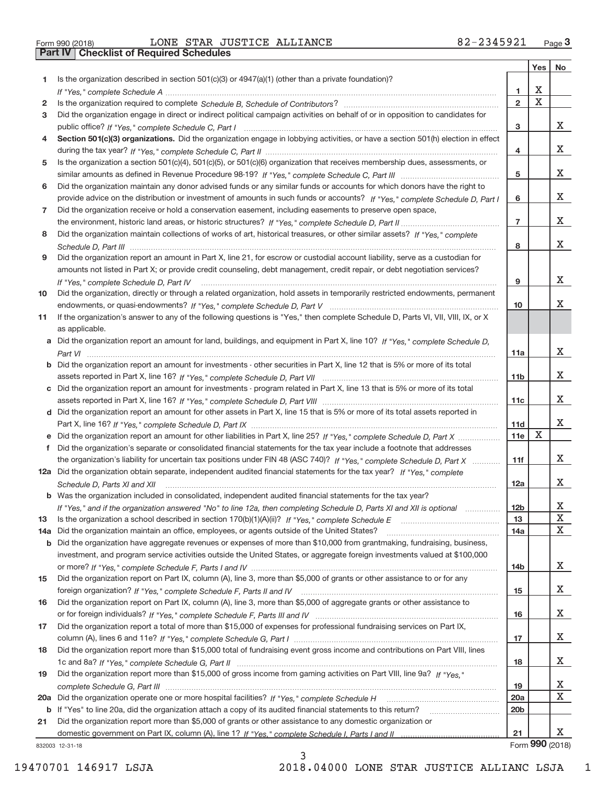| Form 990 (2018) |  |  |
|-----------------|--|--|

**Part IV Checklist of Required Schedules**

#### Form 990 (2018) Page LONE STAR JUSTICE ALLIANCE 82‐2345921

|     |                                                                                                                                      |                 | Yes                     | No              |
|-----|--------------------------------------------------------------------------------------------------------------------------------------|-----------------|-------------------------|-----------------|
| 1.  | Is the organization described in section $501(c)(3)$ or $4947(a)(1)$ (other than a private foundation)?                              |                 |                         |                 |
|     |                                                                                                                                      | 1               | X                       |                 |
| 2   |                                                                                                                                      | $\overline{2}$  | $\overline{\textbf{X}}$ |                 |
| 3   | Did the organization engage in direct or indirect political campaign activities on behalf of or in opposition to candidates for      |                 |                         |                 |
|     |                                                                                                                                      | 3               |                         | X.              |
| 4   | Section 501(c)(3) organizations. Did the organization engage in lobbying activities, or have a section 501(h) election in effect     |                 |                         | X               |
|     |                                                                                                                                      | 4               |                         |                 |
| 5   | Is the organization a section 501(c)(4), 501(c)(5), or 501(c)(6) organization that receives membership dues, assessments, or         | 5               |                         | X               |
| 6   | Did the organization maintain any donor advised funds or any similar funds or accounts for which donors have the right to            |                 |                         |                 |
|     | provide advice on the distribution or investment of amounts in such funds or accounts? If "Yes," complete Schedule D, Part I         | 6               |                         | x               |
| 7   | Did the organization receive or hold a conservation easement, including easements to preserve open space,                            |                 |                         |                 |
|     |                                                                                                                                      | $\overline{7}$  |                         | x               |
| 8   | Did the organization maintain collections of works of art, historical treasures, or other similar assets? If "Yes," complete         |                 |                         |                 |
|     |                                                                                                                                      | 8               |                         | X               |
| 9   | Did the organization report an amount in Part X, line 21, for escrow or custodial account liability, serve as a custodian for        |                 |                         |                 |
|     | amounts not listed in Part X; or provide credit counseling, debt management, credit repair, or debt negotiation services?            |                 |                         |                 |
|     | If "Yes," complete Schedule D, Part IV                                                                                               | 9               |                         | x               |
| 10  | Did the organization, directly or through a related organization, hold assets in temporarily restricted endowments, permanent        |                 |                         |                 |
|     |                                                                                                                                      | 10              |                         | х               |
| 11  | If the organization's answer to any of the following questions is "Yes," then complete Schedule D, Parts VI, VII, VIII, IX, or X     |                 |                         |                 |
|     | as applicable.                                                                                                                       |                 |                         |                 |
|     | a Did the organization report an amount for land, buildings, and equipment in Part X, line 10? If "Yes," complete Schedule D,        |                 |                         |                 |
|     |                                                                                                                                      | 11a             |                         | х               |
|     | <b>b</b> Did the organization report an amount for investments - other securities in Part X, line 12 that is 5% or more of its total |                 |                         |                 |
|     |                                                                                                                                      | 11 <sub>b</sub> |                         | X.              |
|     | c Did the organization report an amount for investments - program related in Part X, line 13 that is 5% or more of its total         |                 |                         | x               |
|     | d Did the organization report an amount for other assets in Part X, line 15 that is 5% or more of its total assets reported in       | 11c             |                         |                 |
|     |                                                                                                                                      | 11d             |                         | x               |
|     | e Did the organization report an amount for other liabilities in Part X, line 25? If "Yes," complete Schedule D, Part X              | 11e             | $\mathbf X$             |                 |
| f   | Did the organization's separate or consolidated financial statements for the tax year include a footnote that addresses              |                 |                         |                 |
|     | the organization's liability for uncertain tax positions under FIN 48 (ASC 740)? If "Yes," complete Schedule D, Part X               | 11f             |                         | x               |
|     | 12a Did the organization obtain separate, independent audited financial statements for the tax year? If "Yes," complete              |                 |                         |                 |
|     | Schedule D, Parts XI and XII                                                                                                         | 12a             |                         | x               |
|     | <b>b</b> Was the organization included in consolidated, independent audited financial statements for the tax year?                   |                 |                         |                 |
|     | If "Yes," and if the organization answered "No" to line 12a, then completing Schedule D, Parts XI and XII is optional                | 12 <sub>b</sub> |                         | X               |
| 13  |                                                                                                                                      | 13              |                         | X               |
| 14a | Did the organization maintain an office, employees, or agents outside of the United States?                                          | 14a             |                         | X               |
|     | b Did the organization have aggregate revenues or expenses of more than \$10,000 from grantmaking, fundraising, business,            |                 |                         |                 |
|     | investment, and program service activities outside the United States, or aggregate foreign investments valued at \$100,000           |                 |                         |                 |
|     |                                                                                                                                      | 14b             |                         | X               |
| 15  | Did the organization report on Part IX, column (A), line 3, more than \$5,000 of grants or other assistance to or for any            |                 |                         | X               |
|     | Did the organization report on Part IX, column (A), line 3, more than \$5,000 of aggregate grants or other assistance to             | 15              |                         |                 |
| 16  |                                                                                                                                      | 16              |                         | X               |
| 17  | Did the organization report a total of more than \$15,000 of expenses for professional fundraising services on Part IX,              |                 |                         |                 |
|     |                                                                                                                                      | 17              |                         | X               |
| 18  | Did the organization report more than \$15,000 total of fundraising event gross income and contributions on Part VIII, lines         |                 |                         |                 |
|     |                                                                                                                                      | 18              |                         | Х               |
| 19  | Did the organization report more than \$15,000 of gross income from gaming activities on Part VIII, line 9a? If "Yes."               |                 |                         |                 |
|     |                                                                                                                                      | 19              |                         | х               |
|     |                                                                                                                                      | 20a             |                         | X               |
|     | <b>b</b> If "Yes" to line 20a, did the organization attach a copy of its audited financial statements to this return?                | 20 <sub>b</sub> |                         |                 |
| 21  | Did the organization report more than \$5,000 of grants or other assistance to any domestic organization or                          |                 |                         |                 |
|     |                                                                                                                                      | 21              |                         | X.              |
|     | 332003 12-31-18                                                                                                                      |                 |                         | Form 990 (2018) |

832003 12‐31‐18

3 19470701 146917 LSJA 2018.04000 LONE STAR JUSTICE ALLIANC LSJA\_\_\_1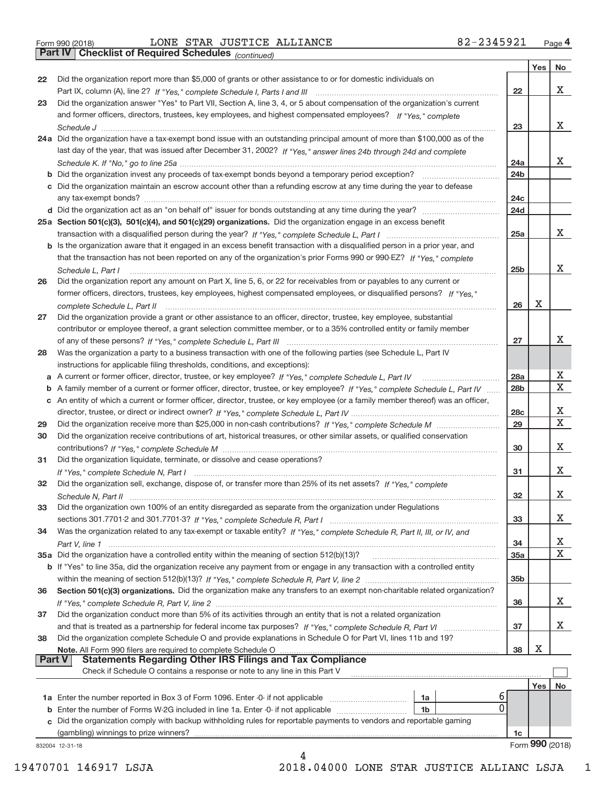**Part IV Checklist of Required Schedules**

*(continued)*

T

┯

|               |                                                                                                                                     |                 | Yes | No              |
|---------------|-------------------------------------------------------------------------------------------------------------------------------------|-----------------|-----|-----------------|
| 22            | Did the organization report more than \$5,000 of grants or other assistance to or for domestic individuals on                       |                 |     |                 |
|               |                                                                                                                                     | 22              |     | x               |
| 23            | Did the organization answer "Yes" to Part VII, Section A, line 3, 4, or 5 about compensation of the organization's current          |                 |     |                 |
|               | and former officers, directors, trustees, key employees, and highest compensated employees? If "Yes," complete                      |                 |     |                 |
|               |                                                                                                                                     | 23              |     | х               |
|               | 24a Did the organization have a tax-exempt bond issue with an outstanding principal amount of more than \$100,000 as of the         |                 |     |                 |
|               | last day of the year, that was issued after December 31, 2002? If "Yes," answer lines 24b through 24d and complete                  |                 |     |                 |
|               |                                                                                                                                     | 24a             |     | x               |
|               | <b>b</b> Did the organization invest any proceeds of tax-exempt bonds beyond a temporary period exception?                          | 24 <sub>b</sub> |     |                 |
|               | c Did the organization maintain an escrow account other than a refunding escrow at any time during the year to defease              |                 |     |                 |
|               | any tax-exempt bonds?                                                                                                               | 24 <sub>c</sub> |     |                 |
|               |                                                                                                                                     | 24d             |     |                 |
|               | 25a Section 501(c)(3), 501(c)(4), and 501(c)(29) organizations. Did the organization engage in an excess benefit                    |                 |     |                 |
|               |                                                                                                                                     | 25a             |     | x               |
|               | <b>b</b> Is the organization aware that it engaged in an excess benefit transaction with a disqualified person in a prior year, and |                 |     |                 |
|               | that the transaction has not been reported on any of the organization's prior Forms 990 or 990-EZ? If "Yes," complete               |                 |     |                 |
|               | Schedule L, Part I                                                                                                                  | 25 <sub>b</sub> |     | х               |
| 26            | Did the organization report any amount on Part X, line 5, 6, or 22 for receivables from or payables to any current or               |                 |     |                 |
|               | former officers, directors, trustees, key employees, highest compensated employees, or disqualified persons? If "Yes."              |                 |     |                 |
|               |                                                                                                                                     | 26              | х   |                 |
| 27            | Did the organization provide a grant or other assistance to an officer, director, trustee, key employee, substantial                |                 |     |                 |
|               | contributor or employee thereof, a grant selection committee member, or to a 35% controlled entity or family member                 |                 |     |                 |
|               |                                                                                                                                     | 27              |     | x               |
| 28            | Was the organization a party to a business transaction with one of the following parties (see Schedule L, Part IV                   |                 |     |                 |
|               | instructions for applicable filing thresholds, conditions, and exceptions):                                                         |                 |     |                 |
|               |                                                                                                                                     | 28a             |     | х               |
|               | b A family member of a current or former officer, director, trustee, or key employee? If "Yes," complete Schedule L, Part IV        | 28 <sub>b</sub> |     | $\mathbf X$     |
|               | c An entity of which a current or former officer, director, trustee, or key employee (or a family member thereof) was an officer,   |                 |     |                 |
|               |                                                                                                                                     | 28 <sub>c</sub> |     | х               |
| 29            |                                                                                                                                     | 29              |     | X               |
| 30            | Did the organization receive contributions of art, historical treasures, or other similar assets, or qualified conservation         |                 |     |                 |
|               |                                                                                                                                     | 30              |     | X               |
| 31            | Did the organization liquidate, terminate, or dissolve and cease operations?                                                        |                 |     |                 |
|               |                                                                                                                                     | 31              |     | х               |
| 32            | Did the organization sell, exchange, dispose of, or transfer more than 25% of its net assets? If "Yes," complete                    |                 |     |                 |
|               |                                                                                                                                     | 32              |     | х               |
| 33            | Did the organization own 100% of an entity disregarded as separate from the organization under Regulations                          |                 |     |                 |
|               |                                                                                                                                     | 33              |     | Х               |
| 34            | Was the organization related to any tax-exempt or taxable entity? If "Yes," complete Schedule R, Part II, III, or IV, and           |                 |     |                 |
|               |                                                                                                                                     | 34              |     | х               |
|               | 35a Did the organization have a controlled entity within the meaning of section 512(b)(13)?                                         | 35a             |     | $\mathbf X$     |
|               | b If "Yes" to line 35a, did the organization receive any payment from or engage in any transaction with a controlled entity         |                 |     |                 |
|               |                                                                                                                                     | 35 <sub>b</sub> |     |                 |
| 36            | Section 501(c)(3) organizations. Did the organization make any transfers to an exempt non-charitable related organization?          |                 |     |                 |
|               |                                                                                                                                     | 36              |     | x               |
| 37            | Did the organization conduct more than 5% of its activities through an entity that is not a related organization                    |                 |     | х               |
|               |                                                                                                                                     | 37              |     |                 |
| 38            | Did the organization complete Schedule O and provide explanations in Schedule O for Part VI, lines 11b and 19?                      |                 | X   |                 |
| <b>Part V</b> | Note. All Form 990 filers are required to complete Schedule O<br><b>Statements Regarding Other IRS Filings and Tax Compliance</b>   | 38              |     |                 |
|               | Check if Schedule O contains a response or note to any line in this Part V                                                          |                 |     |                 |
|               |                                                                                                                                     |                 |     | ${\sf No}$      |
|               | ь                                                                                                                                   |                 | Yes |                 |
|               | 1a<br>0<br><b>b</b> Enter the number of Forms W-2G included in line 1a. Enter -0- if not applicable <i>manumumum</i><br>1b          |                 |     |                 |
|               | c Did the organization comply with backup withholding rules for reportable payments to vendors and reportable gaming                |                 |     |                 |
|               | (gambling) winnings to prize winners?                                                                                               | 1c              |     |                 |
|               | 832004 12-31-18                                                                                                                     |                 |     | Form 990 (2018) |
|               | 4                                                                                                                                   |                 |     |                 |

19470701 146917 LSJA 2018.04000 LONE STAR JUSTICE ALLIANC LSJA\_\_\_1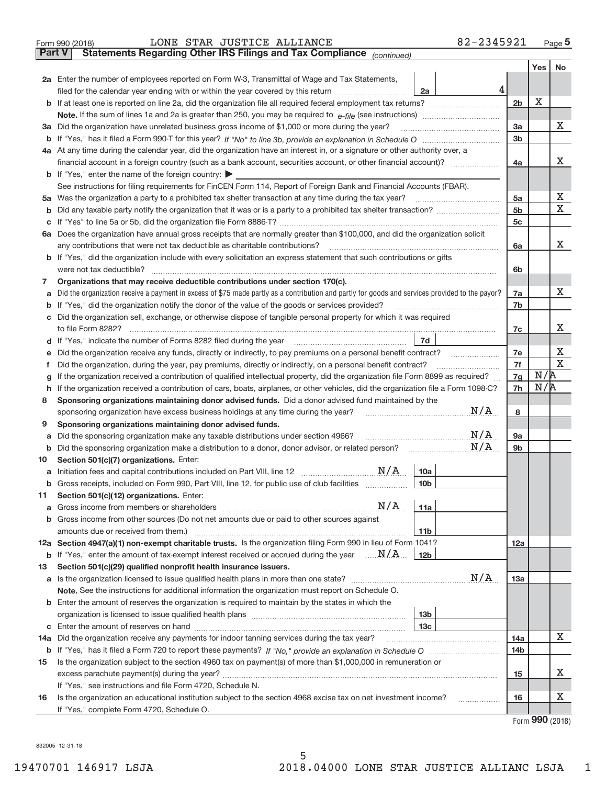|               | 82-2345921<br>LONE STAR JUSTICE ALLIANCE<br>Form 990 (2018)                                                                                                                                                                     |                |     | Page $5$    |  |  |  |  |  |  |  |
|---------------|---------------------------------------------------------------------------------------------------------------------------------------------------------------------------------------------------------------------------------|----------------|-----|-------------|--|--|--|--|--|--|--|
| <b>Part V</b> | Statements Regarding Other IRS Filings and Tax Compliance (continued)                                                                                                                                                           |                |     |             |  |  |  |  |  |  |  |
|               |                                                                                                                                                                                                                                 |                | Yes | No          |  |  |  |  |  |  |  |
|               | 2a Enter the number of employees reported on Form W-3, Transmittal of Wage and Tax Statements,                                                                                                                                  |                |     |             |  |  |  |  |  |  |  |
|               | 4<br>filed for the calendar year ending with or within the year covered by this return<br>2a                                                                                                                                    |                |     |             |  |  |  |  |  |  |  |
| b             |                                                                                                                                                                                                                                 | 2 <sub>b</sub> | X   |             |  |  |  |  |  |  |  |
|               |                                                                                                                                                                                                                                 | 3a             |     | X           |  |  |  |  |  |  |  |
| За            | Did the organization have unrelated business gross income of \$1,000 or more during the year?                                                                                                                                   |                |     |             |  |  |  |  |  |  |  |
| b             |                                                                                                                                                                                                                                 | 3 <sub>b</sub> |     |             |  |  |  |  |  |  |  |
|               | 4a At any time during the calendar year, did the organization have an interest in, or a signature or other authority over, a                                                                                                    |                |     |             |  |  |  |  |  |  |  |
|               |                                                                                                                                                                                                                                 | 4a             |     | x           |  |  |  |  |  |  |  |
|               | <b>b</b> If "Yes," enter the name of the foreign country: $\blacktriangleright$                                                                                                                                                 |                |     |             |  |  |  |  |  |  |  |
|               | See instructions for filing requirements for FinCEN Form 114, Report of Foreign Bank and Financial Accounts (FBAR).                                                                                                             |                |     |             |  |  |  |  |  |  |  |
| 5a            |                                                                                                                                                                                                                                 | 5a             |     | X           |  |  |  |  |  |  |  |
| b             |                                                                                                                                                                                                                                 | 5 <sub>b</sub> |     | Χ           |  |  |  |  |  |  |  |
| с             |                                                                                                                                                                                                                                 | 5 <sub>c</sub> |     |             |  |  |  |  |  |  |  |
|               | 6a Does the organization have annual gross receipts that are normally greater than \$100,000, and did the organization solicit                                                                                                  |                |     |             |  |  |  |  |  |  |  |
|               |                                                                                                                                                                                                                                 | 6a             |     | x           |  |  |  |  |  |  |  |
|               | <b>b</b> If "Yes," did the organization include with every solicitation an express statement that such contributions or gifts                                                                                                   |                |     |             |  |  |  |  |  |  |  |
|               | were not tax deductible?                                                                                                                                                                                                        | 6b             |     |             |  |  |  |  |  |  |  |
| 7             | Organizations that may receive deductible contributions under section 170(c).                                                                                                                                                   |                |     |             |  |  |  |  |  |  |  |
| a             | Did the organization receive a payment in excess of \$75 made partly as a contribution and partly for goods and services provided to the payor?                                                                                 | 7a             |     | x           |  |  |  |  |  |  |  |
| b             | If "Yes," did the organization notify the donor of the value of the goods or services provided?                                                                                                                                 | 7b             |     |             |  |  |  |  |  |  |  |
| С             | Did the organization sell, exchange, or otherwise dispose of tangible personal property for which it was required                                                                                                               |                |     | х           |  |  |  |  |  |  |  |
|               | 7d                                                                                                                                                                                                                              | 7c             |     |             |  |  |  |  |  |  |  |
| d             |                                                                                                                                                                                                                                 | 7e             |     | х           |  |  |  |  |  |  |  |
| е<br>f        | Did the organization receive any funds, directly or indirectly, to pay premiums on a personal benefit contract?<br>Did the organization, during the year, pay premiums, directly or indirectly, on a personal benefit contract? | 7f             |     | $\mathbf X$ |  |  |  |  |  |  |  |
|               | If the organization received a contribution of qualified intellectual property, did the organization file Form 8899 as required?                                                                                                | 7g             | N/R |             |  |  |  |  |  |  |  |
| g<br>h        | If the organization received a contribution of cars, boats, airplanes, or other vehicles, did the organization file a Form 1098-C?                                                                                              | 7h             | N/R |             |  |  |  |  |  |  |  |
| 8             | Sponsoring organizations maintaining donor advised funds. Did a donor advised fund maintained by the                                                                                                                            |                |     |             |  |  |  |  |  |  |  |
|               | N/A<br>sponsoring organization have excess business holdings at any time during the year?                                                                                                                                       | 8              |     |             |  |  |  |  |  |  |  |
| 9             | Sponsoring organizations maintaining donor advised funds.                                                                                                                                                                       |                |     |             |  |  |  |  |  |  |  |
| а             | $\mathrm{N}/\mathrm{A}$<br>Did the sponsoring organization make any taxable distributions under section 4966?                                                                                                                   | <b>9a</b>      |     |             |  |  |  |  |  |  |  |
| b             | N/A<br>Did the sponsoring organization make a distribution to a donor, donor advisor, or related person?                                                                                                                        | 9b             |     |             |  |  |  |  |  |  |  |
| 10            | Section 501(c)(7) organizations. Enter:                                                                                                                                                                                         |                |     |             |  |  |  |  |  |  |  |
| a             | 10a                                                                                                                                                                                                                             |                |     |             |  |  |  |  |  |  |  |
|               | 10 <sub>b</sub><br>Gross receipts, included on Form 990, Part VIII, line 12, for public use of club facilities                                                                                                                  |                |     |             |  |  |  |  |  |  |  |
| 11            | Section 501(c)(12) organizations. Enter:                                                                                                                                                                                        |                |     |             |  |  |  |  |  |  |  |
| a             | $\mathrm{N}/\mathrm{A}$<br>11a<br>Gross income from members or shareholders                                                                                                                                                     |                |     |             |  |  |  |  |  |  |  |
| b             | Gross income from other sources (Do not net amounts due or paid to other sources against                                                                                                                                        |                |     |             |  |  |  |  |  |  |  |
|               | 11 <sub>b</sub>                                                                                                                                                                                                                 |                |     |             |  |  |  |  |  |  |  |
|               | 12a Section 4947(a)(1) non-exempt charitable trusts. Is the organization filing Form 990 in lieu of Form 1041?                                                                                                                  | 12a            |     |             |  |  |  |  |  |  |  |
|               | <b>b</b> If "Yes," enter the amount of tax-exempt interest received or accrued during the year $\ldots \mathbf{N}/\mathbf{A}$<br>12 <sub>b</sub>                                                                                |                |     |             |  |  |  |  |  |  |  |
| 13            | Section 501(c)(29) qualified nonprofit health insurance issuers.                                                                                                                                                                |                |     |             |  |  |  |  |  |  |  |
| a             | N/A<br>Is the organization licensed to issue qualified health plans in more than one state?                                                                                                                                     | 13a            |     |             |  |  |  |  |  |  |  |
|               | Note. See the instructions for additional information the organization must report on Schedule O.                                                                                                                               |                |     |             |  |  |  |  |  |  |  |
| b             | Enter the amount of reserves the organization is required to maintain by the states in which the                                                                                                                                |                |     |             |  |  |  |  |  |  |  |
|               | 13 <sub>b</sub>                                                                                                                                                                                                                 |                |     |             |  |  |  |  |  |  |  |
| с             | 13 <sub>c</sub>                                                                                                                                                                                                                 |                |     |             |  |  |  |  |  |  |  |
| 14a           | Did the organization receive any payments for indoor tanning services during the tax year?                                                                                                                                      | 14a            |     | x           |  |  |  |  |  |  |  |
|               |                                                                                                                                                                                                                                 | 14b            |     |             |  |  |  |  |  |  |  |
| 15            | Is the organization subject to the section 4960 tax on payment(s) of more than \$1,000,000 in remuneration or                                                                                                                   |                |     |             |  |  |  |  |  |  |  |
|               |                                                                                                                                                                                                                                 | 15             |     | х           |  |  |  |  |  |  |  |
|               | If "Yes," see instructions and file Form 4720, Schedule N.                                                                                                                                                                      |                |     |             |  |  |  |  |  |  |  |
| 16            | Is the organization an educational institution subject to the section 4968 excise tax on net investment income?                                                                                                                 | 16             |     | х           |  |  |  |  |  |  |  |
|               | If "Yes," complete Form 4720, Schedule O.                                                                                                                                                                                       |                |     |             |  |  |  |  |  |  |  |

5

Form (2018) **990**

832005 12‐31‐18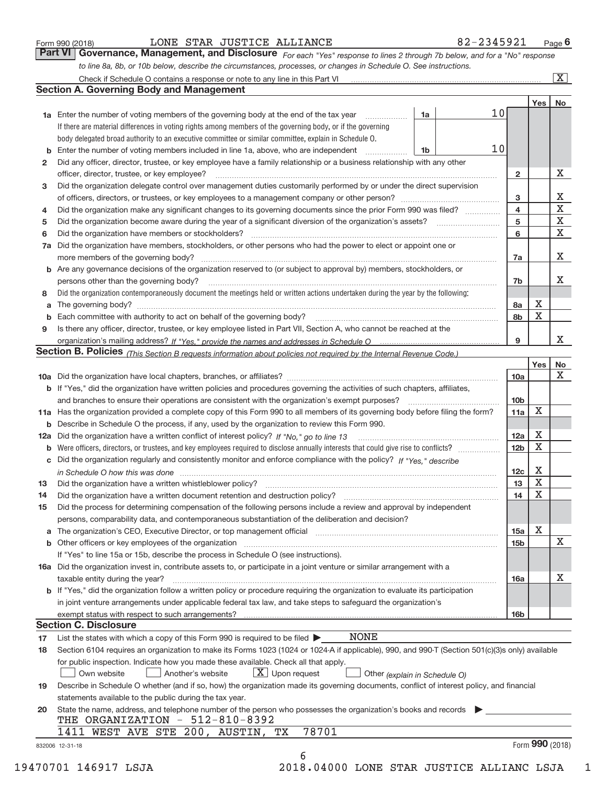| Form 990 (2018) |  |  |
|-----------------|--|--|
|                 |  |  |

#### Form 990 (2018) Page LONE STAR JUSTICE ALLIANCE 82-2345921

*For each "Yes" response to lines 2 through 7b below, and for a "No" response to line 8a, 8b, or 10b below, describe the circumstances, processes, or changes in Schedule O. See instructions.* **Part VI Governance, Management, and Disclosure** 

|              |                                                                                                                                                                                                                                |    |                 |                         | Yes         | No                      |
|--------------|--------------------------------------------------------------------------------------------------------------------------------------------------------------------------------------------------------------------------------|----|-----------------|-------------------------|-------------|-------------------------|
|              | <b>1a</b> Enter the number of voting members of the governing body at the end of the tax year <i>manumum</i>                                                                                                                   | 1a | 10 <sub>1</sub> |                         |             |                         |
|              | If there are material differences in voting rights among members of the governing body, or if the governing                                                                                                                    |    |                 |                         |             |                         |
|              | body delegated broad authority to an executive committee or similar committee, explain in Schedule O.                                                                                                                          |    |                 |                         |             |                         |
|              |                                                                                                                                                                                                                                | 1b | 10              |                         |             |                         |
| $\mathbf{2}$ | Did any officer, director, trustee, or key employee have a family relationship or a business relationship with any other                                                                                                       |    |                 |                         |             |                         |
|              |                                                                                                                                                                                                                                |    |                 | $\mathbf{2}$            |             | х                       |
| 3            | Did the organization delegate control over management duties customarily performed by or under the direct supervision                                                                                                          |    |                 |                         |             |                         |
|              |                                                                                                                                                                                                                                |    |                 | 3                       |             | Х                       |
| 4            | Did the organization make any significant changes to its governing documents since the prior Form 990 was filed?                                                                                                               |    |                 | $\overline{\mathbf{4}}$ |             | $\overline{\textbf{x}}$ |
| 5            |                                                                                                                                                                                                                                |    |                 | 5                       |             | $\overline{\textbf{x}}$ |
| 6            |                                                                                                                                                                                                                                |    |                 | 6                       |             | $\overline{\textbf{X}}$ |
|              | 7a Did the organization have members, stockholders, or other persons who had the power to elect or appoint one or                                                                                                              |    |                 |                         |             |                         |
|              |                                                                                                                                                                                                                                |    |                 | 7a                      |             | x                       |
|              | <b>b</b> Are any governance decisions of the organization reserved to (or subject to approval by) members, stockholders, or                                                                                                    |    |                 |                         |             |                         |
|              | persons other than the governing body?                                                                                                                                                                                         |    |                 | 7b                      |             | х                       |
| 8            | Did the organization contemporaneously document the meetings held or written actions undertaken during the year by the following:                                                                                              |    |                 |                         |             |                         |
|              |                                                                                                                                                                                                                                |    |                 | 8a                      | Х           |                         |
|              |                                                                                                                                                                                                                                |    |                 | 8b                      | $\mathbf X$ |                         |
| 9            | Is there any officer, director, trustee, or key employee listed in Part VII, Section A, who cannot be reached at the                                                                                                           |    |                 |                         |             |                         |
|              |                                                                                                                                                                                                                                |    |                 | 9                       |             | X                       |
|              | Section B. Policies (This Section B requests information about policies not required by the Internal Revenue Code.)                                                                                                            |    |                 |                         |             |                         |
|              |                                                                                                                                                                                                                                |    |                 |                         | Yes         | No                      |
|              |                                                                                                                                                                                                                                |    |                 | 10a                     |             | $\mathbf X$             |
|              | b If "Yes," did the organization have written policies and procedures governing the activities of such chapters, affiliates,                                                                                                   |    |                 |                         |             |                         |
|              |                                                                                                                                                                                                                                |    |                 | 10 <sub>b</sub>         |             |                         |
|              | 11a Has the organization provided a complete copy of this Form 990 to all members of its governing body before filing the form?                                                                                                |    |                 | 11a                     | x           |                         |
|              | <b>b</b> Describe in Schedule O the process, if any, used by the organization to review this Form 990.                                                                                                                         |    |                 |                         |             |                         |
|              |                                                                                                                                                                                                                                |    |                 | 12a                     | Х           |                         |
|              |                                                                                                                                                                                                                                |    |                 | 12 <sub>b</sub>         | X           |                         |
|              | c Did the organization regularly and consistently monitor and enforce compliance with the policy? If "Yes," describe                                                                                                           |    |                 |                         |             |                         |
|              | in Schedule O how this was done measured and continuum control to the distribution of the state of the state o                                                                                                                 |    |                 | 12c                     | Х           |                         |
| 13           |                                                                                                                                                                                                                                |    |                 | 13                      | X           |                         |
| 14           |                                                                                                                                                                                                                                |    |                 | 14                      | $\mathbf X$ |                         |
| 15           | Did the process for determining compensation of the following persons include a review and approval by independent                                                                                                             |    |                 |                         |             |                         |
|              | persons, comparability data, and contemporaneous substantiation of the deliberation and decision?                                                                                                                              |    |                 |                         |             |                         |
|              | a The organization's CEO, Executive Director, or top management official manufactured content of the organization's CEO, Executive Director, or top management official                                                        |    |                 | 15a                     | х           |                         |
|              | b Other officers or key employees of the organization manufactured content to content of the organization manufactured content of the organization manufactured content of the organization manufactured content of the organi |    |                 | <b>15b</b>              |             | $\mathbf X$             |
|              | If "Yes" to line 15a or 15b, describe the process in Schedule O (see instructions).                                                                                                                                            |    |                 |                         |             |                         |
|              | 16a Did the organization invest in, contribute assets to, or participate in a joint venture or similar arrangement with a                                                                                                      |    |                 |                         |             |                         |
|              |                                                                                                                                                                                                                                |    |                 |                         |             | х                       |
|              | taxable entity during the year?<br>b If "Yes," did the organization follow a written policy or procedure requiring the organization to evaluate its participation                                                              |    |                 | 16a                     |             |                         |
|              |                                                                                                                                                                                                                                |    |                 |                         |             |                         |
|              | in joint venture arrangements under applicable federal tax law, and take steps to safeguard the organization's                                                                                                                 |    |                 |                         |             |                         |
|              | <b>Section C. Disclosure</b>                                                                                                                                                                                                   |    |                 | 16b                     |             |                         |
| 17           | <b>NONE</b><br>List the states with which a copy of this Form 990 is required to be filed $\blacktriangleright$                                                                                                                |    |                 |                         |             |                         |
| 18           | Section 6104 requires an organization to make its Forms 1023 (1024 or 1024-A if applicable), 990, and 990-T (Section 501(c)(3)s only) available                                                                                |    |                 |                         |             |                         |
|              |                                                                                                                                                                                                                                |    |                 |                         |             |                         |
|              | for public inspection. Indicate how you made these available. Check all that apply.<br>$X$ Upon request                                                                                                                        |    |                 |                         |             |                         |
|              | Own website<br>Another's website<br>Other (explain in Schedule O)                                                                                                                                                              |    |                 |                         |             |                         |
| 19           | Describe in Schedule O whether (and if so, how) the organization made its governing documents, conflict of interest policy, and financial                                                                                      |    |                 |                         |             |                         |
|              | statements available to the public during the tax year.                                                                                                                                                                        |    |                 |                         |             |                         |
| 20           | State the name, address, and telephone number of the person who possesses the organization's books and records                                                                                                                 |    |                 |                         |             |                         |
|              | THE ORGANIZATION - 512-810-8392<br>78701                                                                                                                                                                                       |    |                 |                         |             |                         |
|              | 1411 WEST AVE STE 200, AUSTIN,<br>ТX                                                                                                                                                                                           |    |                 |                         |             |                         |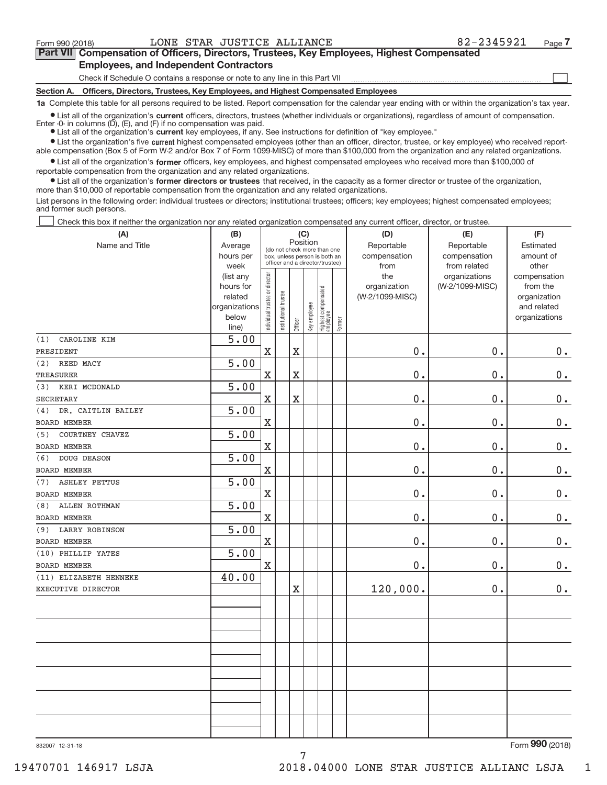$\boxed{\phantom{1}}$ 

#### **Part VII Compensation of Officers, Directors, Trustees, Key Employees, Highest Compensated Employees, and Independent Contractors**

Check if Schedule O contains a response or note to any line in this Part VII

**Section A. Officers, Directors, Trustees, Key Employees, and Highest Compensated Employees**

**1a**  Complete this table for all persons required to be listed. Report compensation for the calendar year ending with or within the organization's tax year.

**•** List all of the organization's current officers, directors, trustees (whether individuals or organizations), regardless of amount of compensation.

**•** List all of the organization's **current** key employees, if any. See instructions for definition of "key employee." Enter  $-0$ - in columns  $(D)$ ,  $(E)$ , and  $(F)$  if no compensation was paid.

● List the organization's five current highest compensated employees (other than an officer, director, trustee, or key employee) who received report-

 $\bullet$  List all of the organization's former officers, key employees, and highest compensated employees who received more than \$100,000 of able compensation (Box 5 of Form W‐2 and/or Box 7 of Form 1099‐MISC) of more than \$100,000 from the organization and any related organizations.

reportable compensation from the organization and any related organizations.

**•** List all of the organization's former directors or trustees that received, in the capacity as a former director or trustee of the organization, more than \$10,000 of reportable compensation from the organization and any related organizations.

List persons in the following order: individual trustees or directors; institutional trustees; officers; key employees; highest compensated employees; and former such persons.

Check this box if neither the organization nor any related organization compensated any current officer, director, or trustee.  $\Box$ 

| (A)                         | (B)                    | (C)<br>Position                |                                                                  |                       |              |                                   |            | (D)             | (E)                           | (F)                      |
|-----------------------------|------------------------|--------------------------------|------------------------------------------------------------------|-----------------------|--------------|-----------------------------------|------------|-----------------|-------------------------------|--------------------------|
| Name and Title              | Average                |                                | (do not check more than one                                      |                       |              |                                   | Reportable | Reportable      | Estimated                     |                          |
|                             | hours per              |                                | box, unless person is both an<br>officer and a director/trustee) |                       |              |                                   |            | compensation    | compensation                  | amount of                |
|                             | week                   |                                |                                                                  |                       |              |                                   |            | from<br>the     | from related<br>organizations | other                    |
|                             | (list any<br>hours for |                                |                                                                  |                       |              |                                   |            | organization    | (W-2/1099-MISC)               | compensation<br>from the |
|                             | related                |                                |                                                                  |                       |              |                                   |            | (W-2/1099-MISC) |                               | organization             |
|                             | organizations          |                                |                                                                  |                       |              |                                   |            |                 |                               | and related              |
|                             | below                  | Individual trustee or director | Institutional trustee                                            |                       | Key employee |                                   |            |                 |                               | organizations            |
|                             | line)                  |                                |                                                                  | Officer               |              | Highest compensated<br>  employee | Former     |                 |                               |                          |
| CAROLINE KIM<br>(1)         | $\overline{5.00}$      |                                |                                                                  |                       |              |                                   |            |                 |                               |                          |
| PRESIDENT                   |                        | $\mathbf X$                    |                                                                  | X                     |              |                                   |            | 0.              | 0.                            | $0$ .                    |
| REED MACY<br>(2)            | 5.00                   |                                |                                                                  |                       |              |                                   |            |                 |                               |                          |
| <b>TREASURER</b>            |                        | $\mathbf X$                    |                                                                  | X                     |              |                                   |            | 0.              | $0$ .                         | 0.                       |
| KERI MCDONALD<br>(3)        | 5.00                   |                                |                                                                  |                       |              |                                   |            |                 |                               |                          |
| <b>SECRETARY</b>            |                        | $\mathbf X$                    |                                                                  | X                     |              |                                   |            | 0.              | 0.                            | $0$ .                    |
| DR. CAITLIN BAILEY<br>(4)   | $\overline{5.00}$      |                                |                                                                  |                       |              |                                   |            |                 |                               |                          |
| <b>BOARD MEMBER</b>         |                        | $\mathbf X$                    |                                                                  |                       |              |                                   |            | 0.              | 0.                            | $0 \cdot$                |
| COURTNEY CHAVEZ<br>(5)      | 5.00                   |                                |                                                                  |                       |              |                                   |            |                 |                               |                          |
| <b>BOARD MEMBER</b>         |                        | $\mathbf X$                    |                                                                  |                       |              |                                   |            | 0.              | 0.                            | 0.                       |
| DOUG DEASON<br>(6)          | 5.00                   |                                |                                                                  |                       |              |                                   |            |                 |                               |                          |
| <b>BOARD MEMBER</b>         |                        | $\rm X$                        |                                                                  |                       |              |                                   |            | $0$ .           | 0.                            | $0_{.}$                  |
| <b>ASHLEY PETTUS</b><br>(7) | 5.00                   |                                |                                                                  |                       |              |                                   |            |                 |                               |                          |
| <b>BOARD MEMBER</b>         |                        | $\mathbf X$                    |                                                                  |                       |              |                                   |            | $0$ .           | 0.                            | $0$ .                    |
| <b>ALLEN ROTHMAN</b><br>(8) | 5.00                   |                                |                                                                  |                       |              |                                   |            |                 |                               |                          |
| BOARD MEMBER                |                        | $\mathbf X$                    |                                                                  |                       |              |                                   |            | $0$ .           | 0.                            | $0$ .                    |
| (9) LARRY ROBINSON          | $\overline{5.00}$      |                                |                                                                  |                       |              |                                   |            |                 |                               |                          |
| <b>BOARD MEMBER</b>         |                        | $\mathbf X$                    |                                                                  |                       |              |                                   |            | 0.              | 0.                            | $0 \cdot$                |
| (10) PHILLIP YATES          | 5.00                   |                                |                                                                  |                       |              |                                   |            |                 |                               |                          |
| BOARD MEMBER                |                        | $\mathbf X$                    |                                                                  |                       |              |                                   |            | $0$ .           | 0.                            | $0$ .                    |
| (11) ELIZABETH HENNEKE      | 40.00                  |                                |                                                                  |                       |              |                                   |            |                 |                               |                          |
| EXECUTIVE DIRECTOR          |                        |                                |                                                                  | $\overline{\text{X}}$ |              |                                   |            | 120,000.        | 0.                            | $0$ .                    |
|                             |                        |                                |                                                                  |                       |              |                                   |            |                 |                               |                          |
|                             |                        |                                |                                                                  |                       |              |                                   |            |                 |                               |                          |
|                             |                        |                                |                                                                  |                       |              |                                   |            |                 |                               |                          |
|                             |                        |                                |                                                                  |                       |              |                                   |            |                 |                               |                          |
|                             |                        |                                |                                                                  |                       |              |                                   |            |                 |                               |                          |
|                             |                        |                                |                                                                  |                       |              |                                   |            |                 |                               |                          |
|                             |                        |                                |                                                                  |                       |              |                                   |            |                 |                               |                          |
|                             |                        |                                |                                                                  |                       |              |                                   |            |                 |                               |                          |
|                             |                        |                                |                                                                  |                       |              |                                   |            |                 |                               |                          |
|                             |                        |                                |                                                                  |                       |              |                                   |            |                 |                               |                          |
|                             |                        |                                |                                                                  |                       |              |                                   |            |                 |                               |                          |
|                             |                        |                                |                                                                  |                       |              |                                   |            |                 |                               |                          |

7

Form (2018) **990**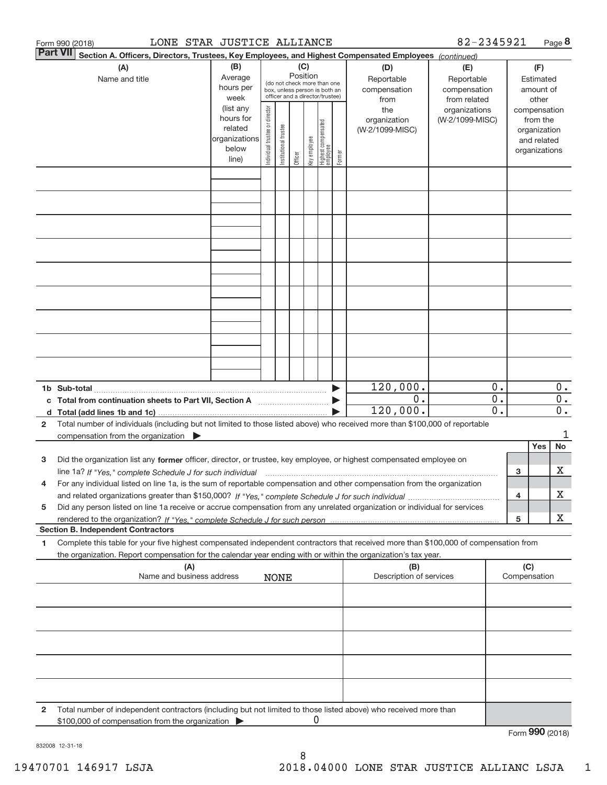| 82-2345921<br>LONE STAR JUSTICE ALLIANCE<br>Form 990 (2018) |                                                                                                                                                                                                                                                                     |                                                                      |                                |                       |         |                                                                                                                                                                                                               |                                 |        |                                        |                                  | Page 8                               |        |                                                                          |                        |
|-------------------------------------------------------------|---------------------------------------------------------------------------------------------------------------------------------------------------------------------------------------------------------------------------------------------------------------------|----------------------------------------------------------------------|--------------------------------|-----------------------|---------|---------------------------------------------------------------------------------------------------------------------------------------------------------------------------------------------------------------|---------------------------------|--------|----------------------------------------|----------------------------------|--------------------------------------|--------|--------------------------------------------------------------------------|------------------------|
|                                                             | <b>Part VII</b><br>Section A. Officers, Directors, Trustees, Key Employees, and Highest Compensated Employees (continued)                                                                                                                                           |                                                                      |                                |                       |         |                                                                                                                                                                                                               |                                 |        |                                        | (E)                              |                                      |        |                                                                          |                        |
|                                                             | (B)<br>(A)<br>Average<br>Name and title<br>hours per<br>week                                                                                                                                                                                                        |                                                                      |                                |                       |         | (C)<br>(D)<br>Position<br>Reportable<br>Reportable<br>(do not check more than one<br>compensation<br>compensation<br>box, unless person is both an<br>officer and a director/trustee)<br>from related<br>from |                                 |        |                                        |                                  |                                      |        | (F)<br>Estimated<br>amount of<br>other                                   |                        |
|                                                             |                                                                                                                                                                                                                                                                     | (list any<br>hours for<br>related<br>organizations<br>below<br>line) | Individual trustee or director | Institutional trustee | Officer | Key employee                                                                                                                                                                                                  | Highest compensated<br>employee | Former | the<br>organization<br>(W-2/1099-MISC) | organizations<br>(W-2/1099-MISC) |                                      |        | compensation<br>from the<br>organization<br>and related<br>organizations |                        |
|                                                             |                                                                                                                                                                                                                                                                     |                                                                      |                                |                       |         |                                                                                                                                                                                                               |                                 |        |                                        |                                  |                                      |        |                                                                          |                        |
|                                                             |                                                                                                                                                                                                                                                                     |                                                                      |                                |                       |         |                                                                                                                                                                                                               |                                 |        |                                        |                                  |                                      |        |                                                                          |                        |
|                                                             |                                                                                                                                                                                                                                                                     |                                                                      |                                |                       |         |                                                                                                                                                                                                               |                                 |        |                                        |                                  |                                      |        |                                                                          |                        |
|                                                             |                                                                                                                                                                                                                                                                     |                                                                      |                                |                       |         |                                                                                                                                                                                                               |                                 |        |                                        |                                  |                                      |        |                                                                          |                        |
|                                                             |                                                                                                                                                                                                                                                                     |                                                                      |                                |                       |         |                                                                                                                                                                                                               |                                 |        |                                        |                                  |                                      |        |                                                                          |                        |
|                                                             |                                                                                                                                                                                                                                                                     |                                                                      |                                |                       |         |                                                                                                                                                                                                               |                                 |        |                                        |                                  |                                      |        |                                                                          |                        |
|                                                             |                                                                                                                                                                                                                                                                     |                                                                      |                                |                       |         |                                                                                                                                                                                                               |                                 |        |                                        |                                  |                                      |        |                                                                          |                        |
|                                                             |                                                                                                                                                                                                                                                                     |                                                                      |                                |                       |         |                                                                                                                                                                                                               |                                 |        | 120,000.                               |                                  | $0$ .                                |        |                                                                          | $0$ .                  |
| c<br>d.                                                     |                                                                                                                                                                                                                                                                     |                                                                      |                                |                       |         |                                                                                                                                                                                                               |                                 |        | 0.<br>120,000.                         |                                  | $\overline{0}$ .<br>$\overline{0}$ . |        |                                                                          | $\overline{0}$ .<br>0. |
| $\mathbf{2}$                                                | Total number of individuals (including but not limited to those listed above) who received more than \$100,000 of reportable<br>compensation from the organization $\blacktriangleright$                                                                            |                                                                      |                                |                       |         |                                                                                                                                                                                                               |                                 |        |                                        |                                  |                                      |        |                                                                          | 1                      |
| з                                                           | Did the organization list any former officer, director, or trustee, key employee, or highest compensated employee on                                                                                                                                                |                                                                      |                                |                       |         |                                                                                                                                                                                                               |                                 |        |                                        |                                  |                                      |        | Yes                                                                      | No                     |
| 4                                                           | line 1a? If "Yes," complete Schedule J for such individual manufactured contained and the Yes," complete Schedule J for such individual<br>For any individual listed on line 1a, is the sum of reportable compensation and other compensation from the organization |                                                                      |                                |                       |         |                                                                                                                                                                                                               |                                 |        |                                        |                                  |                                      | з<br>4 |                                                                          | х<br>x                 |
| 5                                                           | Did any person listed on line 1a receive or accrue compensation from any unrelated organization or individual for services                                                                                                                                          |                                                                      |                                |                       |         |                                                                                                                                                                                                               |                                 |        |                                        |                                  |                                      | 5      |                                                                          | x                      |
|                                                             | <b>Section B. Independent Contractors</b>                                                                                                                                                                                                                           |                                                                      |                                |                       |         |                                                                                                                                                                                                               |                                 |        |                                        |                                  |                                      |        |                                                                          |                        |
| 1                                                           | Complete this table for your five highest compensated independent contractors that received more than \$100,000 of compensation from<br>the organization. Report compensation for the calendar year ending with or within the organization's tax year.              |                                                                      |                                |                       |         |                                                                                                                                                                                                               |                                 |        | (B)                                    |                                  |                                      | (C)    |                                                                          |                        |
|                                                             | (A)<br>Name and business address                                                                                                                                                                                                                                    |                                                                      |                                | <b>NONE</b>           |         |                                                                                                                                                                                                               |                                 |        | Description of services                |                                  |                                      |        | Compensation                                                             |                        |
|                                                             |                                                                                                                                                                                                                                                                     |                                                                      |                                |                       |         |                                                                                                                                                                                                               |                                 |        |                                        |                                  |                                      |        |                                                                          |                        |
|                                                             |                                                                                                                                                                                                                                                                     |                                                                      |                                |                       |         |                                                                                                                                                                                                               |                                 |        |                                        |                                  |                                      |        |                                                                          |                        |
|                                                             |                                                                                                                                                                                                                                                                     |                                                                      |                                |                       |         |                                                                                                                                                                                                               |                                 |        |                                        |                                  |                                      |        |                                                                          |                        |
|                                                             |                                                                                                                                                                                                                                                                     |                                                                      |                                |                       |         |                                                                                                                                                                                                               |                                 |        |                                        |                                  |                                      |        |                                                                          |                        |
| 2                                                           | Total number of independent contractors (including but not limited to those listed above) who received more than<br>\$100,000 of compensation from the organization                                                                                                 |                                                                      |                                |                       |         |                                                                                                                                                                                                               |                                 |        |                                        |                                  |                                      |        | Form 990 (2018)                                                          |                        |

832008 12‐31‐18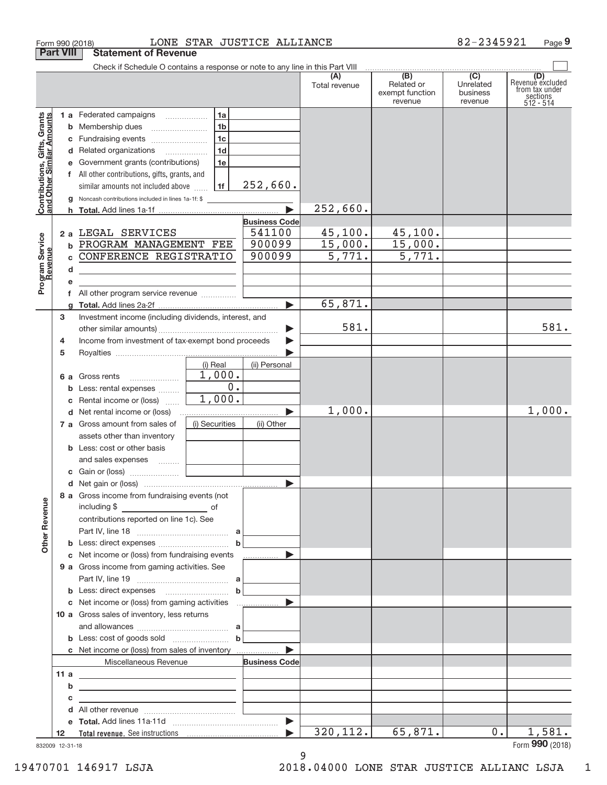|                                                                                         |                       | Form 990 (2018)                                                                                                                                                                                                                                                                                                                                                              |                                                          | LONE STAR JUSTICE ALLIANCE                                     |                                                        |                                                   | 82-2345921                                | Page 9                                                             |
|-----------------------------------------------------------------------------------------|-----------------------|------------------------------------------------------------------------------------------------------------------------------------------------------------------------------------------------------------------------------------------------------------------------------------------------------------------------------------------------------------------------------|----------------------------------------------------------|----------------------------------------------------------------|--------------------------------------------------------|---------------------------------------------------|-------------------------------------------|--------------------------------------------------------------------|
|                                                                                         | <b>Part VIII</b>      | <b>Statement of Revenue</b>                                                                                                                                                                                                                                                                                                                                                  |                                                          |                                                                |                                                        |                                                   |                                           |                                                                    |
|                                                                                         |                       | Check if Schedule O contains a response or note to any line in this Part VIII                                                                                                                                                                                                                                                                                                |                                                          |                                                                | (A)<br>Total revenue                                   | $\overline{(B)}$<br>Related or<br>exempt function | $\overline{(C)}$<br>Unrelated<br>business | (D)<br>Revenue excluded<br>from tax under<br>sections<br>512 - 514 |
| Contributions, Gifts, Grants<br>and Other Similar Amounts<br>Program Service<br>Revenue | b                     | 1 a Federated campaigns<br><b>b</b> Membership dues<br>d Related organizations<br>e Government grants (contributions)<br>f All other contributions, gifts, grants, and<br>similar amounts not included above<br><b>g</b> Noncash contributions included in lines 1a-1f: \$<br>2 a LEGAL SERVICES<br>PROGRAM MANAGEMENT FEE<br>CONFERENCE REGISTRATIO                         | 1a<br>1b<br>1 <sub>c</sub><br>1 <sub>d</sub><br>1e<br>1f | 252,660.<br><b>Business Code</b><br>541100<br>900099<br>900099 | 252,660.<br>45, 100.<br>15,000.<br>$\overline{5,771.}$ | revenue<br>45,100.<br>$\frac{15,000}{5,771}$      | revenue                                   |                                                                    |
|                                                                                         | d<br>е                | <u> 1989 - Johann Barbara, martxa alemaniar amerikan a</u><br>f All other program service revenue                                                                                                                                                                                                                                                                            |                                                          |                                                                | 65,871.                                                |                                                   |                                           |                                                                    |
|                                                                                         | 3<br>4<br>5           | Investment income (including dividends, interest, and<br>Income from investment of tax-exempt bond proceeds                                                                                                                                                                                                                                                                  | (i) Real                                                 | $\blacktriangleright$<br>▶<br>(ii) Personal                    | 581.                                                   |                                                   |                                           | 581.                                                               |
|                                                                                         | b                     | <b>6 a</b> Gross rents<br>Less: rental expenses<br>Rental income or (loss)                                                                                                                                                                                                                                                                                                   | 1,000.<br>$\overline{0}$ .<br>1,000.                     |                                                                | 1,000.                                                 |                                                   |                                           | 1,000.                                                             |
|                                                                                         |                       | d Net rental income or (loss)<br>7 a Gross amount from sales of<br>assets other than inventory<br><b>b</b> Less: cost or other basis<br>and sales expenses                                                                                                                                                                                                                   | (i) Securities                                           | $\blacktriangleright$<br>(ii) Other                            |                                                        |                                                   |                                           |                                                                    |
|                                                                                         |                       |                                                                                                                                                                                                                                                                                                                                                                              |                                                          |                                                                |                                                        |                                                   |                                           |                                                                    |
| <b>Other Revenue</b>                                                                    |                       | 8 a Gross income from fundraising events (not<br>including \$<br>contributions reported on line 1c). See                                                                                                                                                                                                                                                                     | $\mathbf b$                                              |                                                                |                                                        |                                                   |                                           |                                                                    |
|                                                                                         |                       | c Net income or (loss) from fundraising events                                                                                                                                                                                                                                                                                                                               |                                                          | .                                                              |                                                        |                                                   |                                           |                                                                    |
|                                                                                         |                       | 9 a Gross income from gaming activities. See                                                                                                                                                                                                                                                                                                                                 |                                                          |                                                                |                                                        |                                                   |                                           |                                                                    |
|                                                                                         |                       | 10 a Gross sales of inventory, less returns<br>c Net income or (loss) from sales of inventory                                                                                                                                                                                                                                                                                |                                                          | ь                                                              |                                                        |                                                   |                                           |                                                                    |
|                                                                                         |                       | Miscellaneous Revenue                                                                                                                                                                                                                                                                                                                                                        |                                                          | <b>Business Code</b>                                           |                                                        |                                                   |                                           |                                                                    |
|                                                                                         | 11a<br>b<br>с<br>d    | <u>and the state of the state of the state of the state of the state of the state of the state of the state of the state of the state of the state of the state of the state of the state of the state of the state of the state</u><br><u> 1989 - Johann Stein, mars an deutscher Stein († 1958)</u><br><u> 1989 - Johann Stein, mars an deus an deus Amerikaanse komme</u> |                                                          |                                                                |                                                        |                                                   |                                           |                                                                    |
|                                                                                         |                       |                                                                                                                                                                                                                                                                                                                                                                              |                                                          |                                                                |                                                        |                                                   |                                           |                                                                    |
|                                                                                         | 12<br>832009 12-31-18 |                                                                                                                                                                                                                                                                                                                                                                              |                                                          | $\blacktriangleright$                                          | 320, 112.                                              | 65,871.                                           | $0$ .                                     | 1,581.<br>Form 990 (2018)                                          |

9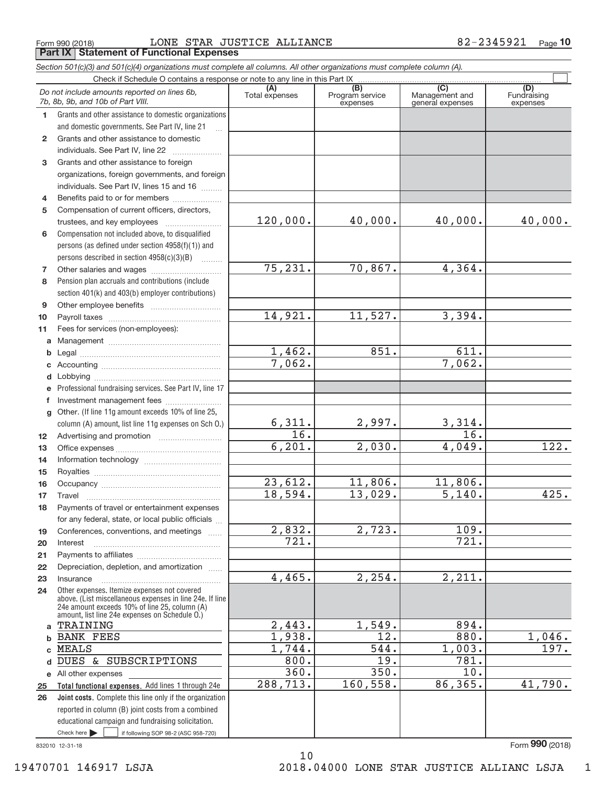Form 990 (2018) Page **Part IX Statement of Functional Expenses** LONE STAR JUSTICE ALLIANCE 82‐2345921

*Section 501(c)(3) and 501(c)(4) organizations must complete all columns. All other organizations must complete column (A).*

|                 | Do not include amounts reported on lines 6b,<br>7b, 8b, 9b, and 10b of Part VIII.                                                                         | (A)<br>Total expenses | (B)<br>Program service<br>expenses | $\overline{(\overline{C})}$<br>Management and<br>general expenses | (D)<br>Fundraising<br>expenses |
|-----------------|-----------------------------------------------------------------------------------------------------------------------------------------------------------|-----------------------|------------------------------------|-------------------------------------------------------------------|--------------------------------|
| 1.              | Grants and other assistance to domestic organizations                                                                                                     |                       |                                    |                                                                   |                                |
|                 | and domestic governments. See Part IV, line 21                                                                                                            |                       |                                    |                                                                   |                                |
| $\mathbf{2}$    | Grants and other assistance to domestic                                                                                                                   |                       |                                    |                                                                   |                                |
|                 | individuals. See Part IV, line 22<br><u> 1986 - Johann Stoff, Amerikaansk politiker (</u>                                                                 |                       |                                    |                                                                   |                                |
| 3               | Grants and other assistance to foreign                                                                                                                    |                       |                                    |                                                                   |                                |
|                 | organizations, foreign governments, and foreign                                                                                                           |                       |                                    |                                                                   |                                |
|                 | individuals. See Part IV, lines 15 and 16                                                                                                                 |                       |                                    |                                                                   |                                |
| 4               | Benefits paid to or for members                                                                                                                           |                       |                                    |                                                                   |                                |
| 5               | Compensation of current officers, directors,                                                                                                              |                       |                                    |                                                                   |                                |
|                 |                                                                                                                                                           | 120,000.              | 40,000.                            | 40,000.                                                           | 40,000.                        |
| 6               | Compensation not included above, to disqualified                                                                                                          |                       |                                    |                                                                   |                                |
|                 | persons (as defined under section 4958(f)(1)) and                                                                                                         |                       |                                    |                                                                   |                                |
|                 | persons described in section 4958(c)(3)(B)                                                                                                                |                       |                                    |                                                                   |                                |
| 7               |                                                                                                                                                           | 75, 231.              | 70,867.                            | 4,364.                                                            |                                |
| 8               | Pension plan accruals and contributions (include                                                                                                          |                       |                                    |                                                                   |                                |
|                 | section 401(k) and 403(b) employer contributions)                                                                                                         |                       |                                    |                                                                   |                                |
| 9               |                                                                                                                                                           |                       |                                    |                                                                   |                                |
| 10              |                                                                                                                                                           | 14,921.               | 11,527.                            | 3,394.                                                            |                                |
| 11              | Fees for services (non-employees):                                                                                                                        |                       |                                    |                                                                   |                                |
| a               |                                                                                                                                                           |                       |                                    |                                                                   |                                |
| b               |                                                                                                                                                           | 1,462.                | 851.                               | 611.                                                              |                                |
| c               |                                                                                                                                                           | 7,062.                |                                    | 7,062.                                                            |                                |
| d               |                                                                                                                                                           |                       |                                    |                                                                   |                                |
| е               | Professional fundraising services. See Part IV, line 17                                                                                                   |                       |                                    |                                                                   |                                |
| f               | Investment management fees                                                                                                                                |                       |                                    |                                                                   |                                |
| q               | Other. (If line 11g amount exceeds 10% of line 25,                                                                                                        |                       |                                    |                                                                   |                                |
|                 | column (A) amount, list line 11g expenses on Sch O.)                                                                                                      | 6,311.                | 2,997.                             | 3,314.                                                            |                                |
| 12 <sup>2</sup> |                                                                                                                                                           | 16.                   |                                    | $\overline{16}$ .                                                 |                                |
| 13              |                                                                                                                                                           | 6, 201.               | 2,030.                             | 4,049.                                                            | 122.                           |
| 14              |                                                                                                                                                           |                       |                                    |                                                                   |                                |
| 15              |                                                                                                                                                           |                       |                                    |                                                                   |                                |
| 16              |                                                                                                                                                           | 23,612.               | 11,806.                            | 11,806.                                                           |                                |
| 17              | Travel                                                                                                                                                    | 18,594.               | 13,029.                            | 5,140.                                                            | 425.                           |
| 18              | Payments of travel or entertainment expenses                                                                                                              |                       |                                    |                                                                   |                                |
|                 | for any federal, state, or local public officials                                                                                                         |                       |                                    |                                                                   |                                |
| 19              | Conferences, conventions, and meetings                                                                                                                    | 2,832.                | 2,723.                             | 109.                                                              |                                |
| 20              | Interest                                                                                                                                                  | 721.                  |                                    | 721.                                                              |                                |
| 21              |                                                                                                                                                           |                       |                                    |                                                                   |                                |
| 22              | Depreciation, depletion, and amortization                                                                                                                 | 4,465.                | 2, 254.                            | 2,211.                                                            |                                |
| 23              | Insurance                                                                                                                                                 |                       |                                    |                                                                   |                                |
| 24              | Other expenses. Itemize expenses not covered<br>above. (List miscellaneous expenses in line 24e. If line<br>24e amount exceeds 10% of line 25, column (A) |                       |                                    |                                                                   |                                |
| a               | amount, list line 24e expenses on Schedule O.)<br>TRAINING                                                                                                | 2,443.                | 1,549.                             | 894.                                                              |                                |
| b               | <b>BANK FEES</b>                                                                                                                                          | 1,938.                | 12.                                | 880.                                                              | 1,046.                         |
| C.              | <b>MEALS</b>                                                                                                                                              | 1,744.                | 544.                               | 1,003.                                                            | 197.                           |
| d               | DUES & SUBSCRIPTIONS                                                                                                                                      | 800.                  | 19.                                | 781.                                                              |                                |
|                 | e All other expenses                                                                                                                                      | 360.                  | 350.                               | 10.                                                               |                                |
| 25              | Total functional expenses. Add lines 1 through 24e                                                                                                        | 288,713.              | 160,558.                           | 86,365.                                                           | 41,790.                        |
| 26              | <b>Joint costs.</b> Complete this line only if the organization                                                                                           |                       |                                    |                                                                   |                                |
|                 | reported in column (B) joint costs from a combined                                                                                                        |                       |                                    |                                                                   |                                |
|                 | educational campaign and fundraising solicitation.                                                                                                        |                       |                                    |                                                                   |                                |
|                 | Check here $\blacktriangleright$<br>if following SOP 98-2 (ASC 958-720)                                                                                   |                       |                                    |                                                                   |                                |
|                 | 832010 12-31-18                                                                                                                                           |                       |                                    |                                                                   | Form 990 (2018)                |

10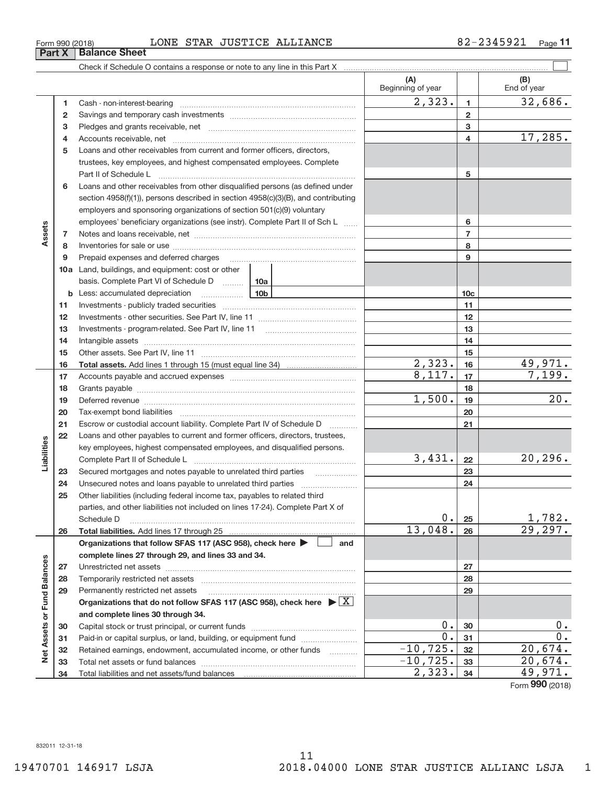#### $_{\rm Form\ 990\ (2018)}$   $_{\rm LONE}$  STAR JUSTICE ALLIANCE  $_{\rm 82-2345921}$   $_{\rm Page}$

**1** Cash ‐ non‐interest‐bearing ~~~~~~~~~~~~~~~~~~~~~~~~~ **3** Pledges and grants receivable, net ~~~~~~~~~~~~~~~~~~~~~ 4 Accounts receivable, net **communically accounts receivable**, net **5** Loans and other receivables from current and former officers, directors, **6** Loans and other receivables from other disqualified persons (as defined under **10 a** Land, buildings, and equipment: cost or other **1 2 3 4 5 6 7 8 9 10c 11 12 13 14 15 16 17 18 19 20 21 22 23 24 25 26 b 10b** Less: accumulated depreciation ~~~~~~ basis. Complete Part VI of Schedule D ......... 10a Total assets. Add lines 1 through 15 (must equal line 34) **.......................... Total liabilities.**  Add lines 17 through 25 Organizations that follow SFAS 117 (ASC 958), check here  $\blacktriangleright\ \begin{array}{|c|c|}\end{array}$  and **complete lines 27 through 29, and lines 33 and 34. 27 28 29** Organizations that do not follow SFAS 117 (ASC 958), check here  $\blacktriangleright \boxed{\text{X}}$ **and complete lines 30 through 34. 30 31** Savings and temporary cash investments ~~~~~~~~~~~~~~~~~~ trustees, key employees, and highest compensated employees. Complete Part II of Schedule L ~~~~~~~~~~~~~~~~~~~~~~~~~~~~ section 4958(f)(1)), persons described in section 4958(c)(3)(B), and contributing employers and sponsoring organizations of section 501(c)(9) voluntary employees' beneficiary organizations (see instr). Complete Part II of Sch L ...... Notes and loans receivable, net ~~~~~~~~~~~~~~~~~~~~~~~ Inventories for sale or use ~~~~~~~~~~~~~~~~~~~~~~~~~~ Prepaid expenses and deferred charges ~~~~~~~~~~~~~~~~~~ Investments ‐ publicly traded securities ~~~~~~~~~~~~~~~~~~~ Investments ‐ other securities. See Part IV, line 11 ~~~~~~~~~~~~~~ Investments - program-related. See Part IV, line 11 [2010] [2010] [2010] [2010] [2010] [2010] [2010] [2010] [2 Intangible assets ~~~~~~~~~~~~~~~~~~~~~~~~~~~~~~ Other assets. See Part IV, line 11 ~~~~~~~~~~~~~~~~~~~~~~ Accounts payable and accrued expenses ~~~~~~~~~~~~~~~~~~ Grants payable ~~~~~~~~~~~~~~~~~~~~~~~~~~~~~~~ Deferred revenue **communications** contains a construction of the construction of the construction of the construction of the construction of the construction of the construction of the construction of the construction of t Tax‐exempt bond liabilities ~~~~~~~~~~~~~~~~~~~~~~~~~ Escrow or custodial account liability. Complete Part IV of Schedule D [ \\timm\] Loans and other payables to current and former officers, directors, trustees, key employees, highest compensated employees, and disqualified persons. Complete Part II of Schedule L ~~~~~~~~~~~~~~~~~~~~~~~ Secured mortgages and notes payable to unrelated third parties Unsecured notes and loans payable to unrelated third parties ~~~~~~~~~~~~~~~~~~~~ Other liabilities (including federal income tax, payables to related third parties, and other liabilities not included on lines 17‐24). Complete Part X of Schedule D ~~~~~~~~~~~~~~~~~~~~~~~~~~~~~~~~ Unrestricted net assets ~~~~~~~~~~~~~~~~~~~~~~~~~~~ Temporarily restricted net assets ~~~~~~~~~~~~~~~~~~~~~~ Permanently restricted net assets ~~~~~~~~~~~~~~~~~~~~~ Capital stock or trust principal, or current funds ~~~~~~~~~~~~~~~ Paid-in or capital surplus, or land, building, or equipment fund *willerthounder*  $2,323.$   $1$  32,686. 17,285. 2,323. 49,971.  $8,117.$   $17$   $7,199.$  $1,500.$   $19$   $20.$  $3,431. |22| 20,296.$  $0. |25|$  1,782. 13,048. 26 29,297.  $0.30$  0.  $0.31$  0.

Check if Schedule O contains a response or note to any line in this Part X

Retained earnings, endowment, accumulated income, or other funds ~~~~ Total net assets or fund balances ~~~~~~~~~~~~~~~~~~~~~~

Total liabilities and net assets/fund balances

### Form (2018) **990**

**32 33 34**

 $-10,725.$  32 20,674.  $-10,725.$  33  $20,674.$  $2,323.$   $34$   $49,971.$ 

 $\boxed{\phantom{1}}$ 

**(A) (B)**

Beginning of year  $\vert$  | End of year

**Part X Balance Sheet** 

**2**

**7 8 9**

**Assets**

**23 24 25**

**Liabilities**

**26**

**27 28 29**

**Net Assets or Fund Balances**

Net Assets or Fund Balances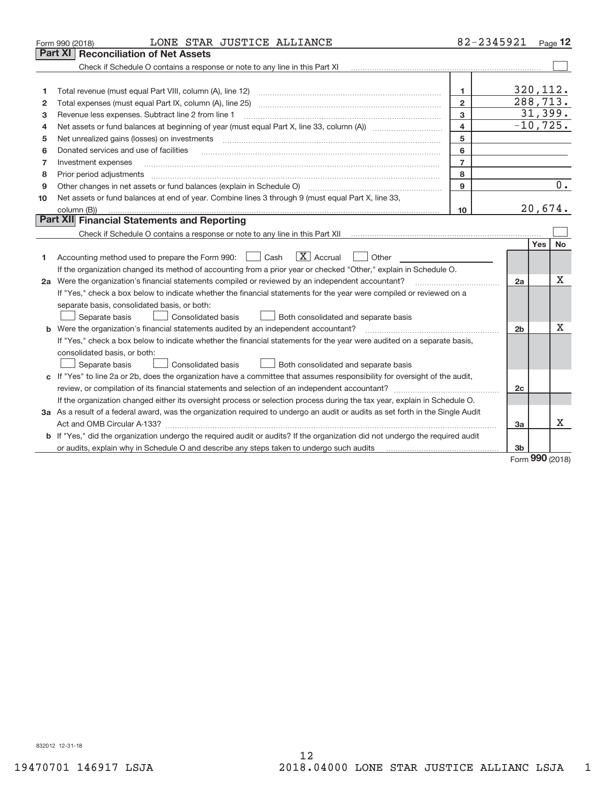|    | LONE STAR JUSTICE ALLIANCE<br>Form 990 (2018)                                                                                   | 82-2345921     |                |            | Page $12$ |
|----|---------------------------------------------------------------------------------------------------------------------------------|----------------|----------------|------------|-----------|
|    | <b>Reconciliation of Net Assets</b><br>Part XI                                                                                  |                |                |            |           |
|    | Check if Schedule O contains a response or note to any line in this Part XI                                                     |                |                |            |           |
|    |                                                                                                                                 |                |                |            |           |
|    | Total revenue (must equal Part VIII, column (A), line 12)                                                                       | 1              | 320, 112.      |            |           |
| 2  | Total expenses (must equal Part IX, column (A), line 25)                                                                        | $\overline{2}$ | 288, 713.      |            |           |
| з  | Revenue less expenses. Subtract line 2 from line 1                                                                              | 3              |                |            | 31,399.   |
| 4  |                                                                                                                                 | 4              | $-10, 725.$    |            |           |
| 5  | Net unrealized gains (losses) on investments                                                                                    | 5              |                |            |           |
| 6  | Donated services and use of facilities                                                                                          | 6              |                |            |           |
| 7  | Investment expenses                                                                                                             | $\overline{7}$ |                |            |           |
| 8  | Prior period adjustments                                                                                                        | 8              |                |            |           |
| 9  |                                                                                                                                 | 9              |                |            | 0.        |
| 10 | Net assets or fund balances at end of year. Combine lines 3 through 9 (must equal Part X, line 33,                              |                |                |            |           |
|    | column (B))                                                                                                                     | 10             |                | 20,674.    |           |
|    | Part XII Financial Statements and Reporting                                                                                     |                |                |            |           |
|    |                                                                                                                                 |                |                |            |           |
|    |                                                                                                                                 |                |                | <b>Yes</b> | <b>No</b> |
| 1  | $ X $ Accrual<br>Accounting method used to prepare the Form 990: <u>I</u> Cash<br>Other                                         |                |                |            |           |
|    | If the organization changed its method of accounting from a prior year or checked "Other," explain in Schedule O.               |                |                |            |           |
|    | 2a Were the organization's financial statements compiled or reviewed by an independent accountant?                              |                | 2a             |            | x         |
|    | If "Yes," check a box below to indicate whether the financial statements for the year were compiled or reviewed on a            |                |                |            |           |
|    | separate basis, consolidated basis, or both:                                                                                    |                |                |            |           |
|    | Separate basis<br>Consolidated basis<br>Both consolidated and separate basis                                                    |                |                |            |           |
|    | <b>b</b> Were the organization's financial statements audited by an independent accountant?                                     |                | 2 <sub>b</sub> |            | X         |
|    | If "Yes," check a box below to indicate whether the financial statements for the year were audited on a separate basis,         |                |                |            |           |
|    | consolidated basis, or both:                                                                                                    |                |                |            |           |
|    | Consolidated basis<br>Both consolidated and separate basis<br>Separate basis                                                    |                |                |            |           |
|    | c If "Yes" to line 2a or 2b, does the organization have a committee that assumes responsibility for oversight of the audit,     |                |                |            |           |
|    |                                                                                                                                 |                | 2c             |            |           |
|    | If the organization changed either its oversight process or selection process during the tax year, explain in Schedule O.       |                |                |            |           |
|    | 3a As a result of a federal award, was the organization required to undergo an audit or audits as set forth in the Single Audit |                |                |            |           |
|    |                                                                                                                                 |                | 3a             |            | X         |
|    | b If "Yes," did the organization undergo the required audit or audits? If the organization did not undergo the required audit   |                |                |            |           |
|    | or audits, explain why in Schedule O and describe any steps taken to undergo such audits matures and the matur                  |                | 3b             | $\Omega$   |           |

Form (2018) **990**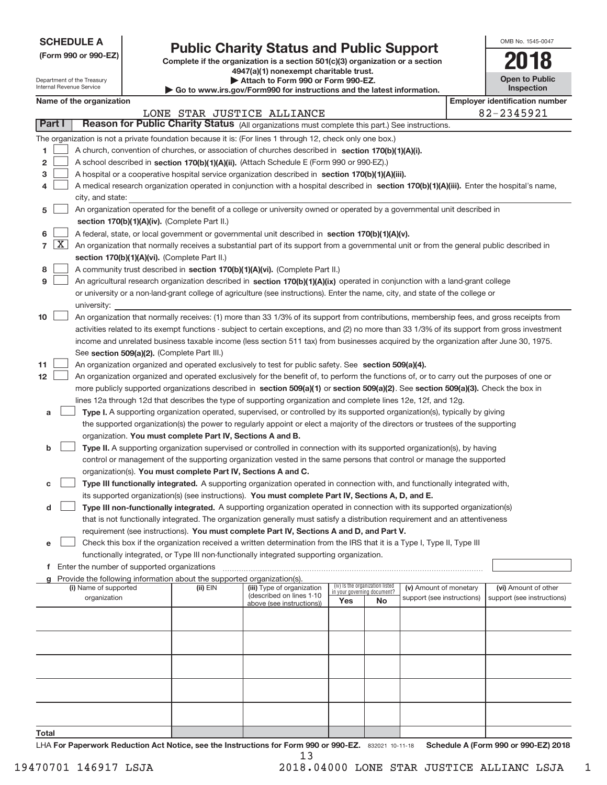| <b>SCHEDULE A</b> |
|-------------------|
|-------------------|

Department of the Treasury Internal Revenue Service

| (Form 990 or 990-EZ) |  |  |  |  |
|----------------------|--|--|--|--|
|----------------------|--|--|--|--|

## **Public Charity Status and Public Support**

Complete if the organization is a section 501(c)(3) organization or a section **4947(a)(1) nonexempt charitable trust.**

**| Attach to Form 990 or Form 990‐EZ.** 

**| Go to www.irs.gov/Form990 for instructions and the latest information.**

| OMB No 1545-0047                    |
|-------------------------------------|
| 68                                  |
| <b>Open to Public</b><br>Inspection |

| Name of the organization |  |                                                                                                                                                                                             |              |                                                        |                             |                                 |                            | <b>Employer identification number</b> |                            |
|--------------------------|--|---------------------------------------------------------------------------------------------------------------------------------------------------------------------------------------------|--------------|--------------------------------------------------------|-----------------------------|---------------------------------|----------------------------|---------------------------------------|----------------------------|
|                          |  |                                                                                                                                                                                             |              | LONE STAR JUSTICE ALLIANCE                             |                             |                                 |                            |                                       | 82-2345921                 |
| Part I                   |  | Reason for Public Charity Status (All organizations must complete this part.) See instructions.                                                                                             |              |                                                        |                             |                                 |                            |                                       |                            |
|                          |  | The organization is not a private foundation because it is: (For lines 1 through 12, check only one box.)                                                                                   |              |                                                        |                             |                                 |                            |                                       |                            |
| 1.                       |  | A church, convention of churches, or association of churches described in section 170(b)(1)(A)(i).                                                                                          |              |                                                        |                             |                                 |                            |                                       |                            |
| 2                        |  | A school described in section 170(b)(1)(A)(ii). (Attach Schedule E (Form 990 or 990-EZ).)                                                                                                   |              |                                                        |                             |                                 |                            |                                       |                            |
| 3                        |  | A hospital or a cooperative hospital service organization described in section 170(b)(1)(A)(iii).                                                                                           |              |                                                        |                             |                                 |                            |                                       |                            |
| 4                        |  | A medical research organization operated in conjunction with a hospital described in section 170(b)(1)(A)(iii). Enter the hospital's name,                                                  |              |                                                        |                             |                                 |                            |                                       |                            |
|                          |  | city, and state:                                                                                                                                                                            |              |                                                        |                             |                                 |                            |                                       |                            |
| 5                        |  | An organization operated for the benefit of a college or university owned or operated by a governmental unit described in                                                                   |              |                                                        |                             |                                 |                            |                                       |                            |
|                          |  | section 170(b)(1)(A)(iv). (Complete Part II.)                                                                                                                                               |              |                                                        |                             |                                 |                            |                                       |                            |
| 6                        |  | A federal, state, or local government or governmental unit described in section 170(b)(1)(A)(v).                                                                                            |              |                                                        |                             |                                 |                            |                                       |                            |
| $7 \times$               |  | An organization that normally receives a substantial part of its support from a governmental unit or from the general public described in                                                   |              |                                                        |                             |                                 |                            |                                       |                            |
|                          |  | section 170(b)(1)(A)(vi). (Complete Part II.)                                                                                                                                               |              |                                                        |                             |                                 |                            |                                       |                            |
| 8                        |  | A community trust described in section 170(b)(1)(A)(vi). (Complete Part II.)                                                                                                                |              |                                                        |                             |                                 |                            |                                       |                            |
| 9                        |  | An agricultural research organization described in section 170(b)(1)(A)(ix) operated in conjunction with a land-grant college                                                               |              |                                                        |                             |                                 |                            |                                       |                            |
|                          |  | or university or a non-land-grant college of agriculture (see instructions). Enter the name, city, and state of the college or                                                              |              |                                                        |                             |                                 |                            |                                       |                            |
|                          |  | university:                                                                                                                                                                                 |              |                                                        |                             |                                 |                            |                                       |                            |
| 10                       |  | An organization that normally receives: (1) more than 33 1/3% of its support from contributions, membership fees, and gross receipts from                                                   |              |                                                        |                             |                                 |                            |                                       |                            |
|                          |  | activities related to its exempt functions - subject to certain exceptions, and (2) no more than 33 1/3% of its support from gross investment                                               |              |                                                        |                             |                                 |                            |                                       |                            |
|                          |  | income and unrelated business taxable income (less section 511 tax) from businesses acquired by the organization after June 30, 1975.                                                       |              |                                                        |                             |                                 |                            |                                       |                            |
|                          |  | See section 509(a)(2). (Complete Part III.)                                                                                                                                                 |              |                                                        |                             |                                 |                            |                                       |                            |
| 11                       |  | An organization organized and operated exclusively to test for public safety. See section 509(a)(4).                                                                                        |              |                                                        |                             |                                 |                            |                                       |                            |
| 12 <sup>12</sup>         |  | An organization organized and operated exclusively for the benefit of, to perform the functions of, or to carry out the purposes of one or                                                  |              |                                                        |                             |                                 |                            |                                       |                            |
|                          |  | more publicly supported organizations described in section 509(a)(1) or section 509(a)(2). See section 509(a)(3). Check the box in                                                          |              |                                                        |                             |                                 |                            |                                       |                            |
|                          |  | lines 12a through 12d that describes the type of supporting organization and complete lines 12e, 12f, and 12g.                                                                              |              |                                                        |                             |                                 |                            |                                       |                            |
| а                        |  | Type I. A supporting organization operated, supervised, or controlled by its supported organization(s), typically by giving                                                                 |              |                                                        |                             |                                 |                            |                                       |                            |
|                          |  | the supported organization(s) the power to regularly appoint or elect a majority of the directors or trustees of the supporting                                                             |              |                                                        |                             |                                 |                            |                                       |                            |
|                          |  | organization. You must complete Part IV, Sections A and B.                                                                                                                                  |              |                                                        |                             |                                 |                            |                                       |                            |
| b                        |  | Type II. A supporting organization supervised or controlled in connection with its supported organization(s), by having                                                                     |              |                                                        |                             |                                 |                            |                                       |                            |
|                          |  | control or management of the supporting organization vested in the same persons that control or manage the supported                                                                        |              |                                                        |                             |                                 |                            |                                       |                            |
|                          |  | organization(s). You must complete Part IV, Sections A and C.<br>Type III functionally integrated. A supporting organization operated in connection with, and functionally integrated with, |              |                                                        |                             |                                 |                            |                                       |                            |
| с                        |  | its supported organization(s) (see instructions). You must complete Part IV, Sections A, D, and E.                                                                                          |              |                                                        |                             |                                 |                            |                                       |                            |
| d                        |  | Type III non-functionally integrated. A supporting organization operated in connection with its supported organization(s)                                                                   |              |                                                        |                             |                                 |                            |                                       |                            |
|                          |  | that is not functionally integrated. The organization generally must satisfy a distribution requirement and an attentiveness                                                                |              |                                                        |                             |                                 |                            |                                       |                            |
|                          |  | requirement (see instructions). You must complete Part IV, Sections A and D, and Part V.                                                                                                    |              |                                                        |                             |                                 |                            |                                       |                            |
|                          |  | Check this box if the organization received a written determination from the IRS that it is a Type I, Type II, Type III                                                                     |              |                                                        |                             |                                 |                            |                                       |                            |
|                          |  | functionally integrated, or Type III non-functionally integrated supporting organization.                                                                                                   |              |                                                        |                             |                                 |                            |                                       |                            |
|                          |  | f Enter the number of supported organizations                                                                                                                                               |              |                                                        |                             |                                 |                            |                                       |                            |
|                          |  | g Provide the following information about the supported organization(s).                                                                                                                    |              |                                                        |                             |                                 |                            |                                       |                            |
|                          |  | (i) Name of supported                                                                                                                                                                       | $(ii)$ $EIN$ | (iii) Type of organization<br>(described on lines 1-10 | in your governing document? | (iv) Is the organization listed | (v) Amount of monetary     |                                       | (vi) Amount of other       |
|                          |  | organization                                                                                                                                                                                |              | above (see instructions))                              | Yes                         | No                              | support (see instructions) |                                       | support (see instructions) |
|                          |  |                                                                                                                                                                                             |              |                                                        |                             |                                 |                            |                                       |                            |
|                          |  |                                                                                                                                                                                             |              |                                                        |                             |                                 |                            |                                       |                            |
|                          |  |                                                                                                                                                                                             |              |                                                        |                             |                                 |                            |                                       |                            |
|                          |  |                                                                                                                                                                                             |              |                                                        |                             |                                 |                            |                                       |                            |
|                          |  |                                                                                                                                                                                             |              |                                                        |                             |                                 |                            |                                       |                            |
|                          |  |                                                                                                                                                                                             |              |                                                        |                             |                                 |                            |                                       |                            |
|                          |  |                                                                                                                                                                                             |              |                                                        |                             |                                 |                            |                                       |                            |
|                          |  |                                                                                                                                                                                             |              |                                                        |                             |                                 |                            |                                       |                            |
|                          |  |                                                                                                                                                                                             |              |                                                        |                             |                                 |                            |                                       |                            |
| Total                    |  |                                                                                                                                                                                             |              |                                                        |                             |                                 |                            |                                       |                            |

13

832021 10‐11‐18 **For Paperwork Reduction Act Notice, see the Instructions for Form 990 or 990‐EZ. Schedule A (Form 990 or 990‐EZ) 2018** LHA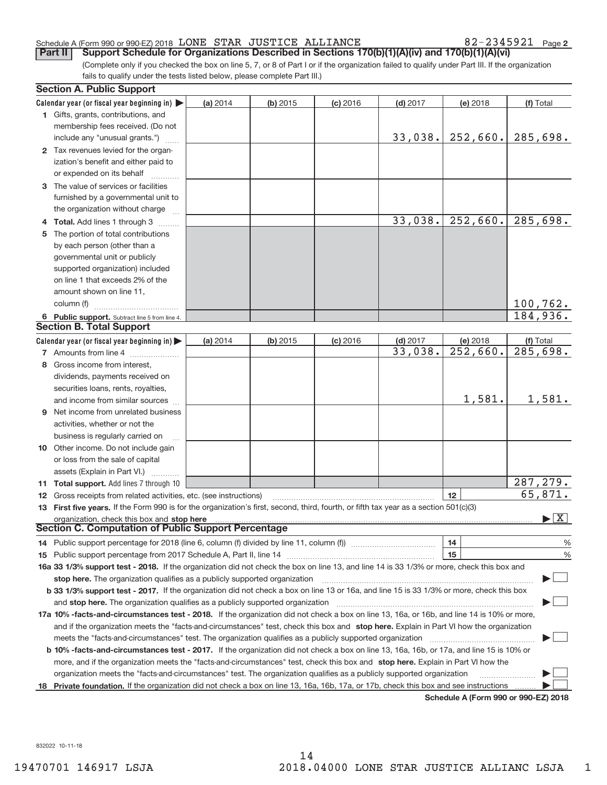#### Schedule A (Form 990 or 990‐EZ) 2018 Page LONE STAR JUSTICE ALLIANCE 82‐2345921

82-2345921 Page 2

(Complete only if you checked the box on line 5, 7, or 8 of Part I or if the organization failed to qualify under Part III. If the organization fails to qualify under the tests listed below, please complete Part III.) **Part II** Support Schedule for Organizations Described in Sections 170(b)(1)(A)(iv) and 170(b)(1)(A)(vi)

| <b>Section A. Public Support</b>                                                                                                               |          |          |            |            |                                      |                                       |
|------------------------------------------------------------------------------------------------------------------------------------------------|----------|----------|------------|------------|--------------------------------------|---------------------------------------|
| Calendar year (or fiscal year beginning in)                                                                                                    | (a) 2014 | (b) 2015 | $(c)$ 2016 | $(d)$ 2017 | (e) 2018                             | (f) Total                             |
| 1 Gifts, grants, contributions, and                                                                                                            |          |          |            |            |                                      |                                       |
| membership fees received. (Do not                                                                                                              |          |          |            |            |                                      |                                       |
| include any "unusual grants.")                                                                                                                 |          |          |            | 33,038.    | 252,660.                             | 285,698.                              |
| 2 Tax revenues levied for the organ-                                                                                                           |          |          |            |            |                                      |                                       |
| ization's benefit and either paid to                                                                                                           |          |          |            |            |                                      |                                       |
| or expended on its behalf                                                                                                                      |          |          |            |            |                                      |                                       |
| 3 The value of services or facilities                                                                                                          |          |          |            |            |                                      |                                       |
| furnished by a governmental unit to                                                                                                            |          |          |            |            |                                      |                                       |
| the organization without charge                                                                                                                |          |          |            |            |                                      |                                       |
| 4 Total. Add lines 1 through 3                                                                                                                 |          |          |            | 33,038.    | 252,660.                             | 285,698.                              |
| The portion of total contributions                                                                                                             |          |          |            |            |                                      |                                       |
| by each person (other than a                                                                                                                   |          |          |            |            |                                      |                                       |
| governmental unit or publicly                                                                                                                  |          |          |            |            |                                      |                                       |
| supported organization) included                                                                                                               |          |          |            |            |                                      |                                       |
| on line 1 that exceeds 2% of the                                                                                                               |          |          |            |            |                                      |                                       |
| amount shown on line 11,                                                                                                                       |          |          |            |            |                                      |                                       |
| column (f)                                                                                                                                     |          |          |            |            |                                      | 100,762.                              |
| 6 Public support. Subtract line 5 from line 4.                                                                                                 |          |          |            |            |                                      | 184,936.                              |
| <b>Section B. Total Support</b>                                                                                                                |          |          |            |            |                                      |                                       |
| Calendar year (or fiscal year beginning in)                                                                                                    | (a) 2014 | (b) 2015 | $(c)$ 2016 | $(d)$ 2017 | (e) 2018                             | (f) Total                             |
| 7 Amounts from line 4                                                                                                                          |          |          |            | 33,038.    | $\overline{252}$ , 660.              | 285,698.                              |
| 8 Gross income from interest,                                                                                                                  |          |          |            |            |                                      |                                       |
| dividends, payments received on                                                                                                                |          |          |            |            |                                      |                                       |
| securities loans, rents, royalties,                                                                                                            |          |          |            |            |                                      |                                       |
| and income from similar sources                                                                                                                |          |          |            |            | 1,581.                               | 1,581.                                |
| <b>9</b> Net income from unrelated business                                                                                                    |          |          |            |            |                                      |                                       |
|                                                                                                                                                |          |          |            |            |                                      |                                       |
| activities, whether or not the                                                                                                                 |          |          |            |            |                                      |                                       |
| business is regularly carried on                                                                                                               |          |          |            |            |                                      |                                       |
| <b>10</b> Other income. Do not include gain                                                                                                    |          |          |            |            |                                      |                                       |
| or loss from the sale of capital                                                                                                               |          |          |            |            |                                      |                                       |
| assets (Explain in Part VI.)                                                                                                                   |          |          |            |            |                                      | 287, 279.                             |
| 11 Total support. Add lines 7 through 10                                                                                                       |          |          |            |            |                                      | 65,871.                               |
| <b>12</b> Gross receipts from related activities, etc. (see instructions)                                                                      |          |          |            |            | 12                                   |                                       |
| 13 First five years. If the Form 990 is for the organization's first, second, third, fourth, or fifth tax year as a section 501(c)(3)          |          |          |            |            |                                      | $\blacktriangleright$ $\mid$ X $\mid$ |
| <b>Section C. Computation of Public Support Percentage</b>                                                                                     |          |          |            |            |                                      |                                       |
|                                                                                                                                                |          |          |            |            |                                      |                                       |
| 14 Public support percentage for 2018 (line 6, column (f) divided by line 11, column (f) <i>mummention</i>                                     |          |          |            |            | 14<br>15                             | %                                     |
|                                                                                                                                                |          |          |            |            |                                      | %                                     |
| 16a 33 1/3% support test - 2018. If the organization did not check the box on line 13, and line 14 is 33 1/3% or more, check this box and      |          |          |            |            |                                      |                                       |
| stop here. The organization qualifies as a publicly supported organization                                                                     |          |          |            |            |                                      |                                       |
| b 33 1/3% support test - 2017. If the organization did not check a box on line 13 or 16a, and line 15 is 33 1/3% or more, check this box       |          |          |            |            |                                      |                                       |
| and stop here. The organization qualifies as a publicly supported organization                                                                 |          |          |            |            |                                      |                                       |
| 17a 10% -facts-and-circumstances test - 2018. If the organization did not check a box on line 13, 16a, or 16b, and line 14 is 10% or more,     |          |          |            |            |                                      |                                       |
| and if the organization meets the "facts-and-circumstances" test, check this box and stop here. Explain in Part VI how the organization        |          |          |            |            |                                      |                                       |
| meets the "facts-and-circumstances" test. The organization qualifies as a publicly supported organization                                      |          |          |            |            |                                      |                                       |
| <b>b 10% -facts-and-circumstances test - 2017.</b> If the organization did not check a box on line 13, 16a, 16b, or 17a, and line 15 is 10% or |          |          |            |            |                                      |                                       |
| more, and if the organization meets the "facts-and-circumstances" test, check this box and stop here. Explain in Part VI how the               |          |          |            |            |                                      |                                       |
| organization meets the "facts-and-circumstances" test. The organization qualifies as a publicly supported organization                         |          |          |            |            |                                      |                                       |
| 18 Private foundation. If the organization did not check a box on line 13, 16a, 16b, 17a, or 17b, check this box and see instructions          |          |          |            |            | Cabadula A (Faum 000 av 000 EZ) 0040 |                                       |

**Schedule A (Form 990 or 990‐EZ) 2018**

832022 10‐11‐18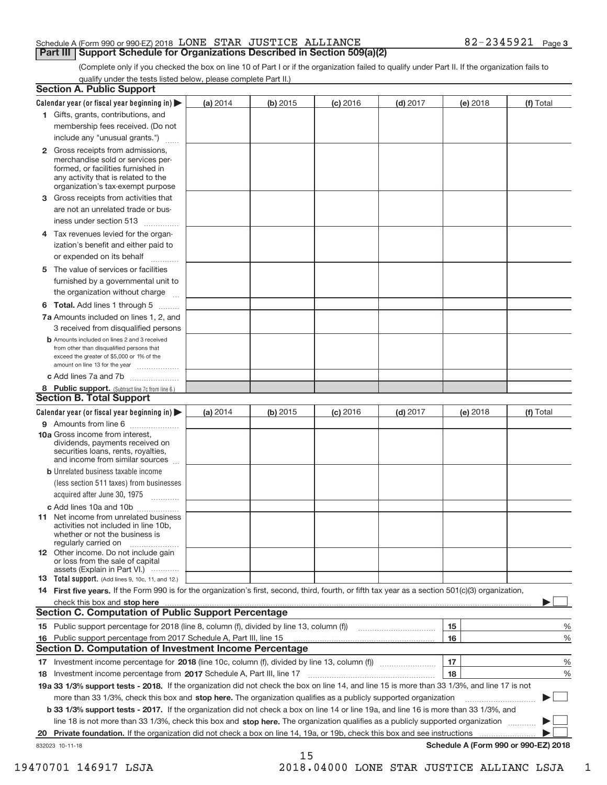#### Schedule A (Form 990 or 990‐EZ) 2018 Page LONE STAR JUSTICE ALLIANCE 82‐2345921 **Part III | Support Schedule for Organizations Described in Section 509(a)(2)**

(Complete only if you checked the box on line 10 of Part I or if the organization failed to qualify under Part II. If the organization fails to qualify under the tests listed below, please complete Part II.)

|    | <b>Section A. Public Support</b>                                                                                                                                                                |          |          |            |            |          |                                      |
|----|-------------------------------------------------------------------------------------------------------------------------------------------------------------------------------------------------|----------|----------|------------|------------|----------|--------------------------------------|
|    | Calendar year (or fiscal year beginning in) $\blacktriangleright$                                                                                                                               | (a) 2014 | (b) 2015 | $(c)$ 2016 | $(d)$ 2017 | (e) 2018 | (f) Total                            |
|    | 1 Gifts, grants, contributions, and                                                                                                                                                             |          |          |            |            |          |                                      |
|    | membership fees received. (Do not                                                                                                                                                               |          |          |            |            |          |                                      |
|    | include any "unusual grants.")                                                                                                                                                                  |          |          |            |            |          |                                      |
|    | <b>2</b> Gross receipts from admissions,<br>merchandise sold or services per-<br>formed, or facilities furnished in<br>any activity that is related to the<br>organization's tax-exempt purpose |          |          |            |            |          |                                      |
| 3  | Gross receipts from activities that                                                                                                                                                             |          |          |            |            |          |                                      |
|    | are not an unrelated trade or bus-                                                                                                                                                              |          |          |            |            |          |                                      |
|    | iness under section 513                                                                                                                                                                         |          |          |            |            |          |                                      |
|    | 4 Tax revenues levied for the organ-<br>ization's benefit and either paid to                                                                                                                    |          |          |            |            |          |                                      |
|    | or expended on its behalf<br>$\overline{\phantom{a}}$                                                                                                                                           |          |          |            |            |          |                                      |
|    | 5 The value of services or facilities                                                                                                                                                           |          |          |            |            |          |                                      |
|    | furnished by a governmental unit to                                                                                                                                                             |          |          |            |            |          |                                      |
|    | the organization without charge                                                                                                                                                                 |          |          |            |            |          |                                      |
|    | <b>6 Total.</b> Add lines 1 through 5                                                                                                                                                           |          |          |            |            |          |                                      |
|    | 7a Amounts included on lines 1, 2, and                                                                                                                                                          |          |          |            |            |          |                                      |
|    | 3 received from disqualified persons                                                                                                                                                            |          |          |            |            |          |                                      |
|    | <b>b</b> Amounts included on lines 2 and 3 received<br>from other than disqualified persons that<br>exceed the greater of \$5,000 or 1% of the<br>amount on line 13 for the year                |          |          |            |            |          |                                      |
|    | c Add lines 7a and 7b                                                                                                                                                                           |          |          |            |            |          |                                      |
|    | 8 Public support. (Subtract line 7c from line 6.)                                                                                                                                               |          |          |            |            |          |                                      |
|    | <b>Section B. Total Support</b>                                                                                                                                                                 |          |          |            |            |          |                                      |
|    | Calendar year (or fiscal year beginning in) $\blacktriangleright$                                                                                                                               | (a) 2014 | (b) 2015 | $(c)$ 2016 | $(d)$ 2017 | (e) 2018 | (f) Total                            |
|    | 9 Amounts from line 6                                                                                                                                                                           |          |          |            |            |          |                                      |
|    | 10a Gross income from interest,<br>dividends, payments received on<br>securities loans, rents, royalties,<br>and income from similar sources                                                    |          |          |            |            |          |                                      |
|    | <b>b</b> Unrelated business taxable income                                                                                                                                                      |          |          |            |            |          |                                      |
|    | (less section 511 taxes) from businesses<br>acquired after June 30, 1975<br>$\overline{\phantom{a}}$                                                                                            |          |          |            |            |          |                                      |
|    | c Add lines 10a and 10b                                                                                                                                                                         |          |          |            |            |          |                                      |
|    | <b>11</b> Net income from unrelated business<br>activities not included in line 10b.<br>whether or not the business is<br>regularly carried on                                                  |          |          |            |            |          |                                      |
|    | 12 Other income. Do not include gain<br>or loss from the sale of capital<br>assets (Explain in Part VI.)                                                                                        |          |          |            |            |          |                                      |
|    | <b>13</b> Total support. (Add lines 9, 10c, 11, and 12.)                                                                                                                                        |          |          |            |            |          |                                      |
|    | 14 First five years. If the Form 990 is for the organization's first, second, third, fourth, or fifth tax year as a section 501(c)(3) organization,                                             |          |          |            |            |          |                                      |
|    | check this box and stop here <i>macuum macuum macuum macuum macuum macuum macuum macuum macuum</i>                                                                                              |          |          |            |            |          |                                      |
|    | <b>Section C. Computation of Public Support Percentage</b>                                                                                                                                      |          |          |            |            |          |                                      |
|    | 15 Public support percentage for 2018 (line 8, column (f), divided by line 13, column (f))                                                                                                      |          |          |            |            | 15       | %                                    |
|    | 16 Public support percentage from 2017 Schedule A, Part III, line 15                                                                                                                            |          |          |            |            | 16       | %                                    |
|    | <b>Section D. Computation of Investment Income Percentage</b>                                                                                                                                   |          |          |            |            |          |                                      |
|    |                                                                                                                                                                                                 |          |          |            |            | 17       | %                                    |
|    | 18 Investment income percentage from 2017 Schedule A, Part III, line 17                                                                                                                         |          |          |            |            | 18       | %                                    |
|    | 19a 33 1/3% support tests - 2018. If the organization did not check the box on line 14, and line 15 is more than 33 1/3%, and line 17 is not                                                    |          |          |            |            |          |                                      |
|    | more than 33 1/3%, check this box and stop here. The organization qualifies as a publicly supported organization                                                                                |          |          |            |            |          |                                      |
|    | b 33 1/3% support tests - 2017. If the organization did not check a box on line 14 or line 19a, and line 16 is more than 33 1/3%, and                                                           |          |          |            |            |          |                                      |
|    | line 18 is not more than 33 1/3%, check this box and stop here. The organization qualifies as a publicly supported organization                                                                 |          |          |            |            |          |                                      |
| 20 | <b>Private foundation.</b> If the organization did not check a box on line 14, 19a, or 19b, check this box and see instructions                                                                 |          |          |            |            |          |                                      |
|    | 832023 10-11-18                                                                                                                                                                                 |          | 15       |            |            |          | Schedule A (Form 990 or 990-EZ) 2018 |

19470701 146917 LSJA 2018.04000 LONE STAR JUSTICE ALLIANC LSJA\_\_\_1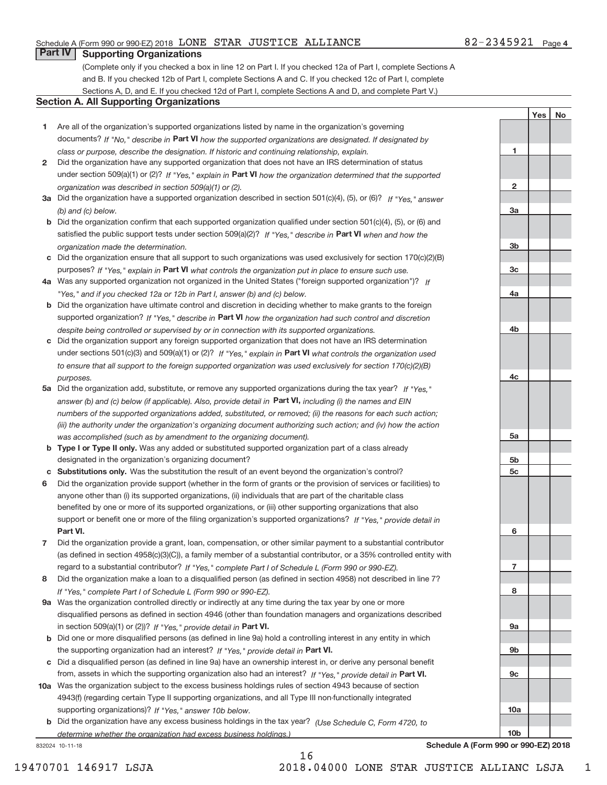#### Schedule A (Form 990 or 990‐EZ) 2018 Page LONE STAR JUSTICE ALLIANCE 82‐2345921

### **Part IV Supporting Organizations**

(Complete only if you checked a box in line 12 on Part I. If you checked 12a of Part I, complete Sections A and B. If you checked 12b of Part I, complete Sections A and C. If you checked 12c of Part I, complete Sections A, D, and E. If you checked 12d of Part I, complete Sections A and D, and complete Part V.)

#### **Section A. All Supporting Organizations**

- **1** Are all of the organization's supported organizations listed by name in the organization's governing documents? If "No," describe in Part VI how the supported organizations are designated. If designated by *class or purpose, describe the designation. If historic and continuing relationship, explain.*
- **2** Did the organization have any supported organization that does not have an IRS determination of status under section 509(a)(1) or (2)? If "Yes," explain in Part VI how the organization determined that the supported *organization was described in section 509(a)(1) or (2).*
- **3a** Did the organization have a supported organization described in section 501(c)(4), (5), or (6)? If "Yes," answer *(b) and (c) below.*
- **b** Did the organization confirm that each supported organization qualified under section 501(c)(4), (5), or (6) and satisfied the public support tests under section 509(a)(2)? If "Yes," describe in Part VI when and how the *organization made the determination.*
- **c** Did the organization ensure that all support to such organizations was used exclusively for section 170(c)(2)(B) purposes? If "Yes," explain in Part VI what controls the organization put in place to ensure such use.
- **4 a** *If* Was any supported organization not organized in the United States ("foreign supported organization")? *"Yes," and if you checked 12a or 12b in Part I, answer (b) and (c) below.*
- **b** Did the organization have ultimate control and discretion in deciding whether to make grants to the foreign supported organization? If "Yes," describe in Part VI how the organization had such control and discretion *despite being controlled or supervised by or in connection with its supported organizations.*
- **c** Did the organization support any foreign supported organization that does not have an IRS determination under sections 501(c)(3) and 509(a)(1) or (2)? If "Yes," explain in Part VI what controls the organization used *to ensure that all support to the foreign supported organization was used exclusively for section 170(c)(2)(B) purposes.*
- **5a** Did the organization add, substitute, or remove any supported organizations during the tax year? If "Yes," answer (b) and (c) below (if applicable). Also, provide detail in **Part VI,** including (i) the names and EIN *numbers of the supported organizations added, substituted, or removed; (ii) the reasons for each such action; (iii) the authority under the organization's organizing document authorizing such action; and (iv) how the action was accomplished (such as by amendment to the organizing document).*
- **b** Type I or Type II only. Was any added or substituted supported organization part of a class already designated in the organization's organizing document?
- **c Substitutions only.**  Was the substitution the result of an event beyond the organization's control?
- **6** Did the organization provide support (whether in the form of grants or the provision of services or facilities) to **Part VI.** *If "Yes," provide detail in* support or benefit one or more of the filing organization's supported organizations? anyone other than (i) its supported organizations, (ii) individuals that are part of the charitable class benefited by one or more of its supported organizations, or (iii) other supporting organizations that also
- **7** Did the organization provide a grant, loan, compensation, or other similar payment to a substantial contributor regard to a substantial contributor? If "Yes," complete Part I of Schedule L (Form 990 or 990-EZ). (as defined in section 4958(c)(3)(C)), a family member of a substantial contributor, or a 35% controlled entity with
- **8** Did the organization make a loan to a disqualified person (as defined in section 4958) not described in line 7? *If "Yes," complete Part I of Schedule L (Form 990 or 990-EZ).*
- **9 a** Was the organization controlled directly or indirectly at any time during the tax year by one or more in section 509(a)(1) or (2))? If "Yes," provide detail in Part VI. disqualified persons as defined in section 4946 (other than foundation managers and organizations described
- **b** the supporting organization had an interest? If "Yes," provide detail in Part VI. Did one or more disqualified persons (as defined in line 9a) hold a controlling interest in any entity in which
- **c** Did a disqualified person (as defined in line 9a) have an ownership interest in, or derive any personal benefit from, assets in which the supporting organization also had an interest? If "Yes," provide detail in Part VI.
- **10 a** Was the organization subject to the excess business holdings rules of section 4943 because of section supporting organizations)? If "Yes," answer 10b below. 4943(f) (regarding certain Type II supporting organizations, and all Type III non-functionally integrated
- **b** Did the organization have any excess business holdings in the tax year? (Use Schedule C, Form 4720, to *determine whether the organization had excess business holdings.)*

832024 10‐11‐18

Yes | No

**10a**

**10b**

16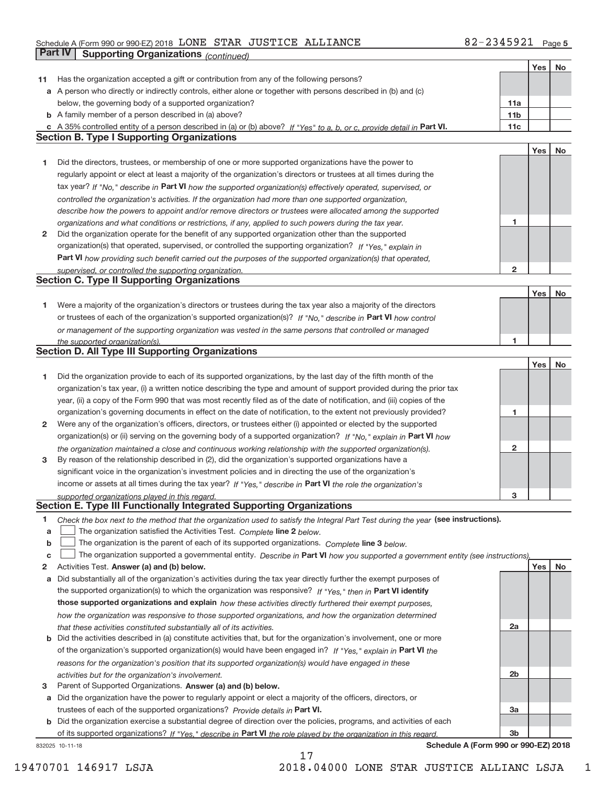#### Schedule A (Form 990 or 990‐EZ) 2018 Page LONE STAR JUSTICE ALLIANCE 82‐2345921 **Part IV Supporting Organizations** *(continued)*

|    |                                                                                                                                                                                               |                 | Yes | No |
|----|-----------------------------------------------------------------------------------------------------------------------------------------------------------------------------------------------|-----------------|-----|----|
| 11 | Has the organization accepted a gift or contribution from any of the following persons?                                                                                                       |                 |     |    |
|    | a A person who directly or indirectly controls, either alone or together with persons described in (b) and (c)                                                                                |                 |     |    |
|    | below, the governing body of a supported organization?                                                                                                                                        | 11a             |     |    |
|    | <b>b</b> A family member of a person described in (a) above?                                                                                                                                  | 11 <sub>b</sub> |     |    |
|    | c A 35% controlled entity of a person described in (a) or (b) above? If "Yes" to a, b, or c, provide detail in Part VI.                                                                       | 11c             |     |    |
|    | <b>Section B. Type I Supporting Organizations</b>                                                                                                                                             |                 |     |    |
|    |                                                                                                                                                                                               |                 | Yes | No |
| 1  | Did the directors, trustees, or membership of one or more supported organizations have the power to                                                                                           |                 |     |    |
|    | regularly appoint or elect at least a majority of the organization's directors or trustees at all times during the                                                                            |                 |     |    |
|    | tax year? If "No," describe in Part VI how the supported organization(s) effectively operated, supervised, or                                                                                 |                 |     |    |
|    | controlled the organization's activities. If the organization had more than one supported organization,                                                                                       |                 |     |    |
|    | describe how the powers to appoint and/or remove directors or trustees were allocated among the supported                                                                                     |                 |     |    |
|    | organizations and what conditions or restrictions, if any, applied to such powers during the tax year.                                                                                        | 1               |     |    |
| 2  | Did the organization operate for the benefit of any supported organization other than the supported                                                                                           |                 |     |    |
|    | organization(s) that operated, supervised, or controlled the supporting organization? If "Yes," explain in                                                                                    |                 |     |    |
|    | Part VI how providing such benefit carried out the purposes of the supported organization(s) that operated,                                                                                   |                 |     |    |
|    | supervised, or controlled the supporting organization.                                                                                                                                        | $\mathbf{2}$    |     |    |
|    | <b>Section C. Type II Supporting Organizations</b>                                                                                                                                            |                 |     |    |
|    |                                                                                                                                                                                               |                 | Yes | No |
| 1. | Were a majority of the organization's directors or trustees during the tax year also a majority of the directors                                                                              |                 |     |    |
|    | or trustees of each of the organization's supported organization(s)? If "No," describe in Part VI how control                                                                                 |                 |     |    |
|    | or management of the supporting organization was vested in the same persons that controlled or managed                                                                                        |                 |     |    |
|    | the supported organization(s).                                                                                                                                                                | 1               |     |    |
|    | <b>Section D. All Type III Supporting Organizations</b>                                                                                                                                       |                 |     |    |
|    |                                                                                                                                                                                               |                 | Yes | No |
| 1  | Did the organization provide to each of its supported organizations, by the last day of the fifth month of the                                                                                |                 |     |    |
|    | organization's tax year, (i) a written notice describing the type and amount of support provided during the prior tax                                                                         |                 |     |    |
|    | year, (ii) a copy of the Form 990 that was most recently filed as of the date of notification, and (iii) copies of the                                                                        |                 |     |    |
|    | organization's governing documents in effect on the date of notification, to the extent not previously provided?                                                                              | 1               |     |    |
| 2  | Were any of the organization's officers, directors, or trustees either (i) appointed or elected by the supported                                                                              |                 |     |    |
|    | organization(s) or (ii) serving on the governing body of a supported organization? If "No," explain in Part VI how                                                                            |                 |     |    |
|    | the organization maintained a close and continuous working relationship with the supported organization(s).                                                                                   | $\mathbf{2}$    |     |    |
| 3  | By reason of the relationship described in (2), did the organization's supported organizations have a                                                                                         |                 |     |    |
|    | significant voice in the organization's investment policies and in directing the use of the organization's                                                                                    |                 |     |    |
|    | income or assets at all times during the tax year? If "Yes," describe in Part VI the role the organization's                                                                                  |                 |     |    |
|    | supported organizations played in this regard.                                                                                                                                                | 3               |     |    |
|    | Section E. Type III Functionally Integrated Supporting Organizations                                                                                                                          |                 |     |    |
| 1  | Check the box next to the method that the organization used to satisfy the Integral Part Test during the year (see instructions).                                                             |                 |     |    |
| a  | The organization satisfied the Activities Test. Complete line 2 below.                                                                                                                        |                 |     |    |
| b  | The organization is the parent of each of its supported organizations. Complete line 3 below.                                                                                                 |                 |     |    |
| С  | The organization supported a governmental entity. Describe in Part VI how you supported a government entity (see instructions),                                                               |                 |     |    |
| 2  | Activities Test. Answer (a) and (b) below.                                                                                                                                                    |                 | Yes | No |
| a  | Did substantially all of the organization's activities during the tax year directly further the exempt purposes of                                                                            |                 |     |    |
|    | the supported organization(s) to which the organization was responsive? If "Yes," then in Part VI identify                                                                                    |                 |     |    |
|    | those supported organizations and explain how these activities directly furthered their exempt purposes,                                                                                      |                 |     |    |
|    | how the organization was responsive to those supported organizations, and how the organization determined                                                                                     | 2a              |     |    |
| b  | that these activities constituted substantially all of its activities.<br>Did the activities described in (a) constitute activities that, but for the organization's involvement, one or more |                 |     |    |
|    | of the organization's supported organization(s) would have been engaged in? If "Yes," explain in Part VI the                                                                                  |                 |     |    |
|    |                                                                                                                                                                                               |                 |     |    |
|    | reasons for the organization's position that its supported organization(s) would have engaged in these                                                                                        | 2b              |     |    |
| з  | activities but for the organization's involvement.<br>Parent of Supported Organizations. Answer (a) and (b) below.                                                                            |                 |     |    |
| а  | Did the organization have the power to regularly appoint or elect a majority of the officers, directors, or                                                                                   |                 |     |    |
|    | trustees of each of the supported organizations? Provide details in Part VI.                                                                                                                  | Зa              |     |    |
|    | b Did the organization exercise a substantial degree of direction over the policies, programs, and activities of each                                                                         |                 |     |    |
|    | of its supported organizations? If "Yes." describe in Part VI the role played by the organization in this regard.                                                                             | 3 <sub>b</sub>  |     |    |
|    |                                                                                                                                                                                               |                 |     |    |

17

832025 10‐11‐18

**Schedule A (Form 990 or 990‐EZ) 2018**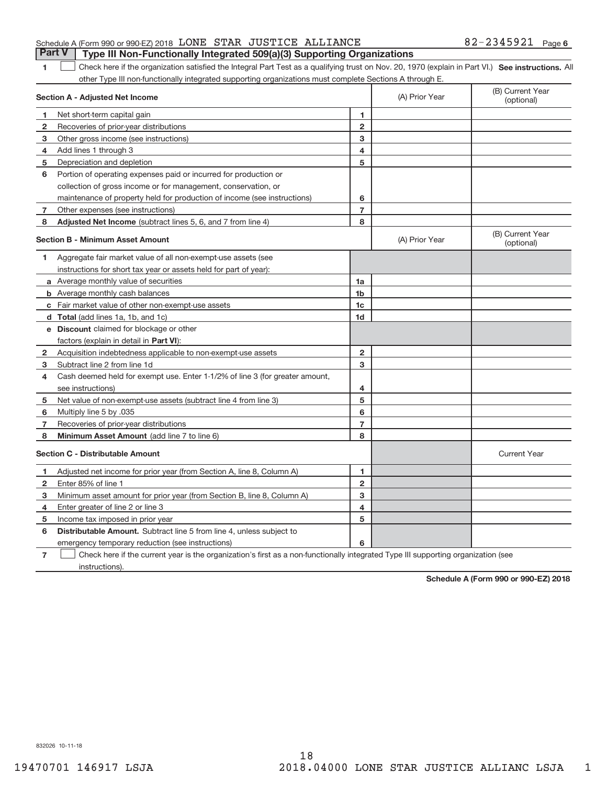| Schedule A (Form 990 or 990-EZ) 2018 LONE STAR JUSTICE ALLIANCE |  |                                                                                  | $82 - 2345921$ Page 6 |  |
|-----------------------------------------------------------------|--|----------------------------------------------------------------------------------|-----------------------|--|
|                                                                 |  | Part V   Type III Non-Functionally Integrated 509(a)(3) Supporting Organizations |                       |  |

1 **1 See instructions.** All Part Integral Part Test as a qualifying trust on Nov. 20, 1970 (explain in Part VI.) See instructions. All other Type III non‐functionally integrated supporting organizations must complete Sections A through E.  $\overline{\phantom{a}}$ 

|                | Section A - Adjusted Net Income                                                                                                   |                | (A) Prior Year | (B) Current Year<br>(optional) |
|----------------|-----------------------------------------------------------------------------------------------------------------------------------|----------------|----------------|--------------------------------|
| 1              | Net short-term capital gain                                                                                                       | 1              |                |                                |
| $\mathbf{2}$   | Recoveries of prior-year distributions                                                                                            | $\overline{2}$ |                |                                |
| 3              | Other gross income (see instructions)                                                                                             | 3              |                |                                |
| 4              | Add lines 1 through 3                                                                                                             | 4              |                |                                |
| 5              | Depreciation and depletion                                                                                                        | 5              |                |                                |
| 6              | Portion of operating expenses paid or incurred for production or                                                                  |                |                |                                |
|                | collection of gross income or for management, conservation, or                                                                    |                |                |                                |
|                | maintenance of property held for production of income (see instructions)                                                          | 6              |                |                                |
| 7              | Other expenses (see instructions)                                                                                                 | $\overline{7}$ |                |                                |
| 8              | Adjusted Net Income (subtract lines 5, 6, and 7 from line 4)                                                                      | 8              |                |                                |
|                | <b>Section B - Minimum Asset Amount</b>                                                                                           |                | (A) Prior Year | (B) Current Year<br>(optional) |
| 1              | Aggregate fair market value of all non-exempt-use assets (see                                                                     |                |                |                                |
|                | instructions for short tax year or assets held for part of year):                                                                 |                |                |                                |
|                | <b>a</b> Average monthly value of securities                                                                                      | 1a             |                |                                |
|                | <b>b</b> Average monthly cash balances                                                                                            | 1 <sub>b</sub> |                |                                |
|                | c Fair market value of other non-exempt-use assets                                                                                | 1c             |                |                                |
|                | d Total (add lines 1a, 1b, and 1c)                                                                                                | 1d             |                |                                |
|                | e Discount claimed for blockage or other                                                                                          |                |                |                                |
|                | factors (explain in detail in Part VI):                                                                                           |                |                |                                |
| $\mathbf{2}$   | Acquisition indebtedness applicable to non-exempt-use assets                                                                      | $\mathbf{2}$   |                |                                |
| 3              | Subtract line 2 from line 1d                                                                                                      | 3              |                |                                |
| 4              | Cash deemed held for exempt use. Enter 1-1/2% of line 3 (for greater amount,                                                      |                |                |                                |
|                | see instructions)                                                                                                                 | 4              |                |                                |
| 5              | Net value of non-exempt-use assets (subtract line 4 from line 3)                                                                  | 5              |                |                                |
| 6              | Multiply line 5 by .035                                                                                                           | 6              |                |                                |
| 7              | Recoveries of prior-year distributions                                                                                            | $\overline{7}$ |                |                                |
| 8              | Minimum Asset Amount (add line 7 to line 6)                                                                                       | 8              |                |                                |
|                | <b>Section C - Distributable Amount</b>                                                                                           |                |                | <b>Current Year</b>            |
| 1.             | Adjusted net income for prior year (from Section A, line 8, Column A)                                                             | 1              |                |                                |
| $\mathbf{2}$   | Enter 85% of line 1                                                                                                               | $\overline{2}$ |                |                                |
| 3              | Minimum asset amount for prior year (from Section B, line 8, Column A)                                                            | 3              |                |                                |
| 4              | Enter greater of line 2 or line 3                                                                                                 | 4              |                |                                |
| 5              | Income tax imposed in prior year                                                                                                  | 5              |                |                                |
| 6              | <b>Distributable Amount.</b> Subtract line 5 from line 4, unless subject to                                                       |                |                |                                |
|                | emergency temporary reduction (see instructions)                                                                                  | 6              |                |                                |
| $\overline{7}$ | Check here if the current year is the organization's first as a non-functionally integrated Type III supporting organization (see |                |                |                                |

instructions).

**Schedule A (Form 990 or 990‐EZ) 2018**

832026 10‐11‐18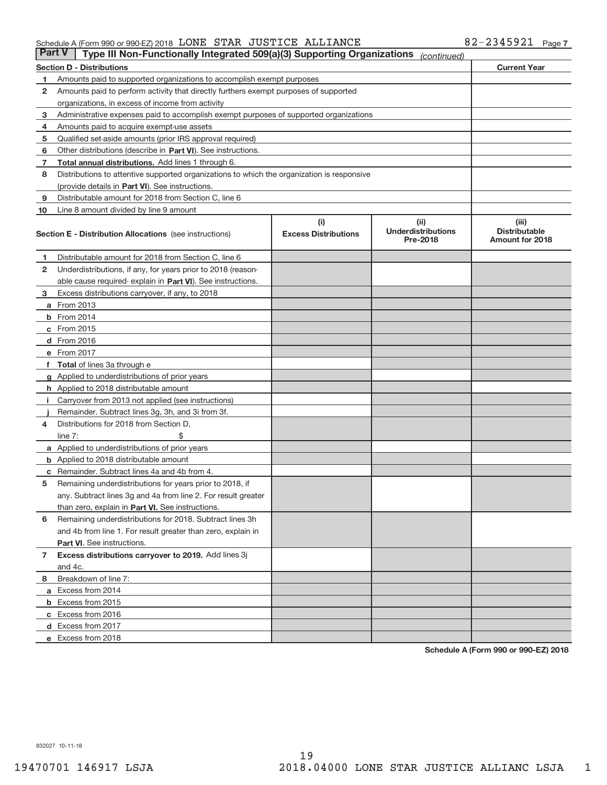#### Schedule A (Form 990 or 990‐EZ) 2018 Page LONE STAR JUSTICE ALLIANCE 82‐2345921

| <b>Part V</b><br>Type III Non-Functionally Integrated 509(a)(3) Supporting Organizations<br>(continued) |                                                                                            |                                    |                                    |                               |  |  |
|---------------------------------------------------------------------------------------------------------|--------------------------------------------------------------------------------------------|------------------------------------|------------------------------------|-------------------------------|--|--|
|                                                                                                         | <b>Current Year</b><br><b>Section D - Distributions</b>                                    |                                    |                                    |                               |  |  |
| 1                                                                                                       | Amounts paid to supported organizations to accomplish exempt purposes                      |                                    |                                    |                               |  |  |
| 2                                                                                                       | Amounts paid to perform activity that directly furthers exempt purposes of supported       |                                    |                                    |                               |  |  |
|                                                                                                         | organizations, in excess of income from activity                                           |                                    |                                    |                               |  |  |
| 3                                                                                                       | Administrative expenses paid to accomplish exempt purposes of supported organizations      |                                    |                                    |                               |  |  |
| 4                                                                                                       | Amounts paid to acquire exempt-use assets                                                  |                                    |                                    |                               |  |  |
| 5                                                                                                       | Qualified set-aside amounts (prior IRS approval required)                                  |                                    |                                    |                               |  |  |
| 6                                                                                                       | Other distributions (describe in Part VI). See instructions.                               |                                    |                                    |                               |  |  |
| 7                                                                                                       | <b>Total annual distributions.</b> Add lines 1 through 6.                                  |                                    |                                    |                               |  |  |
| 8                                                                                                       | Distributions to attentive supported organizations to which the organization is responsive |                                    |                                    |                               |  |  |
|                                                                                                         | (provide details in Part VI). See instructions.                                            |                                    |                                    |                               |  |  |
| 9                                                                                                       | Distributable amount for 2018 from Section C, line 6                                       |                                    |                                    |                               |  |  |
| 10                                                                                                      | Line 8 amount divided by line 9 amount                                                     |                                    |                                    |                               |  |  |
|                                                                                                         | <b>Section E - Distribution Allocations</b> (see instructions)                             | (i)<br><b>Excess Distributions</b> | (iii)<br><b>Underdistributions</b> | (iii)<br><b>Distributable</b> |  |  |
|                                                                                                         |                                                                                            |                                    | Pre-2018                           | <b>Amount for 2018</b>        |  |  |
| 1.                                                                                                      | Distributable amount for 2018 from Section C, line 6                                       |                                    |                                    |                               |  |  |
| 2                                                                                                       | Underdistributions, if any, for years prior to 2018 (reason-                               |                                    |                                    |                               |  |  |
|                                                                                                         | able cause required-explain in Part VI). See instructions.                                 |                                    |                                    |                               |  |  |
| 3                                                                                                       | Excess distributions carryover, if any, to 2018                                            |                                    |                                    |                               |  |  |
|                                                                                                         | <b>a</b> From 2013                                                                         |                                    |                                    |                               |  |  |
|                                                                                                         | <b>b</b> From 2014                                                                         |                                    |                                    |                               |  |  |
|                                                                                                         | c From 2015                                                                                |                                    |                                    |                               |  |  |
|                                                                                                         | <b>d</b> From 2016                                                                         |                                    |                                    |                               |  |  |
|                                                                                                         | e From 2017                                                                                |                                    |                                    |                               |  |  |
|                                                                                                         | f Total of lines 3a through e                                                              |                                    |                                    |                               |  |  |
|                                                                                                         | g Applied to underdistributions of prior years                                             |                                    |                                    |                               |  |  |
|                                                                                                         | <b>h</b> Applied to 2018 distributable amount                                              |                                    |                                    |                               |  |  |
| Ť.                                                                                                      | Carryover from 2013 not applied (see instructions)                                         |                                    |                                    |                               |  |  |
|                                                                                                         | Remainder. Subtract lines 3g, 3h, and 3i from 3f.                                          |                                    |                                    |                               |  |  |
| 4                                                                                                       | Distributions for 2018 from Section D,                                                     |                                    |                                    |                               |  |  |
|                                                                                                         | line $7:$                                                                                  |                                    |                                    |                               |  |  |
|                                                                                                         | <b>a</b> Applied to underdistributions of prior years                                      |                                    |                                    |                               |  |  |
|                                                                                                         | <b>b</b> Applied to 2018 distributable amount                                              |                                    |                                    |                               |  |  |
| с                                                                                                       | Remainder. Subtract lines 4a and 4b from 4.                                                |                                    |                                    |                               |  |  |
| 5                                                                                                       | Remaining underdistributions for years prior to 2018, if                                   |                                    |                                    |                               |  |  |
|                                                                                                         | any. Subtract lines 3g and 4a from line 2. For result greater                              |                                    |                                    |                               |  |  |
|                                                                                                         | than zero, explain in Part VI. See instructions.                                           |                                    |                                    |                               |  |  |
| 6                                                                                                       | Remaining underdistributions for 2018. Subtract lines 3h                                   |                                    |                                    |                               |  |  |
|                                                                                                         | and 4b from line 1. For result greater than zero, explain in                               |                                    |                                    |                               |  |  |
|                                                                                                         | Part VI. See instructions.                                                                 |                                    |                                    |                               |  |  |
| $\mathbf{7}$                                                                                            | Excess distributions carryover to 2019. Add lines 3j                                       |                                    |                                    |                               |  |  |
|                                                                                                         | and 4c.                                                                                    |                                    |                                    |                               |  |  |
| 8                                                                                                       | Breakdown of line 7:                                                                       |                                    |                                    |                               |  |  |
|                                                                                                         | a Excess from 2014                                                                         |                                    |                                    |                               |  |  |
|                                                                                                         | <b>b</b> Excess from 2015                                                                  |                                    |                                    |                               |  |  |
|                                                                                                         | c Excess from 2016                                                                         |                                    |                                    |                               |  |  |
|                                                                                                         | d Excess from 2017                                                                         |                                    |                                    |                               |  |  |
|                                                                                                         | e Excess from 2018                                                                         |                                    |                                    |                               |  |  |

**Schedule A (Form 990 or 990‐EZ) 2018**

832027 10‐11‐18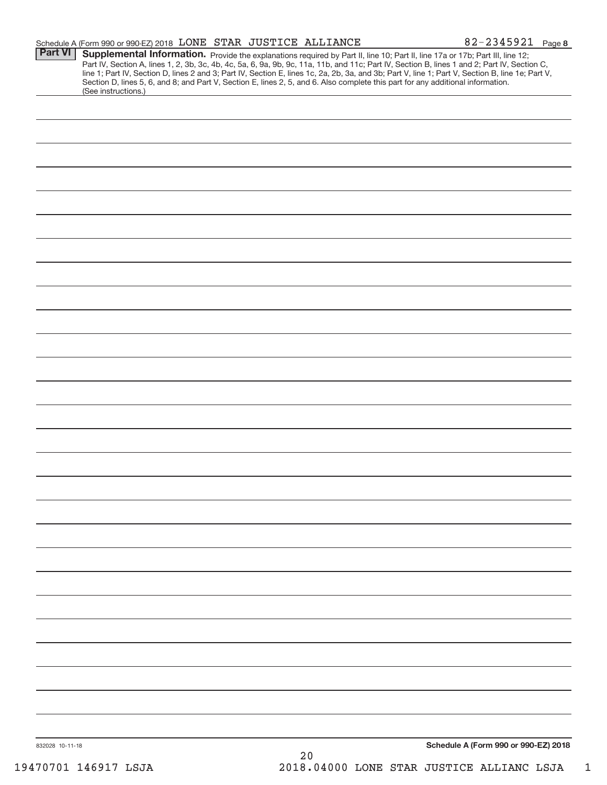|                 | Schedule A (Form 990 or 990-EZ) 2018 LONE STAR JUSTICE ALLIANCE                                                                                                                                                                                                  |    | 82-2345921 Page 8                                                                                                                                                                                                                                                                                |
|-----------------|------------------------------------------------------------------------------------------------------------------------------------------------------------------------------------------------------------------------------------------------------------------|----|--------------------------------------------------------------------------------------------------------------------------------------------------------------------------------------------------------------------------------------------------------------------------------------------------|
| <b>Part VI</b>  | Supplemental Information. Provide the explanations required by Part II, line 10; Part II, line 17a or 17b; Part III, line 12;<br>Section D, lines 5, 6, and 8; and Part V, Section E, lines 2, 5, and 6. Also complete this part for any additional information. |    | Part IV, Section A, lines 1, 2, 3b, 3c, 4b, 4c, 5a, 6, 9a, 9b, 9c, 11a, 11b, and 11c; Part IV, Section B, lines 1 and 2; Part IV, Section C,<br>line 1; Part IV, Section D, lines 2 and 3; Part IV, Section E, lines 1c, 2a, 2b, 3a, and 3b; Part V, line 1; Part V, Section B, line 1e; Part V, |
|                 | (See instructions.)                                                                                                                                                                                                                                              |    |                                                                                                                                                                                                                                                                                                  |
|                 |                                                                                                                                                                                                                                                                  |    |                                                                                                                                                                                                                                                                                                  |
|                 |                                                                                                                                                                                                                                                                  |    |                                                                                                                                                                                                                                                                                                  |
|                 |                                                                                                                                                                                                                                                                  |    |                                                                                                                                                                                                                                                                                                  |
|                 |                                                                                                                                                                                                                                                                  |    |                                                                                                                                                                                                                                                                                                  |
|                 |                                                                                                                                                                                                                                                                  |    |                                                                                                                                                                                                                                                                                                  |
|                 |                                                                                                                                                                                                                                                                  |    |                                                                                                                                                                                                                                                                                                  |
|                 |                                                                                                                                                                                                                                                                  |    |                                                                                                                                                                                                                                                                                                  |
|                 |                                                                                                                                                                                                                                                                  |    |                                                                                                                                                                                                                                                                                                  |
|                 |                                                                                                                                                                                                                                                                  |    |                                                                                                                                                                                                                                                                                                  |
|                 |                                                                                                                                                                                                                                                                  |    |                                                                                                                                                                                                                                                                                                  |
|                 |                                                                                                                                                                                                                                                                  |    |                                                                                                                                                                                                                                                                                                  |
|                 |                                                                                                                                                                                                                                                                  |    |                                                                                                                                                                                                                                                                                                  |
|                 |                                                                                                                                                                                                                                                                  |    |                                                                                                                                                                                                                                                                                                  |
|                 |                                                                                                                                                                                                                                                                  |    |                                                                                                                                                                                                                                                                                                  |
|                 |                                                                                                                                                                                                                                                                  |    |                                                                                                                                                                                                                                                                                                  |
|                 |                                                                                                                                                                                                                                                                  |    |                                                                                                                                                                                                                                                                                                  |
|                 |                                                                                                                                                                                                                                                                  |    |                                                                                                                                                                                                                                                                                                  |
|                 |                                                                                                                                                                                                                                                                  |    |                                                                                                                                                                                                                                                                                                  |
|                 |                                                                                                                                                                                                                                                                  |    |                                                                                                                                                                                                                                                                                                  |
|                 |                                                                                                                                                                                                                                                                  |    |                                                                                                                                                                                                                                                                                                  |
|                 |                                                                                                                                                                                                                                                                  |    |                                                                                                                                                                                                                                                                                                  |
|                 |                                                                                                                                                                                                                                                                  |    |                                                                                                                                                                                                                                                                                                  |
|                 |                                                                                                                                                                                                                                                                  |    |                                                                                                                                                                                                                                                                                                  |
|                 |                                                                                                                                                                                                                                                                  |    |                                                                                                                                                                                                                                                                                                  |
|                 |                                                                                                                                                                                                                                                                  |    |                                                                                                                                                                                                                                                                                                  |
|                 |                                                                                                                                                                                                                                                                  |    |                                                                                                                                                                                                                                                                                                  |
|                 |                                                                                                                                                                                                                                                                  |    |                                                                                                                                                                                                                                                                                                  |
|                 |                                                                                                                                                                                                                                                                  |    |                                                                                                                                                                                                                                                                                                  |
|                 |                                                                                                                                                                                                                                                                  |    |                                                                                                                                                                                                                                                                                                  |
|                 |                                                                                                                                                                                                                                                                  |    |                                                                                                                                                                                                                                                                                                  |
|                 |                                                                                                                                                                                                                                                                  |    |                                                                                                                                                                                                                                                                                                  |
| 832028 10-11-18 |                                                                                                                                                                                                                                                                  | 20 | Schedule A (Form 990 or 990-EZ) 2018                                                                                                                                                                                                                                                             |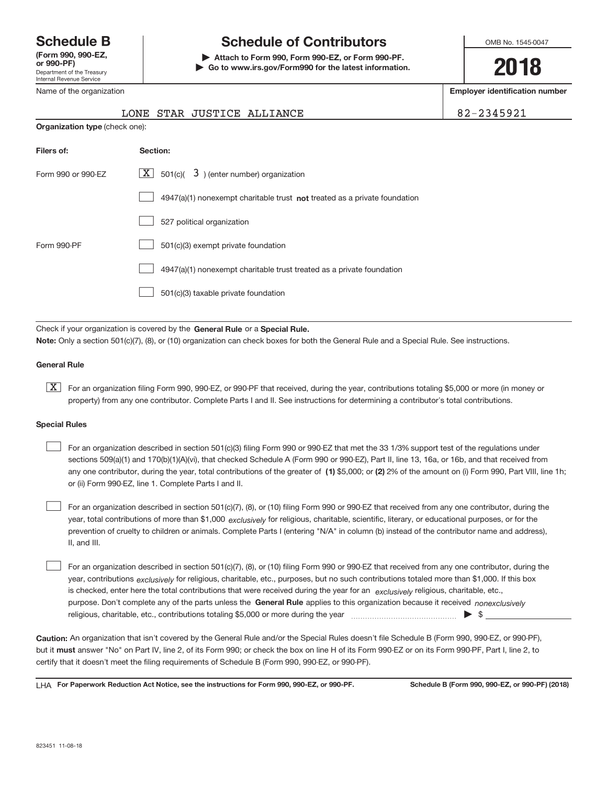Department of the Treasury Internal Revenue Service **(Form 990, 990‐EZ,**

## **Schedule B Schedule of Contributors**

**or 990‐PF) | Attach to Form 990, Form 990‐EZ, or Form 990‐PF. | Go to www.irs.gov/Form990 for the latest information.** OMB No. 1545-0047

**2018**

**Employer identification number**

|--|

| Internal Revenue Service |  |
|--------------------------|--|
| Name of the organization |  |

|                    | STAR JUSTICE ALLIANCE<br>LONE                                                      | 8 |  |  |  |  |
|--------------------|------------------------------------------------------------------------------------|---|--|--|--|--|
|                    | <b>Organization type (check one):</b>                                              |   |  |  |  |  |
| Filers of:         | Section:                                                                           |   |  |  |  |  |
| Form 990 or 990-EZ | $\lfloor x \rfloor$ 501(c)( 3) (enter number) organization                         |   |  |  |  |  |
|                    | $4947(a)(1)$ nonexempt charitable trust <b>not</b> treated as a private foundation |   |  |  |  |  |
|                    | 527 political organization                                                         |   |  |  |  |  |
| Form 990-PF        | 501(c)(3) exempt private foundation                                                |   |  |  |  |  |
|                    | 4947(a)(1) nonexempt charitable trust treated as a private foundation              |   |  |  |  |  |
|                    | 501(c)(3) taxable private foundation                                               |   |  |  |  |  |

Check if your organization is covered by the General Rule or a Special Rule. **Note:**  Only a section 501(c)(7), (8), or (10) organization can check boxes for both the General Rule and a Special Rule. See instructions.

#### **General Rule**

**K** For an organization filing Form 990, 990-EZ, or 990-PF that received, during the year, contributions totaling \$5,000 or more (in money or property) from any one contributor. Complete Parts I and II. See instructions for determining a contributor's total contributions.

#### **Special Rules**

any one contributor, during the year, total contributions of the greater of  $\,$  (1) \$5,000; or (2) 2% of the amount on (i) Form 990, Part VIII, line 1h; For an organization described in section 501(c)(3) filing Form 990 or 990‐EZ that met the 33 1/3% support test of the regulations under sections 509(a)(1) and 170(b)(1)(A)(vi), that checked Schedule A (Form 990 or 990‐EZ), Part II, line 13, 16a, or 16b, and that received from or (ii) Form 990‐EZ, line 1. Complete Parts I and II.  $\begin{array}{c} \hline \end{array}$ 

year, total contributions of more than \$1,000 *exclusively* for religious, charitable, scientific, literary, or educational purposes, or for the For an organization described in section 501(c)(7), (8), or (10) filing Form 990 or 990‐EZ that received from any one contributor, during the prevention of cruelty to children or animals. Complete Parts I (entering "N/A" in column (b) instead of the contributor name and address), II, and III.  $\begin{array}{c} \hline \end{array}$ 

purpose. Don't complete any of the parts unless the General Rule applies to this organization because it received nonexclusively year, contributions <sub>exclusively</sub> for religious, charitable, etc., purposes, but no such contributions totaled more than \$1,000. If this box is checked, enter here the total contributions that were received during the year for an *exclusively* religious, charitable, etc., For an organization described in section 501(c)(7), (8), or (10) filing Form 990 or 990‐EZ that received from any one contributor, during the religious, charitable, etc., contributions totaling \$5,000 or more during the year  $\Box$ — $\Box$   $\Box$  $\begin{array}{c} \hline \end{array}$ 

**Caution:**  An organization that isn't covered by the General Rule and/or the Special Rules doesn't file Schedule B (Form 990, 990‐EZ, or 990‐PF),  **must** but it answer "No" on Part IV, line 2, of its Form 990; or check the box on line H of its Form 990‐EZ or on its Form 990‐PF, Part I, line 2, to certify that it doesn't meet the filing requirements of Schedule B (Form 990, 990‐EZ, or 990‐PF).

**For Paperwork Reduction Act Notice, see the instructions for Form 990, 990-EZ, or 990-PF. Schedule B (Form 990, 990-EZ, or 990-PF) (2018)** LHA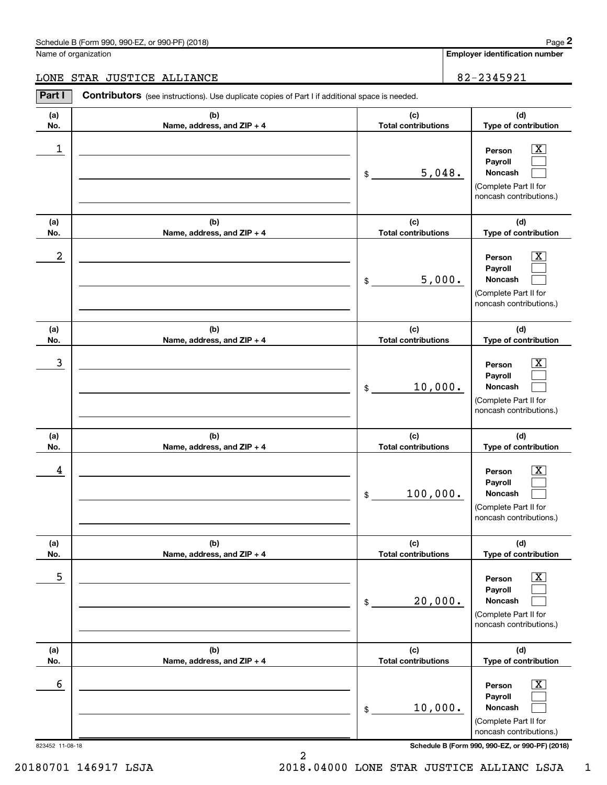#### Schedule B (Form 990, 990-EZ, or 990-PF) (2018)

Name of organization

Employer identification number

#### LONE STAR JUSTICE ALLIANCE 82-2345921

| Part I               | Contributors (see instructions). Use duplicate copies of Part I if additional space is needed. |                                   |                                                                                                                                          |
|----------------------|------------------------------------------------------------------------------------------------|-----------------------------------|------------------------------------------------------------------------------------------------------------------------------------------|
| (a)                  | (b)                                                                                            | (c)                               | (d)                                                                                                                                      |
| No.                  | Name, address, and ZIP + 4                                                                     | <b>Total contributions</b>        | Type of contribution                                                                                                                     |
| 1                    |                                                                                                | 5,048.<br>\$                      | $\overline{\text{X}}$<br>Person<br>Payroll<br>Noncash<br>(Complete Part II for<br>noncash contributions.)                                |
| (a)<br>No.           | (b)<br>Name, address, and ZIP + 4                                                              | (c)<br><b>Total contributions</b> | (d)<br>Type of contribution                                                                                                              |
| 2                    |                                                                                                | 5,000.<br>\$                      | $\overline{\text{X}}$<br>Person<br>Payroll<br>Noncash<br>(Complete Part II for<br>noncash contributions.)                                |
| (a)<br>No.           | (b)<br>Name, address, and ZIP + 4                                                              | (c)<br><b>Total contributions</b> | (d)<br>Type of contribution                                                                                                              |
| 3                    |                                                                                                | 10,000.<br>\$                     | $\overline{\text{X}}$<br>Person<br>Payroll<br>Noncash<br>(Complete Part II for<br>noncash contributions.)                                |
| (a)<br>No.           | (b)<br>Name, address, and ZIP + 4                                                              | (c)<br><b>Total contributions</b> | (d)<br>Type of contribution                                                                                                              |
| 4                    |                                                                                                | 100,000.<br>\$                    | $\overline{\text{X}}$<br>Person<br>Payroll<br>Noncash<br>(Complete Part II for<br>noncash contributions.)                                |
| (a)<br>No.           | (b)<br>Name, address, and ZIP + 4                                                              | (c)<br><b>Total contributions</b> | (d)<br>Type of contribution                                                                                                              |
| 5                    |                                                                                                | 20,000.<br>\$                     | $\overline{\text{X}}$<br>Person<br>Payroll<br>Noncash<br>(Complete Part II for<br>noncash contributions.)                                |
| (a)<br>No.           | (b)<br>Name, address, and ZIP + 4                                                              | (c)<br><b>Total contributions</b> | (d)<br>Type of contribution                                                                                                              |
| 6<br>823452 11-08-18 |                                                                                                | 10,000.<br>\$                     | х<br>Person<br>Payroll<br>Noncash<br>(Complete Part II for<br>noncash contributions.)<br>Schedule B (Form 990, 990-EZ, or 990-PF) (2018) |

2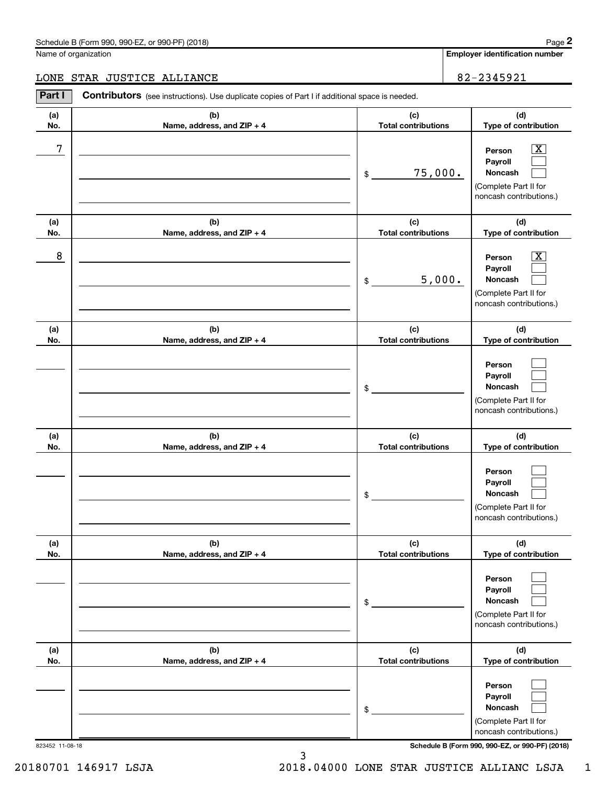#### Schedule B (Form 990, 990-EZ, or 990-PF) (2018)

Name of organization

Employer identification number

#### LONE STAR JUSTICE ALLIANCE 82-2345921

| Part I          | Contributors (see instructions). Use duplicate copies of Part I if additional space is needed. |                                   |                                                                                                                                     |
|-----------------|------------------------------------------------------------------------------------------------|-----------------------------------|-------------------------------------------------------------------------------------------------------------------------------------|
| (a)<br>No.      | (b)<br>Name, address, and ZIP + 4                                                              | (c)<br><b>Total contributions</b> | (d)<br>Type of contribution                                                                                                         |
| 7               |                                                                                                | 75,000.<br>\$                     | $\boxed{\text{X}}$<br>Person<br>Payroll<br>Noncash<br>(Complete Part II for<br>noncash contributions.)                              |
| (a)<br>No.      | (b)<br>Name, address, and ZIP + 4                                                              | (c)<br><b>Total contributions</b> | (d)<br>Type of contribution                                                                                                         |
| 8               |                                                                                                | 5,000.<br>\$                      | $\boxed{\text{X}}$<br>Person<br>Payroll<br>Noncash<br>(Complete Part II for<br>noncash contributions.)                              |
| (a)<br>No.      | (b)<br>Name, address, and ZIP + 4                                                              | (c)<br><b>Total contributions</b> | (d)<br>Type of contribution                                                                                                         |
|                 |                                                                                                | \$                                | Person<br>Payroll<br>Noncash<br>(Complete Part II for<br>noncash contributions.)                                                    |
| (a)<br>No.      | (b)<br>Name, address, and ZIP + 4                                                              | (c)<br><b>Total contributions</b> | (d)<br>Type of contribution                                                                                                         |
|                 |                                                                                                | \$                                | Person<br>Payroll<br>Noncash<br>(Complete Part II for<br>noncash contributions.)                                                    |
| (a)<br>No.      | (b)<br>Name, address, and ZIP + 4                                                              | (c)<br><b>Total contributions</b> | (d)<br>Type of contribution                                                                                                         |
|                 |                                                                                                | \$                                | Person<br>Payroll<br>Noncash<br>(Complete Part II for<br>noncash contributions.)                                                    |
| (a)<br>No.      | (b)<br>Name, address, and ZIP + 4                                                              | (c)<br><b>Total contributions</b> | (d)<br>Type of contribution                                                                                                         |
| 823452 11-08-18 |                                                                                                | \$                                | Person<br>Payroll<br>Noncash<br>(Complete Part II for<br>noncash contributions.)<br>Schedule B (Form 990, 990-EZ, or 990-PF) (2018) |

3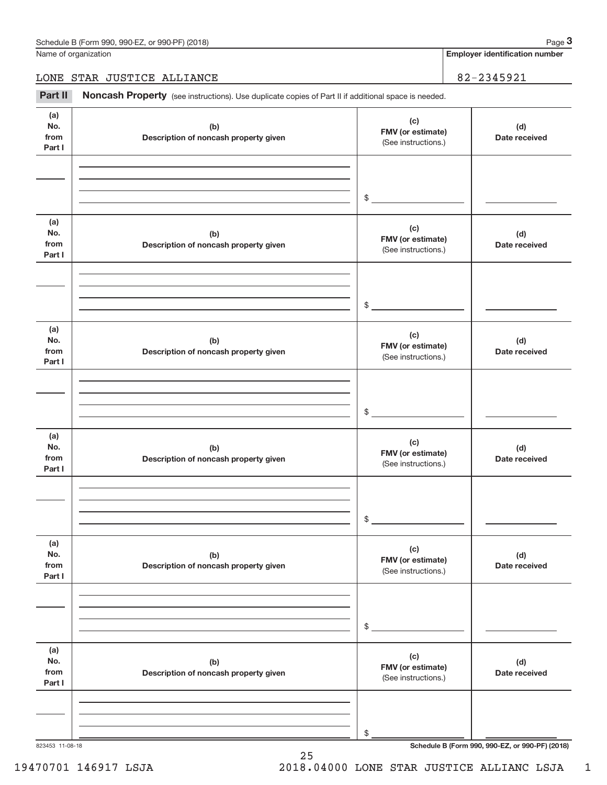Name of organization

**Employer identification number**

LONE STAR JUSTICE ALLIANCE 82–2345921

Part II Noncash Property (see instructions). Use duplicate copies of Part II if additional space is needed.

| (a)<br>(c)<br>No.<br>(b)<br>FMV (or estimate)<br>from<br>Description of noncash property given<br>(See instructions.)<br>Part I | (d)<br>Date received                            |
|---------------------------------------------------------------------------------------------------------------------------------|-------------------------------------------------|
|                                                                                                                                 |                                                 |
| $\frac{1}{2}$                                                                                                                   |                                                 |
| (a)<br>(c)<br>No.<br>(b)<br>FMV (or estimate)<br>from<br>Description of noncash property given<br>(See instructions.)<br>Part I | (d)<br>Date received                            |
| $\frac{1}{2}$                                                                                                                   |                                                 |
| (a)<br>(c)<br>No.<br>(b)<br>FMV (or estimate)<br>from<br>Description of noncash property given<br>(See instructions.)<br>Part I | (d)<br>Date received                            |
| $\frac{1}{2}$                                                                                                                   |                                                 |
| (a)<br>(c)<br>No.<br>(b)<br>FMV (or estimate)<br>from<br>Description of noncash property given<br>(See instructions.)<br>Part I | (d)<br>Date received                            |
| $\mathfrak{S}$                                                                                                                  |                                                 |
| (a)<br>(c)<br>No.<br>(b)<br>FMV (or estimate)<br>from<br>Description of noncash property given<br>(See instructions.)<br>Part I | (d)<br>Date received                            |
| \$                                                                                                                              |                                                 |
| (a)<br>(c)<br>No.<br>(b)<br>FMV (or estimate)<br>from<br>Description of noncash property given<br>(See instructions.)<br>Part I | (d)<br>Date received                            |
| \$                                                                                                                              | Schedule B (Form 990, 990-EZ, or 990-PF) (2018) |

25

19470701 146917 LSJA 2018.04000 LONE STAR JUSTICE ALLIANC LSJA\_\_\_1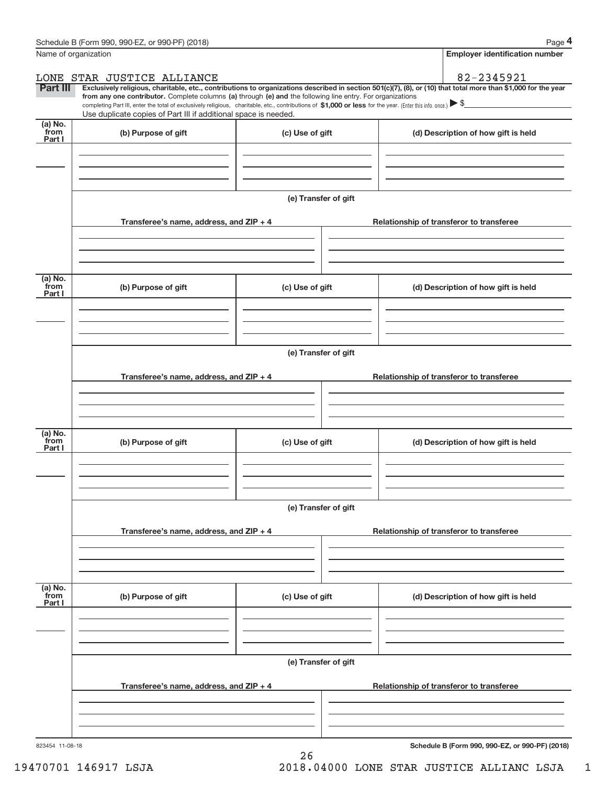| Name of organization      |                                                                                                                                                                                                                                                                                                                                                                                                                                                                                                                                 |                      |                                          | <b>Employer identification number</b>           |  |
|---------------------------|---------------------------------------------------------------------------------------------------------------------------------------------------------------------------------------------------------------------------------------------------------------------------------------------------------------------------------------------------------------------------------------------------------------------------------------------------------------------------------------------------------------------------------|----------------------|------------------------------------------|-------------------------------------------------|--|
|                           | LONE STAR JUSTICE ALLIANCE                                                                                                                                                                                                                                                                                                                                                                                                                                                                                                      |                      |                                          | 82-2345921                                      |  |
| Part III                  | Exclusively religious, charitable, etc., contributions to organizations described in section 501(c)(7), (8), or (10) that total more than \$1,000 for the year<br>from any one contributor. Complete columns (a) through (e) and the following line entry. For organizations<br>completing Part III, enter the total of exclusively religious, charitable, etc., contributions of \$1,000 or less for the year. (Enter this info. once.) $\triangleright$ \$<br>Use duplicate copies of Part III if additional space is needed. |                      |                                          |                                                 |  |
| (a) No.<br>from<br>Part I | (b) Purpose of gift                                                                                                                                                                                                                                                                                                                                                                                                                                                                                                             | (c) Use of gift      |                                          | (d) Description of how gift is held             |  |
|                           |                                                                                                                                                                                                                                                                                                                                                                                                                                                                                                                                 |                      |                                          |                                                 |  |
|                           |                                                                                                                                                                                                                                                                                                                                                                                                                                                                                                                                 | (e) Transfer of gift |                                          |                                                 |  |
|                           | Transferee's name, address, and ZIP + 4                                                                                                                                                                                                                                                                                                                                                                                                                                                                                         |                      | Relationship of transferor to transferee |                                                 |  |
| (a) No.                   |                                                                                                                                                                                                                                                                                                                                                                                                                                                                                                                                 |                      |                                          |                                                 |  |
| from<br>Part I            | (b) Purpose of gift                                                                                                                                                                                                                                                                                                                                                                                                                                                                                                             | (c) Use of gift      |                                          | (d) Description of how gift is held             |  |
|                           |                                                                                                                                                                                                                                                                                                                                                                                                                                                                                                                                 |                      |                                          |                                                 |  |
|                           |                                                                                                                                                                                                                                                                                                                                                                                                                                                                                                                                 | (e) Transfer of gift |                                          |                                                 |  |
|                           | Transferee's name, address, and ZIP + 4                                                                                                                                                                                                                                                                                                                                                                                                                                                                                         |                      | Relationship of transferor to transferee |                                                 |  |
|                           |                                                                                                                                                                                                                                                                                                                                                                                                                                                                                                                                 |                      |                                          |                                                 |  |
| (a) No.<br>from<br>Part I | (b) Purpose of gift                                                                                                                                                                                                                                                                                                                                                                                                                                                                                                             | (c) Use of gift      |                                          | (d) Description of how gift is held             |  |
|                           |                                                                                                                                                                                                                                                                                                                                                                                                                                                                                                                                 |                      |                                          |                                                 |  |
|                           |                                                                                                                                                                                                                                                                                                                                                                                                                                                                                                                                 | (e) Transfer of gift |                                          |                                                 |  |
|                           | Transferee's name, address, and ZIP + 4                                                                                                                                                                                                                                                                                                                                                                                                                                                                                         |                      | Relationship of transferor to transferee |                                                 |  |
|                           |                                                                                                                                                                                                                                                                                                                                                                                                                                                                                                                                 |                      |                                          |                                                 |  |
| (a) No.<br>from<br>Part I | (b) Purpose of gift                                                                                                                                                                                                                                                                                                                                                                                                                                                                                                             | (c) Use of gift      |                                          | (d) Description of how gift is held             |  |
|                           |                                                                                                                                                                                                                                                                                                                                                                                                                                                                                                                                 |                      |                                          |                                                 |  |
|                           | (e) Transfer of gift                                                                                                                                                                                                                                                                                                                                                                                                                                                                                                            |                      |                                          |                                                 |  |
|                           | Transferee's name, address, and ZIP + 4                                                                                                                                                                                                                                                                                                                                                                                                                                                                                         |                      | Relationship of transferor to transferee |                                                 |  |
|                           |                                                                                                                                                                                                                                                                                                                                                                                                                                                                                                                                 |                      |                                          |                                                 |  |
| 823454 11-08-18           |                                                                                                                                                                                                                                                                                                                                                                                                                                                                                                                                 |                      |                                          | Schedule B (Form 990, 990-EZ, or 990-PF) (2018) |  |

26

19470701 146917 LSJA 2018.04000 LONE STAR JUSTICE ALLIANC LSJA\_\_\_1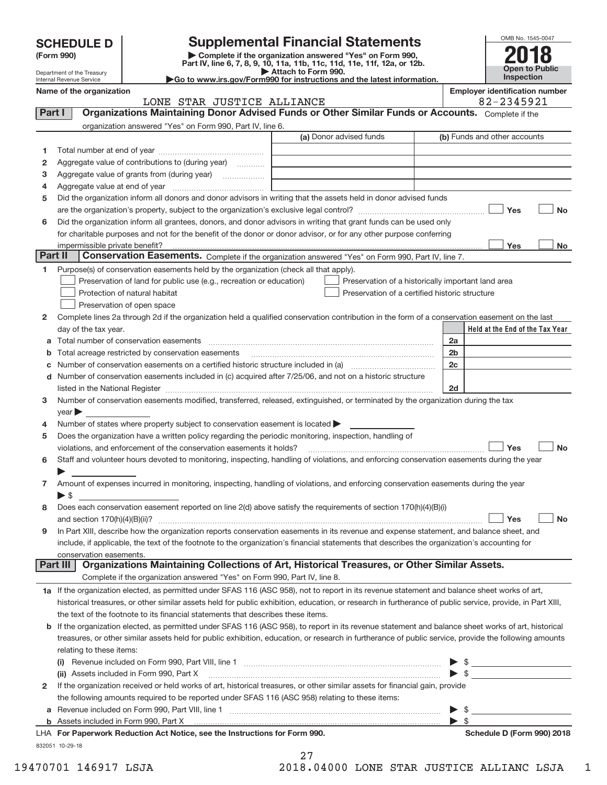| <b>SCHEDULE D</b> |  |
|-------------------|--|
|-------------------|--|

**(Form 990) | Complete if the organization answered "Yes" on Form 990, Part IV, line 6, 7, 8, 9, 10, 11a, 11b, 11c, 11d, 11e, 11f, 12a, or 12b. SCHEDULE D Supplemental Financial Statements**<br> **Form 990 Complete if the organization answered "Yes" on Form 990,**<br>
Part IV, line 6, 7, 8, 9, 10, 11a, 11b, 11c, 11d, 11e, 11f, 12a, or 12b.

**| Attach to Form 990. |Go to www.irs.gov/Form990 for instructions and the latest information.**



Department of the Treasury Internal Revenue Service

#### **Name of the organization**<br>**R** 2 - 2 3 4 5 4 5 - 2 3 A 5 - 2 3 A 5 - 2 3 A 5 - 2 3 A 5 - 2 3 A 5 - 2 3 A 5 - 2 3 A 5 - 2 3 A 5 - 2 3 A 5 - 2 3 A 5 - 2 3 A 5 - 2 3 A 5 - 2 3 A 5 - 2 3 A 5 - 2 3 A 5 - 2 3 A 5 - 2 3 A 5 - 2 3 LONE STAR JUSTICE ALLIANCE

OMB No. 1545‐0047

|              | AVAND DIAK OODIICH ANDIANCH<br>VA AJIJJAL<br>Part I<br>Organizations Maintaining Donor Advised Funds or Other Similar Funds or Accounts. Complete if the                                                                      |                                                |                                                    |  |  |  |
|--------------|-------------------------------------------------------------------------------------------------------------------------------------------------------------------------------------------------------------------------------|------------------------------------------------|----------------------------------------------------|--|--|--|
|              | organization answered "Yes" on Form 990, Part IV, line 6.                                                                                                                                                                     |                                                |                                                    |  |  |  |
|              |                                                                                                                                                                                                                               | (a) Donor advised funds                        | (b) Funds and other accounts                       |  |  |  |
| 1.           |                                                                                                                                                                                                                               |                                                |                                                    |  |  |  |
| 2            | Aggregate value of contributions to (during year)                                                                                                                                                                             |                                                |                                                    |  |  |  |
| з            | Aggregate value of grants from (during year)                                                                                                                                                                                  |                                                |                                                    |  |  |  |
| 4            |                                                                                                                                                                                                                               |                                                |                                                    |  |  |  |
| 5            | Did the organization inform all donors and donor advisors in writing that the assets held in donor advised funds                                                                                                              |                                                |                                                    |  |  |  |
|              |                                                                                                                                                                                                                               |                                                | Yes<br><b>No</b>                                   |  |  |  |
| 6            | Did the organization inform all grantees, donors, and donor advisors in writing that grant funds can be used only                                                                                                             |                                                |                                                    |  |  |  |
|              | for charitable purposes and not for the benefit of the donor or donor advisor, or for any other purpose conferring                                                                                                            |                                                |                                                    |  |  |  |
|              | impermissible private benefit?                                                                                                                                                                                                |                                                | Yes<br>No                                          |  |  |  |
| Part II      | Conservation Easements. Complete if the organization answered "Yes" on Form 990, Part IV, line 7.                                                                                                                             |                                                |                                                    |  |  |  |
| 1            | Purpose(s) of conservation easements held by the organization (check all that apply).                                                                                                                                         |                                                |                                                    |  |  |  |
|              | Preservation of land for public use (e.g., recreation or education)                                                                                                                                                           |                                                | Preservation of a historically important land area |  |  |  |
|              | Protection of natural habitat                                                                                                                                                                                                 | Preservation of a certified historic structure |                                                    |  |  |  |
|              | Preservation of open space                                                                                                                                                                                                    |                                                |                                                    |  |  |  |
| 2            | Complete lines 2a through 2d if the organization held a qualified conservation contribution in the form of a conservation easement on the last                                                                                |                                                |                                                    |  |  |  |
|              | day of the tax year.                                                                                                                                                                                                          |                                                | Held at the End of the Tax Year                    |  |  |  |
|              |                                                                                                                                                                                                                               |                                                | 2a                                                 |  |  |  |
|              | <b>b</b> Total acreage restricted by conservation easements                                                                                                                                                                   |                                                | 2 <sub>b</sub>                                     |  |  |  |
|              |                                                                                                                                                                                                                               |                                                | 2c                                                 |  |  |  |
|              | d Number of conservation easements included in (c) acquired after 7/25/06, and not on a historic structure                                                                                                                    |                                                |                                                    |  |  |  |
|              | listed in the National Register [111] Marshall Register [11] Marshall Register [11] Marshall Register [11] Marshall Register [11] Marshall Register [11] Marshall Register [11] Marshall Register [11] Marshall Register [11] |                                                | 2d                                                 |  |  |  |
| 3            | Number of conservation easements modified, transferred, released, extinguished, or terminated by the organization during the tax                                                                                              |                                                |                                                    |  |  |  |
|              | year                                                                                                                                                                                                                          |                                                |                                                    |  |  |  |
| 4            | Number of states where property subject to conservation easement is located >                                                                                                                                                 |                                                |                                                    |  |  |  |
| 5            | Does the organization have a written policy regarding the periodic monitoring, inspection, handling of<br>violations, and enforcement of the conservation easements it holds?                                                 |                                                | Yes<br><b>No</b>                                   |  |  |  |
| 6            | Staff and volunteer hours devoted to monitoring, inspecting, handling of violations, and enforcing conservation easements during the year                                                                                     |                                                |                                                    |  |  |  |
|              |                                                                                                                                                                                                                               |                                                |                                                    |  |  |  |
| 7            | Amount of expenses incurred in monitoring, inspecting, handling of violations, and enforcing conservation easements during the year                                                                                           |                                                |                                                    |  |  |  |
|              | $\triangleright$ \$                                                                                                                                                                                                           |                                                |                                                    |  |  |  |
| 8            | Does each conservation easement reported on line 2(d) above satisfy the requirements of section 170(h)(4)(B)(i)                                                                                                               |                                                |                                                    |  |  |  |
|              |                                                                                                                                                                                                                               |                                                | Yes<br><b>No</b>                                   |  |  |  |
| 9            | In Part XIII, describe how the organization reports conservation easements in its revenue and expense statement, and balance sheet, and                                                                                       |                                                |                                                    |  |  |  |
|              | include, if applicable, the text of the footnote to the organization's financial statements that describes the organization's accounting for                                                                                  |                                                |                                                    |  |  |  |
|              | conservation easements                                                                                                                                                                                                        |                                                |                                                    |  |  |  |
|              | Organizations Maintaining Collections of Art, Historical Treasures, or Other Similar Assets.<br><b>Part III</b>                                                                                                               |                                                |                                                    |  |  |  |
|              | Complete if the organization answered "Yes" on Form 990, Part IV, line 8.                                                                                                                                                     |                                                |                                                    |  |  |  |
|              | 1a If the organization elected, as permitted under SFAS 116 (ASC 958), not to report in its revenue statement and balance sheet works of art,                                                                                 |                                                |                                                    |  |  |  |
|              | historical treasures, or other similar assets held for public exhibition, education, or research in furtherance of public service, provide, in Part XIII,                                                                     |                                                |                                                    |  |  |  |
|              | the text of the footnote to its financial statements that describes these items.                                                                                                                                              |                                                |                                                    |  |  |  |
|              | b If the organization elected, as permitted under SFAS 116 (ASC 958), to report in its revenue statement and balance sheet works of art, historical                                                                           |                                                |                                                    |  |  |  |
|              | treasures, or other similar assets held for public exhibition, education, or research in furtherance of public service, provide the following amounts                                                                         |                                                |                                                    |  |  |  |
|              | relating to these items:                                                                                                                                                                                                      |                                                |                                                    |  |  |  |
|              |                                                                                                                                                                                                                               |                                                | $\triangleright$ \$                                |  |  |  |
|              |                                                                                                                                                                                                                               |                                                |                                                    |  |  |  |
| $\mathbf{2}$ | If the organization received or held works of art, historical treasures, or other similar assets for financial gain, provide                                                                                                  |                                                |                                                    |  |  |  |
|              | the following amounts required to be reported under SFAS 116 (ASC 958) relating to these items:                                                                                                                               |                                                |                                                    |  |  |  |
|              | a Revenue included on Form 990, Part VIII, line 1 [2000] [2000] [2000] [2000] [2000] [2000] [2000] [2000] [2000                                                                                                               |                                                | $\triangleright$ \$                                |  |  |  |
|              |                                                                                                                                                                                                                               |                                                | $\blacktriangleright$ s                            |  |  |  |
|              | LHA For Paperwork Reduction Act Notice, see the Instructions for Form 990.                                                                                                                                                    |                                                | Schedule D (Form 990) 2018                         |  |  |  |
|              | 832051 10-29-18                                                                                                                                                                                                               |                                                |                                                    |  |  |  |

27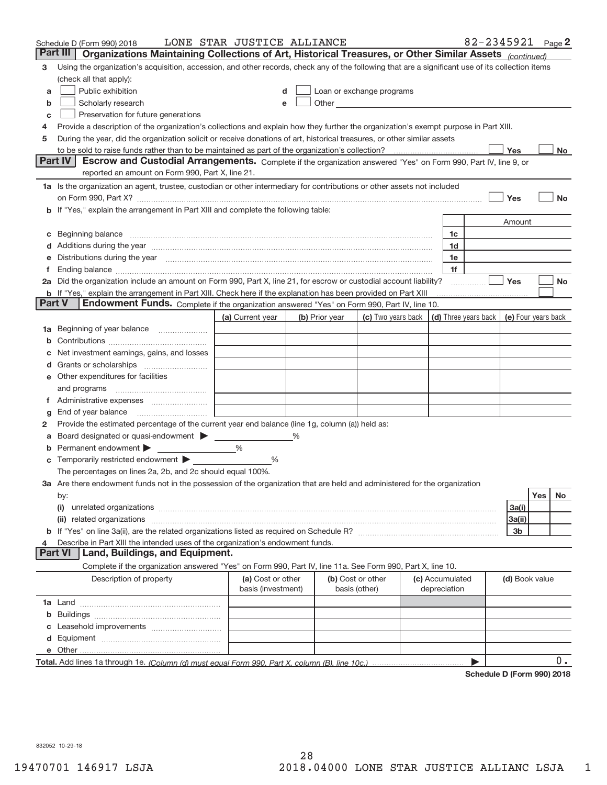|    | Schedule D (Form 990) 2018                                                                                                                                                                                                           | LONE STAR JUSTICE ALLIANCE              |                |                                    |                                                                                                                                                                                                                               |                                      | 82-2345921 Page 2 |                     |     |           |
|----|--------------------------------------------------------------------------------------------------------------------------------------------------------------------------------------------------------------------------------------|-----------------------------------------|----------------|------------------------------------|-------------------------------------------------------------------------------------------------------------------------------------------------------------------------------------------------------------------------------|--------------------------------------|-------------------|---------------------|-----|-----------|
|    | Part III<br>Organizations Maintaining Collections of Art, Historical Treasures, or Other Similar Assets (continued)                                                                                                                  |                                         |                |                                    |                                                                                                                                                                                                                               |                                      |                   |                     |     |           |
| 3  | Using the organization's acquisition, accession, and other records, check any of the following that are a significant use of its collection items                                                                                    |                                         |                |                                    |                                                                                                                                                                                                                               |                                      |                   |                     |     |           |
|    | (check all that apply):                                                                                                                                                                                                              |                                         |                |                                    |                                                                                                                                                                                                                               |                                      |                   |                     |     |           |
| a  | Public exhibition                                                                                                                                                                                                                    |                                         |                |                                    | Loan or exchange programs                                                                                                                                                                                                     |                                      |                   |                     |     |           |
| b  | Scholarly research                                                                                                                                                                                                                   |                                         |                |                                    | Other and the contract of the contract of the contract of the contract of the contract of the contract of the contract of the contract of the contract of the contract of the contract of the contract of the contract of the |                                      |                   |                     |     |           |
| с  | Preservation for future generations                                                                                                                                                                                                  |                                         |                |                                    |                                                                                                                                                                                                                               |                                      |                   |                     |     |           |
| 4  | Provide a description of the organization's collections and explain how they further the organization's exempt purpose in Part XIII.                                                                                                 |                                         |                |                                    |                                                                                                                                                                                                                               |                                      |                   |                     |     |           |
| 5  | During the year, did the organization solicit or receive donations of art, historical treasures, or other similar assets                                                                                                             |                                         |                |                                    |                                                                                                                                                                                                                               |                                      |                   |                     |     |           |
|    | to be sold to raise funds rather than to be maintained as part of the organization's collection?                                                                                                                                     |                                         |                |                                    |                                                                                                                                                                                                                               |                                      |                   | Yes                 |     | No        |
|    | <b>Part IV</b><br>Escrow and Custodial Arrangements. Complete if the organization answered "Yes" on Form 990, Part IV, line 9, or                                                                                                    |                                         |                |                                    |                                                                                                                                                                                                                               |                                      |                   |                     |     |           |
|    | reported an amount on Form 990, Part X, line 21.                                                                                                                                                                                     |                                         |                |                                    |                                                                                                                                                                                                                               |                                      |                   |                     |     |           |
|    | 1a Is the organization an agent, trustee, custodian or other intermediary for contributions or other assets not included                                                                                                             |                                         |                |                                    |                                                                                                                                                                                                                               |                                      |                   |                     |     |           |
|    | on Form 990, Part X? [11] matter contracts and contracts and contracts are contracted as a form 990, Part X?                                                                                                                         |                                         |                |                                    |                                                                                                                                                                                                                               |                                      |                   | Yes                 |     | <b>No</b> |
|    | b If "Yes," explain the arrangement in Part XIII and complete the following table:                                                                                                                                                   |                                         |                |                                    |                                                                                                                                                                                                                               |                                      |                   |                     |     |           |
|    |                                                                                                                                                                                                                                      |                                         |                |                                    |                                                                                                                                                                                                                               |                                      |                   | Amount              |     |           |
| c  | Beginning balance <b>contract to the contract of the contract of the contract of the contract of the contract of the contract of the contract of the contract of the contract of the contract of the contract of the contract of</b> |                                         |                |                                    |                                                                                                                                                                                                                               | 1c                                   |                   |                     |     |           |
|    | Additions during the year manufactured and an anti-                                                                                                                                                                                  |                                         |                |                                    |                                                                                                                                                                                                                               | 1d                                   |                   |                     |     |           |
|    | Distributions during the year manufactured and continuum and contact the year manufactured and contact the year                                                                                                                      |                                         |                |                                    |                                                                                                                                                                                                                               | 1e                                   |                   |                     |     |           |
| Τ. | 2a Did the organization include an amount on Form 990, Part X, line 21, for escrow or custodial account liability?                                                                                                                   |                                         |                |                                    |                                                                                                                                                                                                                               | 1f                                   |                   | Yes                 |     | No        |
|    | <b>b</b> If "Yes," explain the arrangement in Part XIII. Check here if the explanation has been provided on Part XIII                                                                                                                |                                         |                |                                    |                                                                                                                                                                                                                               |                                      |                   |                     |     |           |
|    | Part V<br>Endowment Funds. Complete if the organization answered "Yes" on Form 990, Part IV, line 10.                                                                                                                                |                                         |                |                                    |                                                                                                                                                                                                                               |                                      |                   |                     |     |           |
|    |                                                                                                                                                                                                                                      | (a) Current year                        | (b) Prior year |                                    | (c) Two years back                                                                                                                                                                                                            | $\vert$ (d) Three years back $\vert$ |                   | (e) Four years back |     |           |
| 1a | Beginning of year balance                                                                                                                                                                                                            |                                         |                |                                    |                                                                                                                                                                                                                               |                                      |                   |                     |     |           |
|    |                                                                                                                                                                                                                                      |                                         |                |                                    |                                                                                                                                                                                                                               |                                      |                   |                     |     |           |
|    | Net investment earnings, gains, and losses                                                                                                                                                                                           |                                         |                |                                    |                                                                                                                                                                                                                               |                                      |                   |                     |     |           |
|    |                                                                                                                                                                                                                                      |                                         |                |                                    |                                                                                                                                                                                                                               |                                      |                   |                     |     |           |
|    | e Other expenditures for facilities                                                                                                                                                                                                  |                                         |                |                                    |                                                                                                                                                                                                                               |                                      |                   |                     |     |           |
|    | and programs                                                                                                                                                                                                                         |                                         |                |                                    |                                                                                                                                                                                                                               |                                      |                   |                     |     |           |
|    |                                                                                                                                                                                                                                      |                                         |                |                                    |                                                                                                                                                                                                                               |                                      |                   |                     |     |           |
| g  |                                                                                                                                                                                                                                      |                                         |                |                                    |                                                                                                                                                                                                                               |                                      |                   |                     |     |           |
| 2  | Provide the estimated percentage of the current year end balance (line 1g, column (a)) held as:                                                                                                                                      |                                         |                |                                    |                                                                                                                                                                                                                               |                                      |                   |                     |     |           |
| а  | Board designated or quasi-endowment                                                                                                                                                                                                  |                                         | %              |                                    |                                                                                                                                                                                                                               |                                      |                   |                     |     |           |
|    | Permanent endowment                                                                                                                                                                                                                  | $\%$                                    |                |                                    |                                                                                                                                                                                                                               |                                      |                   |                     |     |           |
|    |                                                                                                                                                                                                                                      | %                                       |                |                                    |                                                                                                                                                                                                                               |                                      |                   |                     |     |           |
|    | The percentages on lines 2a, 2b, and 2c should equal 100%.                                                                                                                                                                           |                                         |                |                                    |                                                                                                                                                                                                                               |                                      |                   |                     |     |           |
|    | 3a Are there endowment funds not in the possession of the organization that are held and administered for the organization                                                                                                           |                                         |                |                                    |                                                                                                                                                                                                                               |                                      |                   |                     |     |           |
|    | by:                                                                                                                                                                                                                                  |                                         |                |                                    |                                                                                                                                                                                                                               |                                      |                   |                     | Yes | No.       |
|    | (i)                                                                                                                                                                                                                                  |                                         |                |                                    |                                                                                                                                                                                                                               |                                      |                   | 3a(i)               |     |           |
|    |                                                                                                                                                                                                                                      |                                         |                |                                    |                                                                                                                                                                                                                               |                                      |                   | 3a(ii)              |     |           |
|    |                                                                                                                                                                                                                                      |                                         |                |                                    |                                                                                                                                                                                                                               |                                      |                   | 3b                  |     |           |
| 4  | Describe in Part XIII the intended uses of the organization's endowment funds.                                                                                                                                                       |                                         |                |                                    |                                                                                                                                                                                                                               |                                      |                   |                     |     |           |
|    | Land, Buildings, and Equipment.<br>Part VI                                                                                                                                                                                           |                                         |                |                                    |                                                                                                                                                                                                                               |                                      |                   |                     |     |           |
|    | Complete if the organization answered "Yes" on Form 990, Part IV, line 11a. See Form 990, Part X, line 10.                                                                                                                           |                                         |                |                                    |                                                                                                                                                                                                                               |                                      |                   |                     |     |           |
|    | Description of property                                                                                                                                                                                                              | (a) Cost or other<br>basis (investment) |                | (b) Cost or other<br>basis (other) |                                                                                                                                                                                                                               | (c) Accumulated<br>depreciation      |                   | (d) Book value      |     |           |
|    |                                                                                                                                                                                                                                      |                                         |                |                                    |                                                                                                                                                                                                                               |                                      |                   |                     |     |           |
| b  |                                                                                                                                                                                                                                      |                                         |                |                                    |                                                                                                                                                                                                                               |                                      |                   |                     |     |           |
|    |                                                                                                                                                                                                                                      |                                         |                |                                    |                                                                                                                                                                                                                               |                                      |                   |                     |     |           |
|    |                                                                                                                                                                                                                                      |                                         |                |                                    |                                                                                                                                                                                                                               |                                      |                   |                     |     |           |
|    |                                                                                                                                                                                                                                      |                                         |                |                                    |                                                                                                                                                                                                                               |                                      |                   |                     |     |           |
|    |                                                                                                                                                                                                                                      |                                         |                |                                    |                                                                                                                                                                                                                               |                                      |                   |                     |     | $0$ .     |

**Schedule D (Form 990) 2018**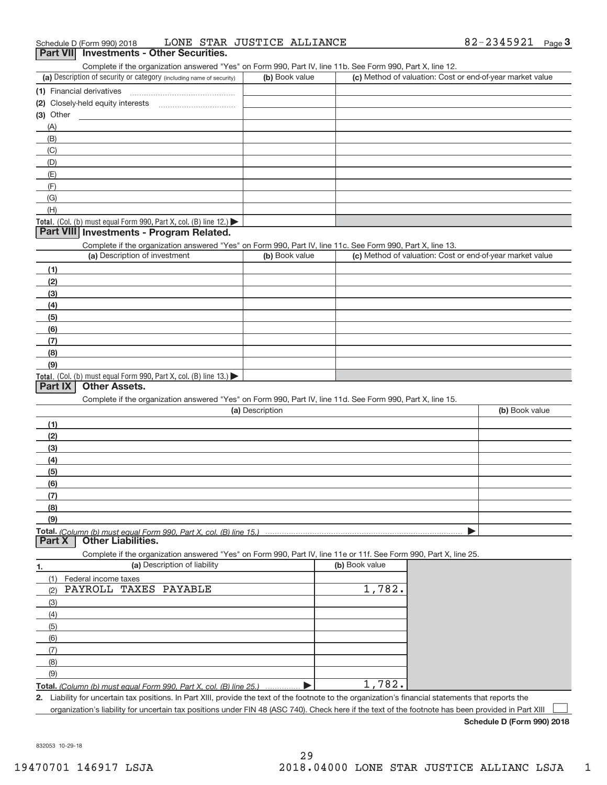#### Complete if the organization answered "Yes" on Form 990, Part IV, line 11b. See Form 990, Part X, line 12.

| Complete in the organization anowered free form only over, railing, michanol. Occupation over, rail typ, micration<br>(a) Description of security or category (including name of security) | (b) Book value | (c) Method of valuation: Cost or end-of-year market value |
|--------------------------------------------------------------------------------------------------------------------------------------------------------------------------------------------|----------------|-----------------------------------------------------------|
| (1) Financial derivatives                                                                                                                                                                  |                |                                                           |
| (2) Closely-held equity interests                                                                                                                                                          |                |                                                           |
| (3) Other                                                                                                                                                                                  |                |                                                           |
| (A)                                                                                                                                                                                        |                |                                                           |
| (B)                                                                                                                                                                                        |                |                                                           |
| (C)                                                                                                                                                                                        |                |                                                           |
| (D)                                                                                                                                                                                        |                |                                                           |
| (E)                                                                                                                                                                                        |                |                                                           |
| (F)                                                                                                                                                                                        |                |                                                           |
| (G)                                                                                                                                                                                        |                |                                                           |
| (H)                                                                                                                                                                                        |                |                                                           |
| Total. (Col. (b) must equal Form 990, Part X, col. (B) line $12$ .)                                                                                                                        |                |                                                           |

#### **Part VIII Investments ‐ Program Related.**

Complete if the organization answered "Yes" on Form 990, Part IV, line 11c. See Form 990, Part X, line 13.

| (a) Description of investment                                              | (b) Book value | (c) Method of valuation: Cost or end-of-year market value |
|----------------------------------------------------------------------------|----------------|-----------------------------------------------------------|
| (1)                                                                        |                |                                                           |
| (2)                                                                        |                |                                                           |
| (3)                                                                        |                |                                                           |
| (4)                                                                        |                |                                                           |
| (5)                                                                        |                |                                                           |
| (6)                                                                        |                |                                                           |
| (7)                                                                        |                |                                                           |
| (8)                                                                        |                |                                                           |
| (9)                                                                        |                |                                                           |
| <b>Total.</b> (Col. (b) must equal Form 990, Part X, col. (B) line $13$ .) |                |                                                           |

#### **Part IX Other Assets.**

Complete if the organization answered "Yes" on Form 990, Part IV, line 11d. See Form 990, Part X, line 15.

| (a) Description | (b) Book value |
|-----------------|----------------|
| (1)             |                |
| (2)             |                |
| $\frac{1}{2}$   |                |
| (4)             |                |
| $\frac{1}{2}$   |                |
| (6)             |                |
| (7)             |                |
| (8)             |                |
| (9)             |                |
|                 |                |

**Part X Other Liabilities.**

Complete if the organization answered "Yes" on Form 990, Part IV, line 11e or 11f. See Form 990, Part X, line 25.

| 1.  | (a) Description of liability                                       | (b) Book value |
|-----|--------------------------------------------------------------------|----------------|
|     | Federal income taxes                                               |                |
| (2) | PAYROLL TAXES PAYABLE                                              | 1,782.         |
| (3) |                                                                    |                |
| (4) |                                                                    |                |
| (5) |                                                                    |                |
| (6) |                                                                    |                |
|     |                                                                    |                |
| (8) |                                                                    |                |
| (9) |                                                                    |                |
|     | Total. (Column (b) must equal Form 990, Part X, col. (B) line 25.) | 1,782.         |

**2.** Liability for uncertain tax positions. In Part XIII, provide the text of the footnote to the organization's financial statements that reports the

organization's liability for uncertain tax positions under FIN 48 (ASC 740). Check here if the text of the footnote has been provided in Part XIII

**Schedule D (Form 990) 2018**

 $\boxed{\phantom{1}}$ 

832053 10‐29‐18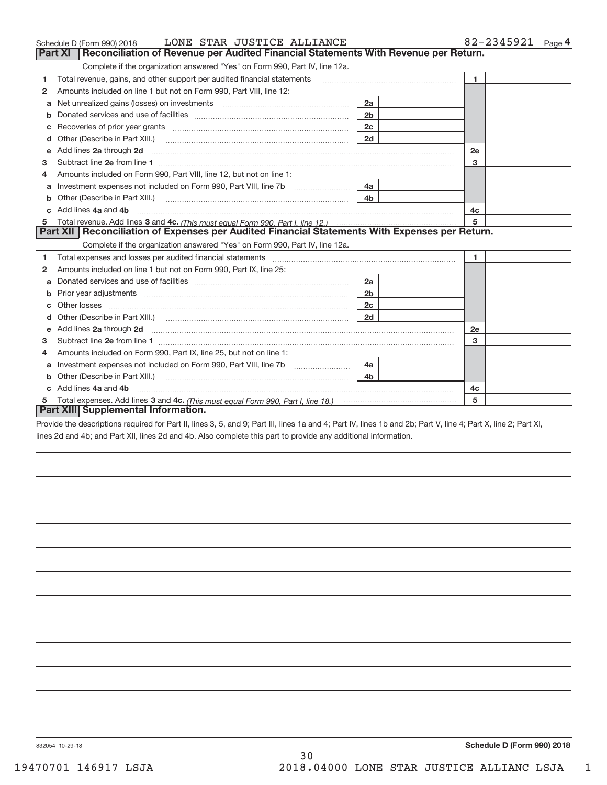|    | LONE STAR JUSTICE ALLIANCE<br>Schedule D (Form 990) 2018                                                                                                                                                                           |                | 82-2345921<br>Page 4 |
|----|------------------------------------------------------------------------------------------------------------------------------------------------------------------------------------------------------------------------------------|----------------|----------------------|
|    | Reconciliation of Revenue per Audited Financial Statements With Revenue per Return.<br>Part XI                                                                                                                                     |                |                      |
|    | Complete if the organization answered "Yes" on Form 990, Part IV, line 12a.                                                                                                                                                        |                |                      |
| 1  | Total revenue, gains, and other support per audited financial statements                                                                                                                                                           |                | $\mathbf{1}$         |
| 2  | Amounts included on line 1 but not on Form 990, Part VIII, line 12:                                                                                                                                                                |                |                      |
| a  |                                                                                                                                                                                                                                    | 2a             |                      |
|    |                                                                                                                                                                                                                                    | 2 <sub>b</sub> |                      |
|    |                                                                                                                                                                                                                                    | 2c             |                      |
| d  |                                                                                                                                                                                                                                    | 2d             |                      |
| е  | Add lines 2a through 2d <b>must be a constructed as the constant of the constant of the constant of the construction</b>                                                                                                           |                | 2e                   |
| 3  |                                                                                                                                                                                                                                    |                | 3                    |
| 4  | Amounts included on Form 990, Part VIII, line 12, but not on line 1:                                                                                                                                                               |                |                      |
|    |                                                                                                                                                                                                                                    |                |                      |
| b  |                                                                                                                                                                                                                                    | 4 <sub>b</sub> |                      |
| C. | Add lines 4a and 4b                                                                                                                                                                                                                |                | 4c                   |
|    |                                                                                                                                                                                                                                    |                | 5                    |
|    | Part XII   Reconciliation of Expenses per Audited Financial Statements With Expenses per Return.                                                                                                                                   |                |                      |
|    | Complete if the organization answered "Yes" on Form 990, Part IV, line 12a.                                                                                                                                                        |                |                      |
| 1  |                                                                                                                                                                                                                                    |                | 1.                   |
| 2  | Amounts included on line 1 but not on Form 990, Part IX, line 25:                                                                                                                                                                  |                |                      |
| a  |                                                                                                                                                                                                                                    | 2a             |                      |
| b  |                                                                                                                                                                                                                                    | 2 <sub>b</sub> |                      |
|    |                                                                                                                                                                                                                                    | 2 <sub>c</sub> |                      |
| d  |                                                                                                                                                                                                                                    | 2d             |                      |
| е  | Add lines 2a through 2d <b>contained a contained a contained a contained a</b> contained a contained a contained a contained a contact a contact a contact a contact a contact a contact a contact a contact a contact a contact a |                | 2e                   |
| 3  |                                                                                                                                                                                                                                    |                | 3                    |
| 4  | Amounts included on Form 990, Part IX, line 25, but not on line 1:                                                                                                                                                                 |                |                      |
| a  |                                                                                                                                                                                                                                    |                |                      |
| b  |                                                                                                                                                                                                                                    |                |                      |
| c. | Add lines 4a and 4b                                                                                                                                                                                                                |                | 4c                   |
|    |                                                                                                                                                                                                                                    |                | 5                    |
|    | Part XIII Supplemental Information.                                                                                                                                                                                                |                |                      |

Provide the descriptions required for Part II, lines 3, 5, and 9; Part III, lines 1a and 4; Part IV, lines 1b and 2b; Part V, line 4; Part X, line 2; Part XI, lines 2d and 4b; and Part XII, lines 2d and 4b. Also complete this part to provide any additional information.

30

832054 10‐29‐18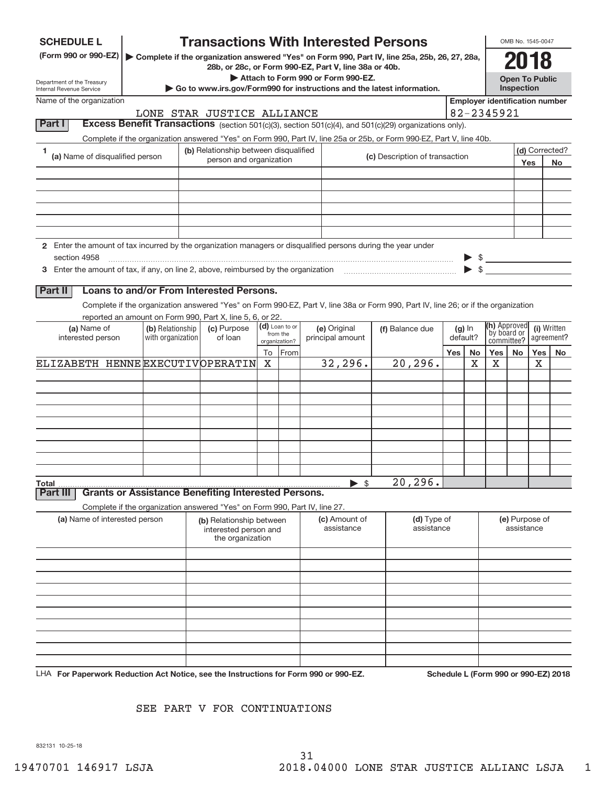| <b>SCHEDULE L</b><br>(Form 990 or 990-EZ)                                                                                     |                  |                                                                            |    |                           | <b>Transactions With Interested Persons</b>                                                                                                                                                                                    |                           |          |    |                                       | OMB No. 1545-0047                          |            |                |  |
|-------------------------------------------------------------------------------------------------------------------------------|------------------|----------------------------------------------------------------------------|----|---------------------------|--------------------------------------------------------------------------------------------------------------------------------------------------------------------------------------------------------------------------------|---------------------------|----------|----|---------------------------------------|--------------------------------------------|------------|----------------|--|
|                                                                                                                               |                  |                                                                            |    |                           | Complete if the organization answered "Yes" on Form 990, Part IV, line 25a, 25b, 26, 27, 28a,<br>28b, or 28c, or Form 990-EZ, Part V, line 38a or 40b.                                                                         |                           |          |    |                                       | 2018                                       |            |                |  |
| Department of the Treasury<br>Internal Revenue Service                                                                        |                  |                                                                            |    |                           | Attach to Form 990 or Form 990-EZ.<br>$\triangleright$ Go to www.irs.gov/Form990 for instructions and the latest information.                                                                                                  |                           |          |    |                                       | <b>Open To Public</b><br><b>Inspection</b> |            |                |  |
| Name of the organization                                                                                                      |                  |                                                                            |    |                           |                                                                                                                                                                                                                                |                           |          |    | <b>Employer identification number</b> |                                            |            |                |  |
| Part I                                                                                                                        |                  | LONE STAR JUSTICE ALLIANCE                                                 |    |                           |                                                                                                                                                                                                                                |                           |          |    | 82-2345921                            |                                            |            |                |  |
|                                                                                                                               |                  |                                                                            |    |                           | Excess Benefit Transactions (section 501(c)(3), section 501(c)(4), and 501(c)(29) organizations only).<br>Complete if the organization answered "Yes" on Form 990, Part IV, line 25a or 25b, or Form 990-EZ, Part V, line 40b. |                           |          |    |                                       |                                            |            |                |  |
| 1                                                                                                                             |                  | (b) Relationship between disqualified                                      |    |                           |                                                                                                                                                                                                                                |                           |          |    |                                       |                                            |            | (d) Corrected? |  |
| (a) Name of disqualified person                                                                                               |                  | person and organization                                                    |    |                           | (c) Description of transaction                                                                                                                                                                                                 |                           |          |    |                                       |                                            | <b>Yes</b> | No             |  |
|                                                                                                                               |                  |                                                                            |    |                           |                                                                                                                                                                                                                                |                           |          |    |                                       |                                            |            |                |  |
|                                                                                                                               |                  |                                                                            |    |                           |                                                                                                                                                                                                                                |                           |          |    |                                       |                                            |            |                |  |
|                                                                                                                               |                  |                                                                            |    |                           |                                                                                                                                                                                                                                |                           |          |    |                                       |                                            |            |                |  |
|                                                                                                                               |                  |                                                                            |    |                           |                                                                                                                                                                                                                                |                           |          |    |                                       |                                            |            |                |  |
|                                                                                                                               |                  |                                                                            |    |                           |                                                                                                                                                                                                                                |                           |          |    |                                       |                                            |            |                |  |
| 2 Enter the amount of tax incurred by the organization managers or disqualified persons during the year under<br>section 4958 |                  |                                                                            |    |                           |                                                                                                                                                                                                                                |                           |          |    |                                       |                                            |            |                |  |
|                                                                                                                               |                  |                                                                            |    |                           |                                                                                                                                                                                                                                |                           |          |    |                                       |                                            |            |                |  |
|                                                                                                                               |                  |                                                                            |    |                           |                                                                                                                                                                                                                                |                           |          |    |                                       |                                            |            |                |  |
| <b>Part II</b>                                                                                                                |                  | Loans to and/or From Interested Persons.                                   |    |                           |                                                                                                                                                                                                                                |                           |          |    |                                       |                                            |            |                |  |
|                                                                                                                               |                  | reported an amount on Form 990, Part X, line 5, 6, or 22.                  |    |                           | Complete if the organization answered "Yes" on Form 990-EZ, Part V, line 38a or Form 990, Part IV, line 26; or if the organization                                                                                             |                           |          |    |                                       |                                            |            |                |  |
| (a) Name of                                                                                                                   | (b) Relationship | (c) Purpose                                                                |    | (d) Loan to or            | (e) Original                                                                                                                                                                                                                   | (f) Balance due           | $(g)$ In |    | (h) Approved                          |                                            |            | (i) Written    |  |
| interested person<br>with organization                                                                                        |                  | of loan                                                                    |    | from the<br>organization? | principal amount                                                                                                                                                                                                               |                           | default? |    | by board or<br>committee?             |                                            |            | agreement?     |  |
|                                                                                                                               |                  |                                                                            | To | From                      |                                                                                                                                                                                                                                |                           | Yes      | No | Yes                                   | No                                         |            | Yes   No       |  |
| ELIZABETH HENNE EXECUTIVOPERATIN                                                                                              |                  |                                                                            | X  |                           | 32, 296.                                                                                                                                                                                                                       | 20, 296.                  |          | х  | X                                     |                                            | X          |                |  |
|                                                                                                                               |                  |                                                                            |    |                           |                                                                                                                                                                                                                                |                           |          |    |                                       |                                            |            |                |  |
|                                                                                                                               |                  |                                                                            |    |                           |                                                                                                                                                                                                                                |                           |          |    |                                       |                                            |            |                |  |
|                                                                                                                               |                  |                                                                            |    |                           |                                                                                                                                                                                                                                |                           |          |    |                                       |                                            |            |                |  |
|                                                                                                                               |                  |                                                                            |    |                           |                                                                                                                                                                                                                                |                           |          |    |                                       |                                            |            |                |  |
|                                                                                                                               |                  |                                                                            |    |                           |                                                                                                                                                                                                                                |                           |          |    |                                       |                                            |            |                |  |
|                                                                                                                               |                  |                                                                            |    |                           |                                                                                                                                                                                                                                |                           |          |    |                                       |                                            |            |                |  |
|                                                                                                                               |                  |                                                                            |    |                           |                                                                                                                                                                                                                                |                           |          |    |                                       |                                            |            |                |  |
| Total<br>Part II                                                                                                              |                  | <b>Grants or Assistance Benefiting Interested Persons.</b>                 |    |                           | \$                                                                                                                                                                                                                             | 20, 296.                  |          |    |                                       |                                            |            |                |  |
|                                                                                                                               |                  | Complete if the organization answered "Yes" on Form 990, Part IV, line 27. |    |                           |                                                                                                                                                                                                                                |                           |          |    |                                       |                                            |            |                |  |
| (a) Name of interested person                                                                                                 |                  | (b) Relationship between<br>interested person and<br>the organization      |    |                           | (c) Amount of<br>assistance                                                                                                                                                                                                    | (d) Type of<br>assistance |          |    |                                       | (e) Purpose of<br>assistance               |            |                |  |
|                                                                                                                               |                  |                                                                            |    |                           |                                                                                                                                                                                                                                |                           |          |    |                                       |                                            |            |                |  |
|                                                                                                                               |                  |                                                                            |    |                           |                                                                                                                                                                                                                                |                           |          |    |                                       |                                            |            |                |  |
|                                                                                                                               |                  |                                                                            |    |                           |                                                                                                                                                                                                                                |                           |          |    |                                       |                                            |            |                |  |
|                                                                                                                               |                  |                                                                            |    |                           |                                                                                                                                                                                                                                |                           |          |    |                                       |                                            |            |                |  |
|                                                                                                                               |                  |                                                                            |    |                           |                                                                                                                                                                                                                                |                           |          |    |                                       |                                            |            |                |  |
|                                                                                                                               |                  |                                                                            |    |                           |                                                                                                                                                                                                                                |                           |          |    |                                       |                                            |            |                |  |
|                                                                                                                               |                  |                                                                            |    |                           |                                                                                                                                                                                                                                |                           |          |    |                                       |                                            |            |                |  |
|                                                                                                                               |                  |                                                                            |    |                           |                                                                                                                                                                                                                                |                           |          |    |                                       |                                            |            |                |  |
|                                                                                                                               |                  |                                                                            |    |                           |                                                                                                                                                                                                                                |                           |          |    |                                       |                                            |            |                |  |

**For Paperwork Reduction Act Notice, see the Instructions for Form 990 or 990‐EZ. Schedule L (Form 990 or 990‐EZ) 2018** LHA

### SEE PART V FOR CONTINUATIONS

832131 10‐25‐18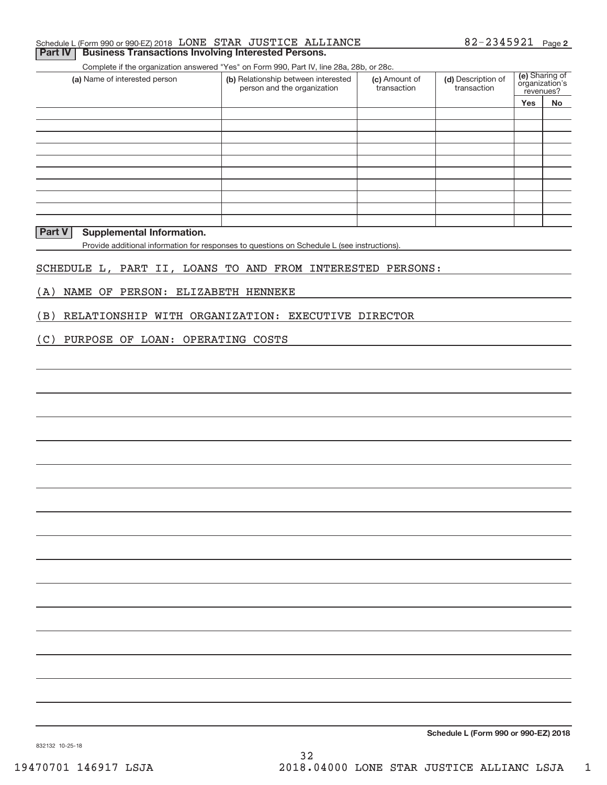#### Schedule L (Form 990 or 990‐EZ) 2018  ${\rm LONE}$   ${\rm STAR}$   ${\rm JUSTICE}$   ${\rm ALIIMCE}$  82-2345921 Page **Part IV | Business Transactions Involving Interested Persons.**

Complete if the organization answered "Yes" on Form 990, Part IV, line 28a, 28b, or 28c.

| (a) Name of interested person | (b) Relationship between interested<br>person and the organization | (c) Amount of<br>transaction | (d) Description of<br>transaction | (e) Sharing of<br>organization's<br>revenues? |    |
|-------------------------------|--------------------------------------------------------------------|------------------------------|-----------------------------------|-----------------------------------------------|----|
|                               |                                                                    |                              |                                   | <b>Yes</b>                                    | No |
|                               |                                                                    |                              |                                   |                                               |    |
|                               |                                                                    |                              |                                   |                                               |    |
|                               |                                                                    |                              |                                   |                                               |    |
|                               |                                                                    |                              |                                   |                                               |    |
|                               |                                                                    |                              |                                   |                                               |    |
|                               |                                                                    |                              |                                   |                                               |    |
|                               |                                                                    |                              |                                   |                                               |    |
|                               |                                                                    |                              |                                   |                                               |    |
|                               |                                                                    |                              |                                   |                                               |    |
|                               |                                                                    |                              |                                   |                                               |    |

#### **Part V Supplemental Information.**

Provide additional information for responses to questions on Schedule L (see instructions).

#### SCHEDULE L, PART II, LOANS TO AND FROM INTERESTED PERSONS:

(A) NAME OF PERSON: ELIZABETH HENNEKE

(B) RELATIONSHIP WITH ORGANIZATION: EXECUTIVE DIRECTOR

#### (C) PURPOSE OF LOAN: OPERATING COSTS

**Schedule L (Form 990 or 990‐EZ) 2018**

832132 10‐25‐18